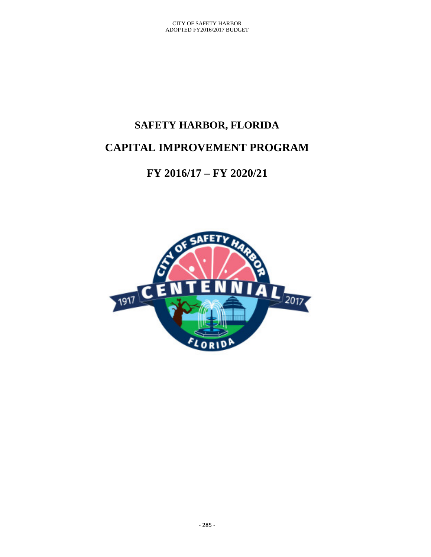# **SAFETY HARBOR, FLORIDA CAPITAL IMPROVEMENT PROGRAM**

## **FY 2016/17 – FY 2020/21**

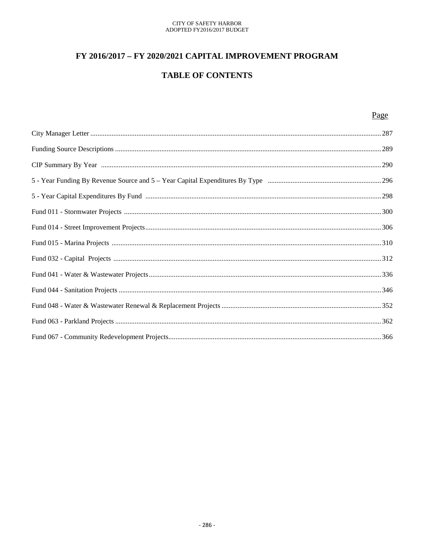## $\label{eq:ctT} \begin{array}{c} {\rm CITY\ OF\ SAFETY\ HARBOR}\\ {\rm ADOPTED\ FY2016/2017\ BUDGET} \end{array}$

### FY 2016/2017 - FY 2020/2021 CAPITAL IMPROVEMENT PROGRAM

### **TABLE OF CONTENTS**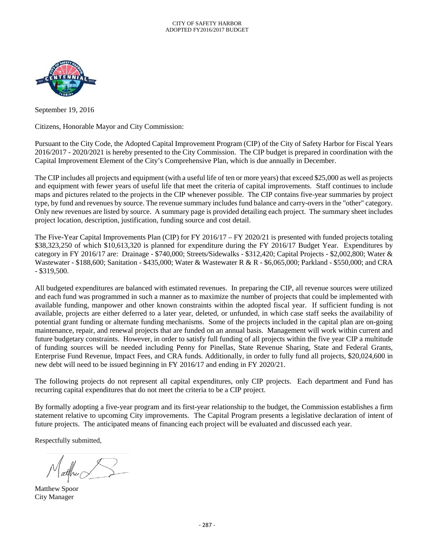

September 19, 2016

Citizens, Honorable Mayor and City Commission:

Pursuant to the City Code, the Adopted Capital Improvement Program (CIP) of the City of Safety Harbor for Fiscal Years 2016/2017 - 2020/2021 is hereby presented to the City Commission. The CIP budget is prepared in coordination with the Capital Improvement Element of the City's Comprehensive Plan, which is due annually in December.

The CIP includes all projects and equipment (with a useful life of ten or more years) that exceed \$25,000 as well as projects and equipment with fewer years of useful life that meet the criteria of capital improvements. Staff continues to include maps and pictures related to the projects in the CIP whenever possible. The CIP contains five-year summaries by project type, by fund and revenues by source. The revenue summary includes fund balance and carry-overs in the "other" category. Only new revenues are listed by source. A summary page is provided detailing each project. The summary sheet includes project location, description, justification, funding source and cost detail.

The Five-Year Capital Improvements Plan (CIP) for FY 2016/17 – FY 2020/21 is presented with funded projects totaling \$38,323,250 of which \$10,613,320 is planned for expenditure during the FY 2016/17 Budget Year. Expenditures by category in FY 2016/17 are: Drainage - \$740,000; Streets/Sidewalks - \$312,420; Capital Projects - \$2,002,800; Water & Wastewater - \$188,600; Sanitation - \$435,000; Water & Wastewater R & R - \$6,065,000; Parkland - \$550,000; and CRA - \$319,500.

All budgeted expenditures are balanced with estimated revenues. In preparing the CIP, all revenue sources were utilized and each fund was programmed in such a manner as to maximize the number of projects that could be implemented with available funding, manpower and other known constraints within the adopted fiscal year. If sufficient funding is not available, projects are either deferred to a later year, deleted, or unfunded, in which case staff seeks the availability of potential grant funding or alternate funding mechanisms. Some of the projects included in the capital plan are on-going maintenance, repair, and renewal projects that are funded on an annual basis. Management will work within current and future budgetary constraints. However, in order to satisfy full funding of all projects within the five year CIP a multitude of funding sources will be needed including Penny for Pinellas, State Revenue Sharing, State and Federal Grants, Enterprise Fund Revenue, Impact Fees, and CRA funds. Additionally, in order to fully fund all projects, \$20,024,600 in new debt will need to be issued beginning in FY 2016/17 and ending in FY 2020/21.

The following projects do not represent all capital expenditures, only CIP projects. Each department and Fund has recurring capital expenditures that do not meet the criteria to be a CIP project.

By formally adopting a five-year program and its first-year relationship to the budget, the Commission establishes a firm statement relative to upcoming City improvements. The Capital Program presents a legislative declaration of intent of future projects. The anticipated means of financing each project will be evaluated and discussed each year.

Respectfully submitted,

Matthew Spoor City Manager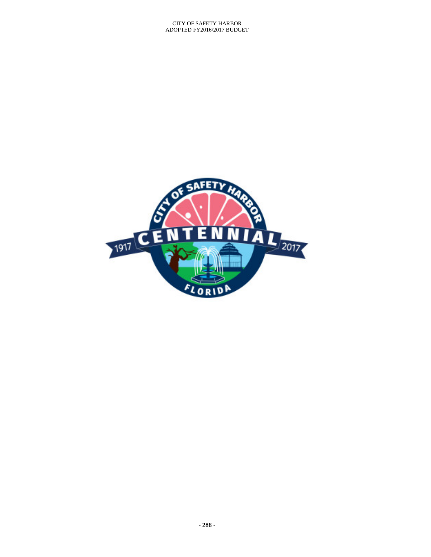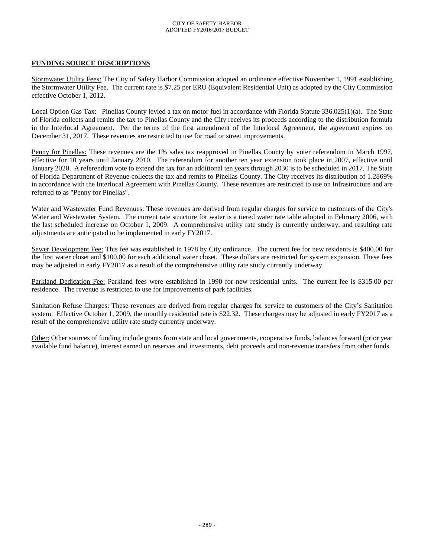#### **FUNDING SOURCE DESCRIPTIONS**

Stormwater Utility Fees: The City of Safety Harbor Commission adopted an ordinance effective November 1, 1991 establishing the Stormwater Utility Fee. The current rate is \$7.25 per ERU (Equivalent Residential Unit) as adopted by the City Commission effective October 1, 2012.

Local Option Gas Tax: Pinellas County levied a tax on motor fuel in accordance with Florida Statute 336.025(1)(a). The State of Florida collects and remits the tax to Pinellas County and the City receives its proceeds according to the distribution formula in the Interlocal Agreement. Per the terms of the first amendment of the Interlocal Agreement, the agreement expires on December 31, 2017. These revenues are restricted to use for road or street improvements.

Penny for Pinellas: These revenues are the 1% sales tax reapproved in Pinellas County by voter referendum in March 1997, effective for 10 years until January 2010. The referendum for another ten year extension took place in 2007, effective until January 2020. A referendum vote to extend the tax for an additional ten years through 2030 is to be scheduled in 2017. The State of Florida Department of Revenue collects the tax and remits to Pinellas County. The City receives its distribution of 1.2869% in accordance with the Interlocal Agreement with Pinellas County. These revenues are restricted to use on Infrastructure and are referred to as "Penny for Pinellas".

Water and Wastewater Fund Revenues: These revenues are derived from regular charges for service to customers of the City's Water and Wastewater System. The current rate structure for water is a tiered water rate table adopted in February 2006, with the last scheduled increase on October 1, 2009. A comprehensive utility rate study is currently underway, and resulting rate adjustments are anticipated to be implemented in early FY2017.

Sewer Development Fee: This fee was established in 1978 by City ordinance. The current fee for new residents is \$400.00 for the first water closet and \$100.00 for each additional water closet. These dollars are restricted for system expansion. These fees may be adjusted in early FY2017 as a result of the comprehensive utility rate study currently underway.

Parkland Dedication Fee: Parkland fees were established in 1990 for new residential units. The current fee is \$315.00 per residence. The revenue is restricted to use for improvements of park facilities.

Sanitation Refuse Charges: These revenues are derived from regular charges for service to customers of the City's Sanitation system. Effective October 1, 2009, the monthly residential rate is \$22.32. These charges may be adjusted in early FY2017 as a result of the comprehensive utility rate study currently underway.

Other: Other sources of funding include grants from state and local governments, cooperative funds, balances forward (prior year available fund balance), interest earned on reserves and investments, debt proceeds and non-revenue transfers from other funds.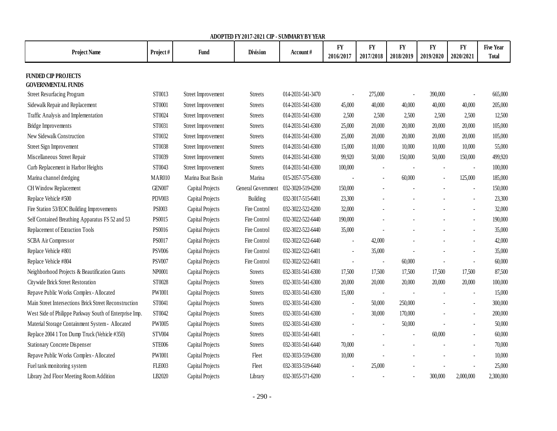|                                                         |                |                    | ADOP I ED FY 2017-2021 CIP - SUMMARY BY YEAR |                   |                  |                          |                  |                  |                          |                  |
|---------------------------------------------------------|----------------|--------------------|----------------------------------------------|-------------------|------------------|--------------------------|------------------|------------------|--------------------------|------------------|
| <b>Project Name</b>                                     | Project#       | <b>Fund</b>        | <b>Division</b>                              | Account#          | ${\bf F}{\bf Y}$ | ${\bf F}{\bf Y}$         | ${\bf F}{\bf Y}$ | ${\bf F}{\bf Y}$ | ${\bf F}{\bf Y}$         | <b>Five Year</b> |
|                                                         |                |                    |                                              |                   | 2016/2017        | 2017/2018                | 2018/2019        | 2019/2020        | 2020/2021                | <b>Total</b>     |
| <b>FUNDED CIP PROJECTS</b><br><b>GOVERNMENTAL FUNDS</b> |                |                    |                                              |                   |                  |                          |                  |                  |                          |                  |
| <b>Street Resurfacing Program</b>                       | ST0013         | Street Improvement | <b>Streets</b>                               | 014-2031-541-3470 |                  | 275,000                  |                  | 390,000          |                          | 665,000          |
| Sidewalk Repair and Replacement                         | ST0001         | Street Improvement | <b>Streets</b>                               | 014-2031-541-6300 | 45,000           | 40,000                   | 40,000           | 40,000           | 40,000                   | 205,000          |
| Traffic Analysis and Implementation                     | ST0024         | Street Improvement | <b>Streets</b>                               | 014-2031-541-6300 | 2,500            | 2,500                    | 2,500            | 2,500            | 2,500                    | 12,500           |
| <b>Bridge Improvements</b>                              | ST0031         | Street Improvement | <b>Streets</b>                               | 014-2031-541-6300 | 25,000           | 20,000                   | 20,000           | 20,000           | 20,000                   | 105,000          |
| New Sidewalk Construction                               | ST0032         | Street Improvement | <b>Streets</b>                               | 014-2031-541-6300 | 25,000           | 20,000                   | 20,000           | 20,000           | 20,000                   | 105,000          |
| Street Sign Improvement                                 | ST0038         | Street Improvement | <b>Streets</b>                               | 014-2031-541-6300 | 15,000           | 10,000                   | 10,000           | 10,000           | 10,000                   | 55,000           |
| Miscellaneous Street Repair                             | ST0039         | Street Improvement | <b>Streets</b>                               | 014-2031-541-6300 | 99,920           | 50,000                   | 150,000          | 50,000           | 150,000                  | 499,920          |
| Curb Replacement in Harbor Heights                      | ST0043         | Street Improvement | <b>Streets</b>                               | 014-2031-541-6300 | 100,000          | $\blacksquare$           |                  |                  | $\overline{\phantom{a}}$ | 100,000          |
| Marina channel dredging                                 | <b>MAR010</b>  | Marina Boat Basin  | Marina                                       | 015-2057-575-6300 |                  |                          | 60,000           |                  | 125,000                  | 185,000          |
| CH Window Replacement                                   | <b>GEN007</b>  | Capital Projects   | General Government                           | 032-3020-519-6200 | 150,000          |                          |                  |                  |                          | 150,000          |
| Replace Vehicle #500                                    | PDV003         | Capital Projects   | Building                                     | 032-3017-515-6401 | 23,300           |                          |                  |                  | ÷,                       | 23,300           |
| Fire Station 53/EOC Building Improvements               | <b>PSI003</b>  | Capital Projects   | Fire Control                                 | 032-3022-522-6200 | 32,000           |                          |                  |                  | $\mathbf{r}$             | 32,000           |
| Self Contained Breathing Apparatus FS 52 and 53         | PS0015         | Capital Projects   | Fire Control                                 | 032-3022-522-6440 | 190,000          |                          |                  |                  | $\overline{a}$           | 190,000          |
| Replacement of Extraction Tools                         | PS0016         | Capital Projects   | Fire Control                                 | 032-3022-522-6440 | 35,000           |                          |                  |                  | $\blacksquare$           | 35,000           |
| SCBA Air Compressor                                     | PS0017         | Capital Projects   | Fire Control                                 | 032-3022-522-6440 |                  | 42,000                   |                  |                  |                          | 42,000           |
| Replace Vehicle #801                                    | <b>PSV006</b>  | Capital Projects   | Fire Control                                 | 032-3022-522-6401 | $\sim$           | 35,000                   |                  |                  | $\overline{a}$           | 35,000           |
| Replace Vehicle #804                                    | <b>PSV007</b>  | Capital Projects   | Fire Control                                 | 032-3022-522-6401 |                  | $\overline{\phantom{a}}$ | 60,000           |                  |                          | 60,000           |
| Neighborhood Projects & Beautification Grants           | NP0001         | Capital Projects   | <b>Streets</b>                               | 032-3031-541-6300 | 17,500           | 17,500                   | 17,500           | 17,500           | 17,500                   | 87,500           |
| Citywide Brick Street Restoration                       | ST0028         | Capital Projects   | <b>Streets</b>                               | 032-3031-541-6300 | 20,000           | 20,000                   | 20,000           | 20,000           | 20,000                   | 100,000          |
| Repave Public Works Complex - Allocated                 | <b>PWI001</b>  | Capital Projects   | Streets                                      | 032-3031-541-6300 | 15,000           | $\overline{\phantom{a}}$ |                  |                  |                          | 15,000           |
| Main Street Intersections Brick Street Reconstruction   | ST0041         | Capital Projects   | <b>Streets</b>                               | 032-3031-541-6300 |                  | 50,000                   | 250,000          |                  |                          | 300,000          |
| West Side of Philippe Parkway South of Enterprise Imp.  | ST0042         | Capital Projects   | <b>Streets</b>                               | 032-3031-541-6300 |                  | 30,000                   | 170,000          |                  | L,                       | 200,000          |
| Material Storage Containment System - Allocated         | <b>PWI005</b>  | Capital Projects   | <b>Streets</b>                               | 032-3031-541-6300 |                  | $\sim$                   | 50,000           |                  | $\overline{a}$           | 50,000           |
| Replace 2004 1 Ton Dump Truck (Vehicle #350)            | ${\rm STV004}$ | Capital Projects   | <b>Streets</b>                               | 032-3031-541-6401 |                  |                          |                  | 60,000           |                          | 60,000           |
| <b>Stationary Concrete Dispenser</b>                    | STE006         | Capital Projects   | <b>Streets</b>                               | 032-3031-541-6440 | 70,000           |                          |                  |                  |                          | 70,000           |
| Repave Public Works Complex - Allocated                 | <b>PW1001</b>  | Capital Projects   | Fleet                                        | 032-3033-519-6300 | 10,000           |                          |                  |                  |                          | 10,000           |
| Fuel tank monitoring system                             | <b>FLE003</b>  | Capital Projects   | Fleet                                        | 032-3033-519-6440 |                  | 25,000                   |                  |                  |                          | 25,000           |
| Library 2nd Floor Meeting Room Addition                 | LB2020         | Capital Projects   | Library                                      | 032-3055-571-6200 |                  |                          |                  | 300,000          | 2,000,000                | 2,300,000        |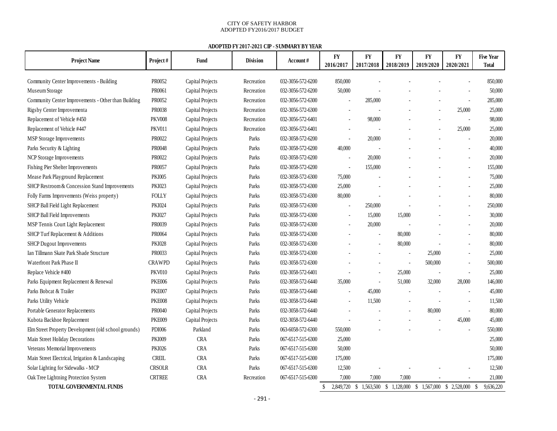| <b>Project Name</b>                                  | Project#      | <b>Fund</b>      | $\mathbf{F}\mathbf{Y}$<br><b>Division</b><br>Account# |                   | <b>FY</b>       | FY                       | FY                    | <b>FY</b> | <b>Five Year</b>                                |                 |
|------------------------------------------------------|---------------|------------------|-------------------------------------------------------|-------------------|-----------------|--------------------------|-----------------------|-----------|-------------------------------------------------|-----------------|
|                                                      |               |                  |                                                       |                   | 2016/2017       | 2017/2018                | 2018/2019             | 2019/2020 | 2020/2021                                       | <b>Total</b>    |
| Community Center Improvements - Building             | PR0052        | Capital Projects | Recreation                                            | 032-3056-572-6200 | 850,000         |                          |                       |           |                                                 | 850,000         |
| Museum Storage                                       | PR0061        | Capital Projects | Recreation                                            | 032-3056-572-6200 | 50,000          |                          |                       |           |                                                 | 50,000          |
| Community Center Improvements - Other than Building  | PR0052        | Capital Projects | Recreation                                            | 032-3056-572-6300 | ÷,              | 285,000                  |                       |           |                                                 | 285,000         |
| Rigsby Center Improvementa                           | PR0038        | Capital Projects | Recreation                                            | 032-3056-572-6300 | ÷,              |                          |                       |           | 25,000                                          | 25,000          |
| Replacement of Vehicle #450                          | <b>PKV008</b> | Capital Projects | Recreation                                            | 032-3056-572-6401 | ä,              | 98,000                   |                       |           |                                                 | 98,000          |
| Replacement of Vehicle #447                          | <b>PKV011</b> | Capital Projects | Recreation                                            | 032-3056-572-6401 | ä,              |                          |                       | ÷.        | 25,000                                          | 25,000          |
| <b>MSP</b> Storage Improvements                      | PR0022        | Capital Projects | Parks                                                 | 032-3058-572-6200 | ä,              | 20,000                   |                       |           |                                                 | 20,000          |
| Parks Security & Lighting                            | PR0048        | Capital Projects | Parks                                                 | 032-3058-572-6200 | 40,000          |                          |                       |           |                                                 | 40,000          |
| NCP Storage Improvements                             | PR0022        | Capital Projects | Parks                                                 | 032-3058-572-6200 | ÷,              | 20,000                   |                       |           |                                                 | 20,000          |
| Fishing Pier Shelter Improvements                    | PR0057        | Capital Projects | Parks                                                 | 032-3058-572-6200 | $\sim$          | 155,000                  |                       |           |                                                 | 155,000         |
| Mease Park Playground Replacement                    | <b>PKI005</b> | Capital Projects | Parks                                                 | 032-3058-572-6300 | 75,000          |                          |                       |           |                                                 | 75,000          |
| SHCP Restroom & Concession Stand Improvements        | <b>PKI023</b> | Capital Projects | Parks                                                 | 032-3058-572-6300 | 25,000          |                          |                       |           |                                                 | 25,000          |
| Folly Farms Improvements (Weiss property)            | <b>FOLLY</b>  | Capital Projects | Parks                                                 | 032-3058-572-6300 | 80,000          |                          |                       |           |                                                 | 80,000          |
| SHCP Ball Field Light Replacement                    | <b>PKI024</b> | Capital Projects | Parks                                                 | 032-3058-572-6300 | ÷.              | 250,000                  |                       |           |                                                 | 250,000         |
| SHCP Ball Field Improvements                         | <b>PKI027</b> | Capital Projects | Parks                                                 | 032-3058-572-6300 | $\sim$          | 15,000                   | 15,000                |           |                                                 | 30,000          |
| MSP Tennis Court Light Replacement                   | PR0039        | Capital Projects | Parks                                                 | 032-3058-572-6300 | $\overline{a}$  | 20,000                   |                       |           |                                                 | 20,000          |
| SHCP Turf Replacement & Additions                    | PR0064        | Capital Projects | Parks                                                 | 032-3058-572-6300 |                 | $\overline{\phantom{a}}$ | 80,000                |           |                                                 | 80,000          |
| <b>SHCP Dugout Improvements</b>                      | <b>PKI028</b> | Capital Projects | Parks                                                 | 032-3058-572-6300 |                 |                          | 80,000                |           |                                                 | 80,000          |
| Ian Tillmann Skate Park Shade Structure              | PR0033        | Capital Projects | Parks                                                 | 032-3058-572-6300 |                 |                          | $\tilde{\phantom{a}}$ | 25,000    |                                                 | 25,000          |
| Waterfront Park Phase II                             | <b>CRAWPD</b> | Capital Projects | Parks                                                 | 032-3058-572-6300 |                 |                          |                       | 500,000   |                                                 | 500,000         |
| Replace Vehicle #400                                 | <b>PKV010</b> | Capital Projects | Parks                                                 | 032-3058-572-6401 |                 |                          | 25,000                |           | $\sim$                                          | 25,000          |
| Parks Equipment Replacement & Renewal                | <b>PKE006</b> | Capital Projects | Parks                                                 | 032-3058-572-6440 | 35,000          | $\sim$                   | 51,000                | 32,000    | 28,000                                          | 146,000         |
| Parks Bobcat & Trailer                               | PKE007        | Capital Projects | Parks                                                 | 032-3058-572-6440 | ÷,              | 45,000                   |                       |           |                                                 | 45,000          |
| Parks Utility Vehicle                                | <b>PKE008</b> | Capital Projects | Parks                                                 | 032-3058-572-6440 | ÷,              | 11,500                   |                       |           |                                                 | 11,500          |
| Portable Generator Replacements                      | PR0040        | Capital Projects | Parks                                                 | 032-3058-572-6440 |                 |                          |                       | 80,000    |                                                 | 80,000          |
| Kubota Backhoe Replacement                           | <b>PKE009</b> | Capital Projects | Parks                                                 | 032-3058-572-6440 |                 |                          |                       |           | 45,000                                          | 45,000          |
| Elm Street Property Development (old school grounds) | <b>PDI006</b> | Parkland         | Parks                                                 | 063-6058-572-6300 | 550,000         |                          |                       |           |                                                 | 550,000         |
| Main Street Holiday Decorations                      | <b>PKI009</b> | <b>CRA</b>       | Parks                                                 | 067-6517-515-6300 | 25,000          |                          |                       |           |                                                 | 25,000          |
| Veterans Memorial Improvements                       | <b>PKI026</b> | <b>CRA</b>       | Parks                                                 | 067-6517-515-6300 | 50,000          |                          |                       |           |                                                 | 50,000          |
| Main Street Electrical, Irrigation & Landscaping     | <b>CREIL</b>  | <b>CRA</b>       | Parks                                                 | 067-6517-515-6300 | 175,000         |                          |                       |           |                                                 | 175,000         |
| Solar Lighting for Sidewalks - MCP                   | <b>CRSOLR</b> | <b>CRA</b>       | Parks                                                 | 067-6517-515-6300 | 12,500          |                          |                       |           |                                                 | 12,500          |
| Oak Tree Lightning Protection System                 | <b>CRTREE</b> | <b>CRA</b>       | Recreation                                            | 067-6517-515-6300 | 7.000           | 7,000                    | 7,000                 |           |                                                 | 21,000          |
| TOTAL GOVERNMENTAL FUNDS                             |               |                  |                                                       |                   | 2,849,720<br>\$ |                          |                       |           | \$1,563,500 \$1,128,000 \$1,567,000 \$2,528,000 | S.<br>9.636.220 |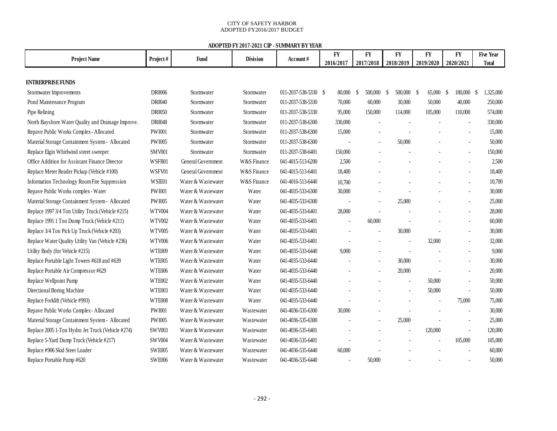|                                                    | <b>Project Name</b><br>Project#<br><b>Division</b><br><b>Fund</b> |                    |             | ${\bf F}{\bf Y}$     | $\mathbf{F}\mathbf{Y}$ | FY            | FY             | ${\bf F}{\bf Y}$         | <b>Five Year</b>         |                 |
|----------------------------------------------------|-------------------------------------------------------------------|--------------------|-------------|----------------------|------------------------|---------------|----------------|--------------------------|--------------------------|-----------------|
|                                                    |                                                                   |                    |             | Account #            | 2016/2017              | 2017/2018     | 2018/2019      | 2019/2020                | 2020/2021                | <b>Total</b>    |
|                                                    |                                                                   |                    |             |                      |                        |               |                |                          |                          |                 |
| <b>ENTRERPRISE FUNDS</b>                           |                                                                   |                    |             |                      |                        |               |                |                          |                          |                 |
| Stormwater Improvements                            | DR0006                                                            | Stormwater         | Stormwater  | 011-2037-538-5330 \$ | 80,000                 | -S<br>500,000 | 500,000<br>- S | 65,000 \$<br>- \$        | 180,000                  | 1,325,000<br>-S |
| Pond Maintenance Program                           | DR0040                                                            | Stormwater         | Stormwater  | 011-2037-538-5330    | 70,000                 | 60,000        | 30,000         | 50,000                   | 40,000                   | 250,000         |
| Pipe Relining                                      | DR0050                                                            | Stormwater         | Stormwater  | 011-2037-538-5330    | 95,000                 | 150,000       | 114,000        | 105,000                  | 110,000                  | 574,000         |
| North Bayshore Water Quality and Drainage Improve. | DR0048                                                            | Stormwater         | Stormwater  | 011-2037-538-6300    | 330,000                |               |                |                          |                          | 330,000         |
| Repave Public Works Complex - Allocated            | <b>PWI001</b>                                                     | Stormwater         | Stormwater  | 011-2037-538-6300    | 15,000                 |               |                |                          |                          | 15,000          |
| Material Storage Containment System - Allocated    | <b>PWI005</b>                                                     | Stormwater         | Stormwater  | 011-2037-538-6300    |                        |               | 50,000         |                          |                          | 50,000          |
| Replace Elgin Whirlwind street sweeper             | <b>SMV001</b>                                                     | Stormwater         | Stormwater  | 011-2037-538-6401    | 150,000                |               |                |                          |                          | 150,000         |
| Office Addition for Assistant Finance Director     | WSFB01                                                            | General Government | W&S Finance | 041-4015-513-6200    | 2,500                  |               |                |                          |                          | 2,500           |
| Replace Meter Reader Pickup (Vehicle #100)         | WSFV01                                                            | General Government | W&S Finance | 041-4015-513-6401    | 18,400                 |               |                |                          |                          | 18,400          |
| Information Technology Room Fire Suppression       | WSIE01                                                            | Water & Wastewater | W&S Finance | 041-4016-513-6440    | 10,700                 |               |                |                          |                          | 10,700          |
| Repave Public Works complex - Water                | <b>PWI001</b>                                                     | Water & Wastewater | Water       | 041-4035-533-6300    | 30,000                 |               |                |                          |                          | 30,000          |
| Material Storage Containment System - Allocated    | <b>PWI005</b>                                                     | Water & Wastewater | Water       | 041-4035-533-6300    |                        |               | 25,000         |                          |                          | 25,000          |
| Replace 1997 3/4 Ton Utility Truck (Vehicle #215)  | WTV004                                                            | Water & Wastewater | Water       | 041-4035-533-6401    | 28,000                 |               |                |                          |                          | 28,000          |
| Replace 1991 1 Ton Dump Truck (Vehicle #211)       | <b>WTV002</b>                                                     | Water & Wastewater | Water       | 041-4035-533-6401    |                        | 60,000        |                |                          |                          | 60,000          |
| Replace 3/4 Ton Pick Up Truck (Vehicle #203)       | WTV005                                                            | Water & Wastewater | Water       | 041-4035-533-6401    |                        |               | 30,000         |                          |                          | 30,000          |
| Replace Water Quality Utility Van (Vehicle #236)   | WTV006                                                            | Water & Wastewater | Water       | 041-4035-533-6401    |                        |               |                | 32,000                   |                          | 32,000          |
| Utility Body (for Vehicle #215)                    | WTE009                                                            | Water & Wastewater | Water       | 041-4035-533-6440    | 9,000                  |               |                |                          |                          | 9,000           |
| Replace Portable Light Towers #618 and #639        | WTE005                                                            | Water & Wastewater | Water       | 041-4035-533-6440    |                        |               | 30,000         |                          |                          | 30,000          |
| Replace Portable Air Compressor #629               | WTE006                                                            | Water & Wastewater | Water       | 041-4035-533-6440    |                        |               | 20,000         |                          |                          | 20,000          |
| Replace Wellpoint Pump                             | WTE002                                                            | Water & Wastewater | Water       | 041-4035-533-6440    |                        |               |                | 50,000                   |                          | 50,000          |
| Directional Boring Machine                         | WTE003                                                            | Water & Wastewater | Water       | 041-4035-533-6440    |                        |               |                | 50,000                   |                          | 50,000          |
| Replace Forklift (Vehicle #993)                    | ${\rm WTE008}$                                                    | Water & Wastewater | Water       | 041-4035-533-6440    |                        |               |                | $\overline{\phantom{a}}$ | 75,000                   | 75,000          |
| Repave Public Works Complex - Allocated            | <b>PWI001</b>                                                     | Water & Wastewater | Wastewater  | 041-4036-535-6300    | 30,000                 |               |                |                          |                          | 30,000          |
| Material Storage Containment System - Allocated    | <b>PWI005</b>                                                     | Water & Wastewater | Wastewater  | 041-4036-535-6300    |                        |               | 25,000         |                          |                          | 25,000          |
| Replace 2005 1-Ton Hydro Jet Truck (Vehicle #274)  | <b>SWV003</b>                                                     | Water & Wastewater | Wastewater  | 041-4036-535-6401    |                        |               |                | 120,000                  | $\overline{\phantom{a}}$ | 120,000         |
| Replace 5-Yard Dump Truck (Vehicle #217)           | <b>SWV004</b>                                                     | Water & Wastewater | Wastewater  | 041-4036-535-6401    |                        |               |                |                          | 105,000                  | 105,000         |
| Replace #906 Skid Steer Loader                     | SWE005                                                            | Water & Wastewater | Wastewater  | 041-4036-535-6440    | 60,000                 |               |                |                          |                          | 60,000          |
| Replace Portable Pump #620                         | <b>SWE006</b>                                                     | Water & Wastewater | Wastewater  | 041-4036-535-6440    |                        | 50,000        |                |                          |                          | 50,000          |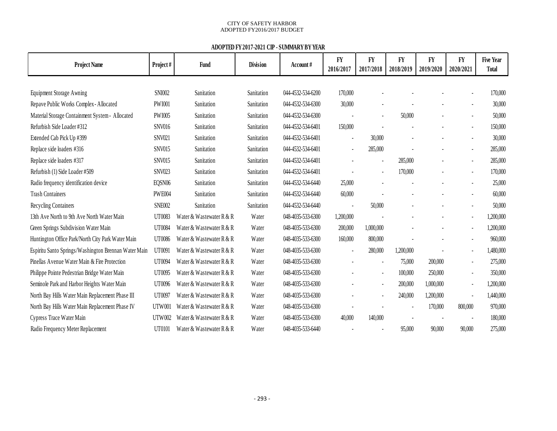| <b>Project Name</b>                                  | Project#      | <b>Fund</b>              | <b>Division</b> | Account#          | <b>FY</b><br>2016/2017   | $_{\rm{FY}}$<br>2017/2018 | $_{\rm{FY}}$<br>2018/2019 | <b>FY</b><br>2019/2020 | $\boldsymbol{\mathrm{F}}\boldsymbol{\mathrm{Y}}$<br>2020/2021 | <b>Five Year</b><br><b>Total</b> |
|------------------------------------------------------|---------------|--------------------------|-----------------|-------------------|--------------------------|---------------------------|---------------------------|------------------------|---------------------------------------------------------------|----------------------------------|
|                                                      |               |                          |                 |                   |                          |                           |                           |                        |                                                               |                                  |
| Equipment Storage Awning                             | <b>SNI002</b> | Sanitation               | Sanitation      | 044-4532-534-6200 | 170,000                  |                           |                           |                        |                                                               | 170,000                          |
| Repave Public Works Complex - Allocated              | <b>PWI001</b> | Sanitation               | Sanitation      | 044-4532-534-6300 | 30,000                   |                           |                           |                        | $\overline{\phantom{a}}$                                      | 30,000                           |
| Material Storage Containment System - Allocated      | <b>PWI005</b> | Sanitation               | Sanitation      | 044-4532-534-6300 |                          |                           | 50,000                    |                        | $\blacksquare$                                                | 50,000                           |
| Refurbish Side Loader #312                           | SNV016        | Sanitation               | Sanitation      | 044-4532-534-6401 | 150,000                  |                           |                           |                        |                                                               | 150,000                          |
| Extended Cab Pick Up #399                            | SNV021        | Sanitation               | Sanitation      | 044-4532-534-6401 | $\overline{\phantom{a}}$ | 30,000                    |                           |                        | $\blacksquare$                                                | 30,000                           |
| Replace side loaders #316                            | SNV015        | Sanitation               | Sanitation      | 044-4532-534-6401 | $\overline{\phantom{a}}$ | 285,000                   |                           |                        | $\sim$                                                        | 285,000                          |
| Replace side loaders #317                            | SNV015        | Sanitation               | Sanitation      | 044-4532-534-6401 |                          | $\blacksquare$            | 285,000                   |                        | $\sim$                                                        | 285,000                          |
| Refurbish (1) Side Loader #509                       | SNV023        | Sanitation               | Sanitation      | 044-4532-534-6401 |                          | $\overline{a}$            | 170,000                   |                        | $\sim$                                                        | 170,000                          |
| Radio frequency identification device                | EQSN06        | Sanitation               | Sanitation      | 044-4532-534-6440 | 25,000                   |                           |                           |                        | $\blacksquare$                                                | 25,000                           |
| <b>Trash Containers</b>                              | <b>PWE004</b> | Sanitation               | Sanitation      | 044-4532-534-6440 | 60,000                   |                           |                           |                        |                                                               | 60,000                           |
| Recycling Containers                                 | SNE002        | Sanitation               | Sanitation      | 044-4532-534-6440 |                          | 50,000                    |                           |                        | $\blacksquare$                                                | 50,000                           |
| 13th Ave North to 9th Ave North Water Main           | UT0083        | Water & Wastewater R & R | Water           | 048-4035-533-6300 | 1,200,000                |                           |                           |                        | $\sim$                                                        | 1,200,000                        |
| Green Springs Subdivision Water Main                 | UT0084        | Water & Wastewater R & R | Water           | 048-4035-533-6300 | 200,000                  | 1,000,000                 |                           |                        | $\blacksquare$                                                | 1,200,000                        |
| Huntington Office Park/North City Park Water Main    | UT0086        | Water & Wastewater R & R | Water           | 048-4035-533-6300 | 160,000                  | 800,000                   |                           |                        | $\blacksquare$                                                | 960,000                          |
| Espiritu Santo Springs/Washington Brennan Water Main | UT0091        | Water & Wastewater R & R | Water           | 048-4035-533-6300 | $\blacksquare$           | 280,000                   | 1,200,000                 |                        | $\sim$                                                        | 1,480,000                        |
| Pinellas Avenue Water Main & Fire Protection         | UT0094        | Water & Wastewater R & R | Water           | 048-4035-533-6300 |                          |                           | 75,000                    | 200,000                | $\sim$                                                        | 275,000                          |
| Philippe Pointe Pedestrian Bridge Water Main         | UT0095        | Water & Wastewater R & R | Water           | 048-4035-533-6300 |                          | $\blacksquare$            | 100,000                   | 250,000                | $\blacksquare$                                                | 350,000                          |
| Seminole Park and Harbor Heights Water Main          | UT0096        | Water & Wastewater R & R | Water           | 048-4035-533-6300 |                          | $\sim$                    | 200,000                   | 1,000,000              | $\sim$                                                        | 1,200,000                        |
| North Bay Hills Water Main Replacement Phase III     | UT0097        | Water & Wastewater R & R | Water           | 048-4035-533-6300 |                          | $\overline{a}$            | 240,000                   | 1,200,000              | $\sim$                                                        | 1,440,000                        |
| North Bay Hills Water Main Replacement Phase IV      | UTW001        | Water & Wastewater R & R | Water           | 048-4035-533-6300 |                          |                           |                           | 170,000                | 800,000                                                       | 970,000                          |
| Cypress Trace Water Main                             | UTW002        | Water & Wastewater R & R | Water           | 048-4035-533-6300 | 40,000                   | 140,000                   |                           |                        |                                                               | 180,000                          |
| Radio Frequency Meter Replacement                    | UT0101        | Water & Wastewater R & R | Water           | 048-4035-533-6440 |                          |                           | 95,000                    | 90,000                 | 90,000                                                        | 275,000                          |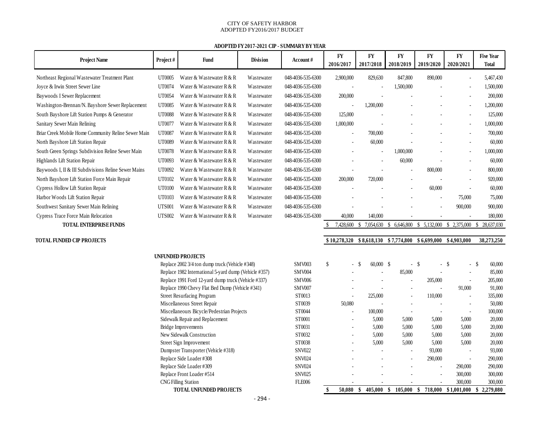| <b>Project Name</b>                                  | Project#      | <b>Fund</b>                                                               | <b>Division</b> | Account#          | <b>FY</b><br>2016/2017 | <b>FY</b><br>2017/2018                  | FY<br>2018/2019            | <b>FY</b><br>2019/2020  | FY<br>2020/2021          | <b>Five Year</b><br><b>Total</b> |
|------------------------------------------------------|---------------|---------------------------------------------------------------------------|-----------------|-------------------|------------------------|-----------------------------------------|----------------------------|-------------------------|--------------------------|----------------------------------|
| Northeast Regional Wastewater Treatment Plant        | UT0005        | Water & Wastewater R & R                                                  | Wastewater      | 048-4036-535-6300 | 2,900,000              | 829,630                                 | 847,800                    | 890,000                 |                          | 5,467,430                        |
| Joyce & Irwin Street Sewer Line                      | UT0074        | Water & Wastewater R & R                                                  | Wastewater      | 048-4036-535-6300 |                        |                                         | 1,500,000                  |                         |                          | 1,500,000                        |
| Baywoods I Sewer Replacement                         | UT0054        | Water & Wastewater R & R                                                  | Wastewater      | 048-4036-535-6300 | 200,000                |                                         |                            |                         |                          | 200,000                          |
| Washington-Brennan/N. Bayshore Sewer Replacement     | UT0085        | Water & Wastewater R & R                                                  | Wastewater      | 048-4036-535-6300 |                        | 1,200,000<br>÷.                         |                            |                         |                          | 1,200,000                        |
| South Bayshore Lift Station Pumps & Generator        | <b>UT0088</b> | Water & Wastewater R & R                                                  | Wastewater      | 048-4036-535-6300 | 125,000                |                                         |                            |                         |                          | 125,000                          |
| Sanitary Sewer Main Relining                         | UT0077        | Water & Wastewater R & R                                                  | Wastewater      | 048-4036-535-6300 | 1,000,000              |                                         |                            |                         |                          | 1,000,000                        |
| Briar Creek Mobile Home Community Reline Sewer Main  | UT0087        | Water & Wastewater R & R                                                  | Wastewater      | 048-4036-535-6300 |                        | 700,000<br>ä,                           |                            |                         |                          | 700,000                          |
| North Bayshore Lift Station Repair                   | UT0089        | Water & Wastewater R & R                                                  | Wastewater      | 048-4036-535-6300 |                        | 60,000<br>ä,                            |                            |                         |                          | 60,000                           |
| South Green Springs Subdivision Reline Sewer Main    | UT0078        | Water & Wastewater R & R                                                  | Wastewater      | 048-4036-535-6300 |                        |                                         | 1,000,000                  |                         |                          | 1,000,000                        |
| Highlands Lift Station Repair                        | UT0093        | Water & Wastewater R & R                                                  | Wastewater      | 048-4036-535-6300 |                        |                                         | 60,000                     |                         |                          | 60,000                           |
| Baywoods I, II & III Subdivisions Reline Sewer Mains | UT0092        | Water & Wastewater R & R                                                  | Wastewater      | 048-4036-535-6300 |                        |                                         |                            | 800,000                 |                          | 800,000                          |
| North Bayshore Lift Station Force Main Repair        | UT0102        | Water & Wastewater R & R                                                  | Wastewater      | 048-4036-535-6300 | 200,000                | 720,000                                 |                            |                         |                          | 920,000                          |
| Cypress Hollow Lift Station Repair                   | UT0100        | Water & Wastewater R & R                                                  | Wastewater      | 048-4036-535-6300 |                        |                                         |                            | 60,000                  |                          | 60,000                           |
| Harbor Woods Lift Station Repair                     | UT0103        | Water & Wastewater R & R                                                  | Wastewater      | 048-4036-535-6300 |                        |                                         |                            |                         | 75,000                   | 75,000                           |
| Southwest Sanitary Sewer Main Relining               | <b>UTS001</b> | Water & Wastewater R & R                                                  | Wastewater      | 048-4036-535-6300 |                        |                                         |                            |                         | 900,000                  | 900,000                          |
| <b>Cypress Trace Force Main Relocation</b>           | <b>UTS002</b> | Water & Wastewater R & R                                                  | Wastewater      | 048-4036-535-6300 | 40,000                 | 140,000                                 |                            |                         |                          | 180,000                          |
| <b>TOTAL ENTERPRISE FUNDS</b>                        |               |                                                                           |                 |                   | 7,428,600              | $\mathbf{\hat{S}}$<br>7,054,630         | 6,646,800<br><sup>\$</sup> | 5,132,000<br>\$         | \$<br>2,375,000          | 28,637,030<br>S                  |
|                                                      |               |                                                                           |                 |                   |                        |                                         |                            |                         |                          |                                  |
| TOTAL FUNDED CIP PROJECTS                            |               |                                                                           |                 |                   |                        | $$10,278,320$ $$8,618,130$ $$7,774,800$ |                            | \$6,699,000 \$4,903,000 |                          | 38,273,250                       |
|                                                      |               | <b>UNFUNDED PROJECTS</b>                                                  |                 |                   |                        |                                         |                            |                         |                          |                                  |
|                                                      |               | Replace 2002 3/4 ton dump truck (Vehicle #348)                            |                 | <b>SMV003</b>     | \$                     | - \$<br>60,000 S                        | $\omega$                   | - S                     | - \$                     | $-$ \$<br>60,000                 |
|                                                      |               | Replace 1982 International 5-yard dump (Vehicle #357)                     |                 | <b>SMV004</b>     |                        |                                         | 85,000                     |                         |                          | 85,000                           |
|                                                      |               | Replace 1991 Ford 12-yard dump truck (Vehicle #337)                       |                 | <b>SMV006</b>     |                        |                                         |                            | 205,000                 |                          | 205,000                          |
|                                                      |               | Replace 1990 Chevy Flat Bed Dump (Vehicle #341)                           |                 | <b>SMV007</b>     |                        |                                         |                            |                         | 91,000                   | 91,000                           |
|                                                      |               | <b>Street Resurfacing Program</b>                                         |                 | ST0013            |                        | 225,000<br>÷,                           |                            | 110,000                 |                          | 335,000                          |
|                                                      |               | Miscellaneous Street Repair<br>Miscellaneours Bicycle/Pedestrian Projects |                 | ST0039<br>ST0044  | 50,080                 | 100,000<br>ä,                           | $\sim$                     | ÷,                      | $\sim$                   | 50,080<br>100,000                |
|                                                      |               | Sidewalk Repair and Replacement                                           |                 | ST0001            |                        | 5,000<br>$\sim$                         | 5,000                      | 5,000                   | 5,000                    | 20,000                           |
|                                                      |               | <b>Bridge Improvements</b>                                                |                 | ST0031            |                        | 5,000                                   | 5,000                      | 5,000                   | 5,000                    | 20,000                           |
|                                                      |               | New Sidewalk Construction                                                 |                 | ST0032            |                        | 5,000                                   | 5,000                      | 5,000                   | 5,000                    | 20,000                           |
|                                                      |               | Street Sign Improvement                                                   |                 | ST0038            |                        | 5,000                                   | 5,000                      | 5,000                   | 5,000                    | 20,000                           |
|                                                      |               | Dumpster Transporter (Vehicle #318)                                       |                 | <b>SNV022</b>     |                        |                                         | J.                         | 93,000                  | $\overline{\phantom{a}}$ | 93,000                           |
|                                                      |               | Replace Side Loader #308                                                  |                 | SNV024            |                        |                                         |                            | 290,000                 |                          | 290,000                          |
|                                                      |               | Replace Side Loader #309                                                  |                 | <b>SNV024</b>     |                        |                                         |                            |                         | 290,000                  | 290,000                          |
|                                                      |               | Replace Front Loader #514                                                 |                 | SNV025            |                        |                                         |                            | ä,                      | 300,000                  | 300,000                          |
|                                                      |               | <b>CNG Filling Station</b>                                                |                 | <b>FLE006</b>     |                        |                                         |                            |                         | 300,000                  | 300,000                          |
|                                                      |               | <b>TOTAL UNFUNDED PROJECTS</b>                                            |                 |                   | $50,080$ \$<br>-S      | 405,000                                 | \$<br>105,000              |                         | $$718,000$ $$1,001,000$  | \$2,279,080                      |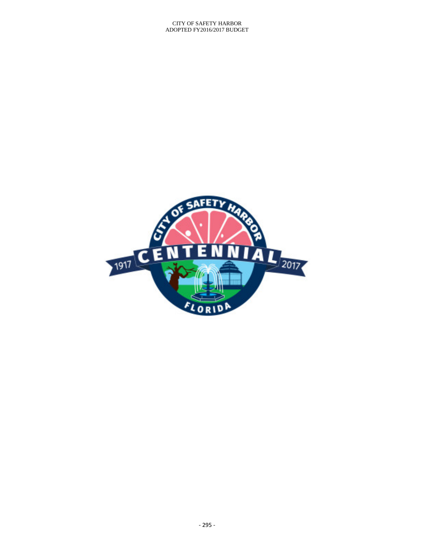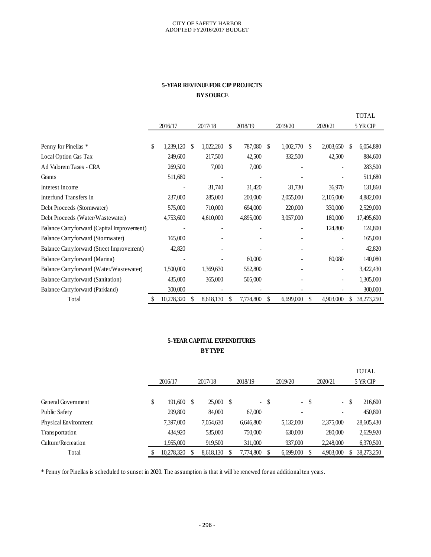### **5-YEAR REVENUE FOR CIP PROJECTS BY SOURCE**

|                                            |    |            |    |           |                 |    |           |    |                          |               | TOTAL      |
|--------------------------------------------|----|------------|----|-----------|-----------------|----|-----------|----|--------------------------|---------------|------------|
|                                            |    | 2016/17    |    | 2017/18   | 2018/19         |    | 2019/20   |    | 2020/21                  |               | 5 YR CIP   |
|                                            |    |            |    |           |                 |    |           |    |                          |               |            |
| Penny for Pinellas *                       | \$ | 1,239,120  | S  | 1,022,260 | \$<br>787,080   | -S | 1,002,770 | -S | 2,003,650                | <sup>\$</sup> | 6,054,880  |
| Local Option Gas Tax                       |    | 249,600    |    | 217,500   | 42,500          |    | 332,500   |    | 42,500                   |               | 884,600    |
| Ad Valorem Taxes - CRA                     |    | 269,500    |    | 7,000     | 7,000           |    |           |    |                          |               | 283,500    |
| Grants                                     |    | 511,680    |    |           |                 |    |           |    |                          |               | 511,680    |
| Interest Income                            |    |            |    | 31,740    | 31,420          |    | 31,730    |    | 36,970                   |               | 131,860    |
| Interfund Transfers In                     |    | 237,000    |    | 285,000   | 200,000         |    | 2,055,000 |    | 2,105,000                |               | 4,882,000  |
| Debt Proceeds (Stormwater)                 |    | 575,000    |    | 710,000   | 694,000         |    | 220,000   |    | 330,000                  |               | 2,529,000  |
| Debt Proceeds (Water/Wastewater)           |    | 4,753,600  |    | 4,610,000 | 4,895,000       |    | 3,057,000 |    | 180,000                  |               | 17,495,600 |
| Balance Carryforward (Capital Improvement) |    |            |    |           |                 |    |           |    | 124,800                  |               | 124,800    |
| Balance Carryforward (Stormwater)          |    | 165,000    |    |           |                 |    |           |    |                          |               | 165,000    |
| Balance Carryforward (Street Improvement)  |    | 42,820     |    |           |                 |    |           |    |                          |               | 42,820     |
| Balance Carryforward (Marina)              |    |            |    |           | 60,000          |    |           |    | 80,080                   |               | 140,080    |
| Balance Carryforward (Water/Wastewater)    |    | 1,500,000  |    | 1,369,630 | 552,800         |    |           |    | $\overline{\phantom{a}}$ |               | 3,422,430  |
| Balance Carryforward (Sanitation)          |    | 435,000    |    | 365,000   | 505,000         |    |           |    |                          |               | 1,305,000  |
| Balance Carryforward (Parkland)            |    | 300,000    |    |           |                 |    |           |    |                          |               | 300,000    |
| Total                                      | S  | 10,278,320 | \$ | 8,618,130 | \$<br>7,774,800 | \$ | 6,699,000 | \$ | 4,903,000                |               | 38,273,250 |

#### **5-YEAR CAPITAL EXPENDITURES BY TYPE**

|                      |                  |           |                          |   |                          |   |                          | <b>TOTAL</b>  |
|----------------------|------------------|-----------|--------------------------|---|--------------------------|---|--------------------------|---------------|
|                      | 2016/17          | 2017/18   | 2018/19                  |   | 2019/20                  |   | 2020/21                  | 5 YR CIP      |
|                      |                  |           |                          |   |                          |   |                          |               |
| General Government   | \$<br>191,600 \$ | 25,000 \$ | $\overline{\phantom{a}}$ | S | $\overline{\phantom{a}}$ | S | $\overline{\phantom{a}}$ | \$<br>216,600 |
| Public Safety        | 299,800          | 84,000    | 67,000                   |   | $\overline{\phantom{a}}$ |   | $\overline{\phantom{a}}$ | 450,800       |
| Physical Environment | 7,397,000        | 7,054,630 | 6,646,800                |   | 5,132,000                |   | 2,375,000                | 28,605,430    |
| Transportation       | 434,920          | 535,000   | 750,000                  |   | 630,000                  |   | 280,000                  | 2,629,920     |
| Culture/Recreation   | 1,955,000        | 919,500   | 311,000                  |   | 937,000                  |   | 2,248,000                | 6,370,500     |
| Total                | \$<br>10,278,320 | 8,618,130 | 7,774,800                |   | 6,699,000                |   | 4,903,000                | 38,273,250    |

\* Penny for Pinellas is scheduled to sunset in 2020. The assumption is that it will be renewed for an additional ten years.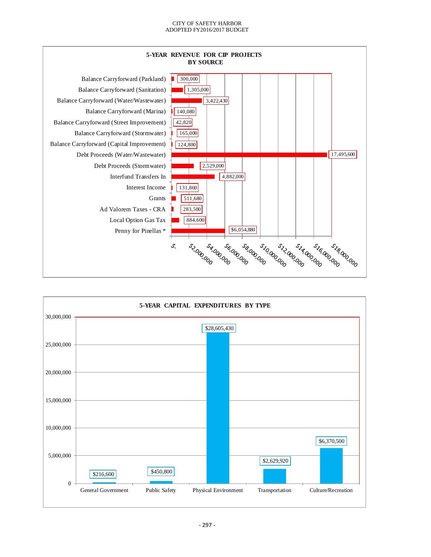

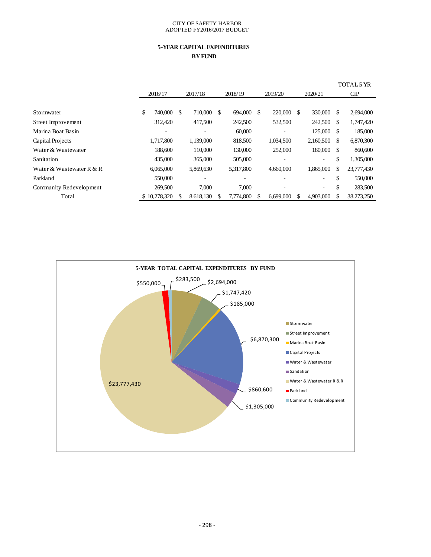#### **5-YEAR CAPITAL EXPENDITURES BY FUND**

|                                |               |    |                          |           |         |           |                          |     | <b>TOTAL 5 YR</b> |  |
|--------------------------------|---------------|----|--------------------------|-----------|---------|-----------|--------------------------|-----|-------------------|--|
|                                | 2016/17       |    | 2017/18                  | 2018/19   | 2019/20 |           | 2020/21                  | CIP |                   |  |
|                                |               |    |                          |           |         |           |                          |     |                   |  |
| Stormwater                     | \$<br>740,000 | \$ | 710,000 \$               | 694,000   | \$      | 220,000   | \$<br>330,000            | \$  | 2,694,000         |  |
| Street Improvement             | 312,420       |    | 417.500                  | 242,500   |         | 532,500   | 242,500                  | \$  | 1,747,420         |  |
| Marina Boat Basin              |               |    |                          | 60,000    |         |           | 125,000                  | -\$ | 185,000           |  |
| Capital Projects               | 1,717,800     |    | 1,139,000                | 818,500   |         | 1,034,500 | 2,160,500                | S   | 6,870,300         |  |
| Water & Wastewater             | 188,600       |    | 110,000                  | 130,000   |         | 252,000   | 180,000                  | \$  | 860,600           |  |
| Sanitation                     | 435,000       |    | 365,000                  | 505,000   |         |           | ٠                        | \$  | 1,305,000         |  |
| Water $\&$ Wastewater R $\&$ R | 6,065,000     |    | 5,869,630                | 5,317,800 |         | 4,660,000 | 1,865,000                | \$  | 23,777,430        |  |
| Parkland                       | 550,000       |    | $\overline{\phantom{0}}$ | ٠         |         |           | ٠                        | \$  | 550,000           |  |
| Community Redevelopment        | 269,500       |    | 7,000                    | 7,000     |         |           | $\overline{\phantom{0}}$ | \$  | 283,500           |  |
| Total                          | 10,278,320    |    | 8,618,130                | 7,774,800 | \$      | 6,699,000 | 4,903,000                | \$  | 38,273,250        |  |

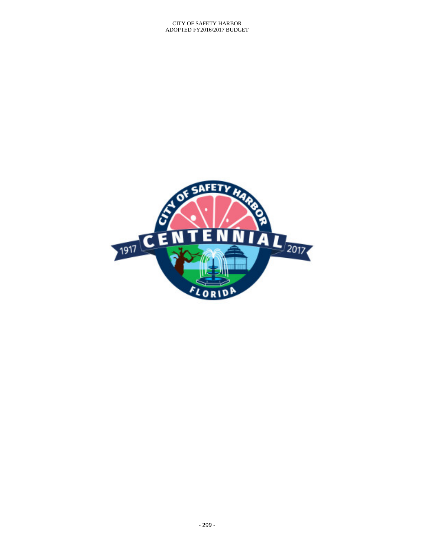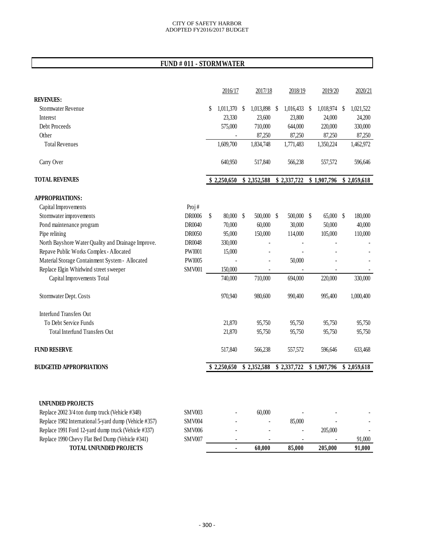#### **FUND # 011 - STORMWATER**

|                                                       |               | 2016/17            | 2017/18     |     | 2018/19                  | 2019/20         |   | 2020/21     |
|-------------------------------------------------------|---------------|--------------------|-------------|-----|--------------------------|-----------------|---|-------------|
| <b>REVENUES:</b>                                      |               |                    |             |     |                          |                 |   |             |
| <b>Stormwater Revenue</b>                             |               | \$<br>1,011,370 \$ | 1,013,898   | - S | 1,016,433                | \$<br>1,018,974 | S | 1,021,522   |
| Interest                                              |               | 23,330             | 23,600      |     | 23,800                   | 24,000          |   | 24,200      |
| Debt Proceeds                                         |               | 575,000            | 710,000     |     | 644,000                  | 220,000         |   | 330,000     |
| Other                                                 |               |                    | 87,250      |     | 87,250                   | 87,250          |   | 87,250      |
| <b>Total Revenues</b>                                 |               | 1,609,700          | 1,834,748   |     | 1,771,483                | 1,350,224       |   | 1,462,972   |
| Carry Over                                            |               | 640,950            | 517,840     |     | 566,238                  | 557,572         |   | 596,646     |
| <b>TOTAL REVENUES</b>                                 |               | \$2,250,650        | \$2,352,588 |     | \$2,337,722              | \$1,907,796     |   | \$2,059,618 |
| <b>APPROPRIATIONS:</b>                                |               |                    |             |     |                          |                 |   |             |
| Capital Improvements                                  | Proj#         |                    |             |     |                          |                 |   |             |
| Stormwater improvements                               | DR0006        | \$<br>80,000 \$    | 500,000 \$  |     | 500,000 \$               | 65,000 \$       |   | 180,000     |
| Pond maintenance program                              | DR0040        | 70,000             | 60,000      |     | 30,000                   | 50,000          |   | 40,000      |
| Pipe relining                                         | DR0050        | 95,000             | 150,000     |     | 114,000                  | 105,000         |   | 110,000     |
| North Bayshore Water Quality and Drainage Improve.    | DR0048        | 330,000            |             |     |                          |                 |   |             |
| Repave Public Works Complex - Allocated               | <b>PWI001</b> | 15,000             |             |     |                          |                 |   |             |
| Material Storage Containment System - Allocated       | <b>PWI005</b> | ÷,                 |             |     | 50,000                   |                 |   |             |
| Replace Elgin Whirlwind street sweeper                | <b>SMV001</b> | 150,000            |             |     | $\overline{\phantom{a}}$ |                 |   |             |
| Capital Improvements Total                            |               | 740,000            | 710,000     |     | 694,000                  | 220,000         |   | 330,000     |
| Stormwater Dept. Costs                                |               | 970,940            | 980,600     |     | 990,400                  | 995,400         |   | 1,000,400   |
| <b>Interfund Transfers Out</b>                        |               |                    |             |     |                          |                 |   |             |
| To Debt Service Funds                                 |               | 21,870             | 95,750      |     | 95,750                   | 95,750          |   | 95,750      |
| <b>Total Interfund Transfers Out</b>                  |               | 21,870             | 95,750      |     | 95,750                   | 95,750          |   | 95,750      |
| <b>FUND RESERVE</b>                                   |               | 517,840            | 566,238     |     | 557,572                  | 596,646         |   | 633,468     |
| <b>BUDGETED APPROPRIATIONS</b>                        |               | \$2,250,650        | \$2,352,588 |     | \$2,337,722              | \$1,907,796     |   | \$2,059,618 |
|                                                       |               |                    |             |     |                          |                 |   |             |
| <b>UNFUNDED PROJECTS</b>                              |               |                    |             |     |                          |                 |   |             |
| Replace 2002 3/4 ton dump truck (Vehicle #348)        | <b>SMV003</b> |                    | 60,000      |     |                          |                 |   |             |
| Replace 1982 International 5-yard dump (Vehicle #357) | <b>SMV004</b> |                    |             |     | 85,000                   |                 |   |             |
| Replace 1991 Ford 12-yard dump truck (Vehicle #337)   | <b>SMV006</b> |                    |             |     |                          | 205,000         |   |             |
| Replace 1990 Chevy Flat Bed Dump (Vehicle #341)       | <b>SMV007</b> |                    |             |     |                          |                 |   | 91,000      |
| TOTAL UNFUNDED PROJECTS                               |               |                    | 60,000      |     | 85,000                   | 205,000         |   | 91,000      |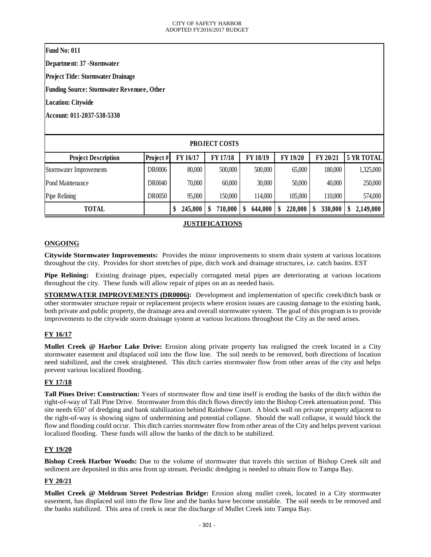**Fund No: 011**

**Department: 37 -Stormwater**

**Project Title: Stormwater Drainage**

**Funding Source: Stormwater Revenuee, Other**

**Location: Citywide**

**Account: 011-2037-538-5330**

| PROJECT COSTS              |           |          |          |              |          |               |                   |  |  |  |  |  |  |
|----------------------------|-----------|----------|----------|--------------|----------|---------------|-------------------|--|--|--|--|--|--|
| <b>Project Description</b> | Project # | FY 16/17 | FY 17/18 | FY 18/19     | FY 19/20 | FY 20/21      | <b>5 YR TOTAL</b> |  |  |  |  |  |  |
| Stormwater Improvements    | DR0006    | 80,000   | 500,000  | 500,000      | 65,000   | 180,000       | 1,325,000         |  |  |  |  |  |  |
| Pond Maintenance           | DR0040    | 70,000   | 60,000   | 30,000       | 50,000   | 40,000        | 250,000           |  |  |  |  |  |  |
| Pipe Relining              | DR0050    | 95,000   | 150,000  | 114,000      | 105,000  | 110,000       | 574,000           |  |  |  |  |  |  |
| <b>TOTAL</b>               |           | 245,000  | 710,000  | 644,000<br>J | 220,000  | 330,000<br>\$ | 2,149,000<br>S.   |  |  |  |  |  |  |

#### **JUSTIFICATIONS**

#### **ONGOING**

**Citywide Stormwater Improvements:** Provides the minor improvements to storm drain system at various locations throughout the city. Provides for short stretches of pipe, ditch work and drainage structures, i.e. catch basins. EST

**Pipe Relining:** Existing drainage pipes, especially corrugated metal pipes are deteriorating at various locations throughout the city. These funds will allow repair of pipes on an as needed basis.

**STORMWATER IMPROVEMENTS (DR0006):** Development and implementation of specific creek/ditch bank or other stormwater structure repair or replacement projects where erosion issues are causing damage to the existing bank, both private and public property, the drainage area and overall stormwater system. The goal of this program is to provide improvements to the citywide storm drainage system at various locations throughout the City as the need arises.

#### **FY 16/17**

**Mullet Creek @ Harbor Lake Drive:** Erosion along private property has realigned the creek located in a City stormwater easement and displaced soil into the flow line. The soil needs to be removed, both directions of location need stabilized, and the creek straightened. This ditch carries stormwater flow from other areas of the city and helps prevent various localized flooding.

#### **FY 17/18**

**Tall Pines Drive: Construction:** Years of stormwater flow and time itself is eroding the banks of the ditch within the right-of-way of Tall Pine Drive. Stormwater from this ditch flows directly into the Bishop Creek attenuation pond. This site needs 650' of dredging and bank stabilization behind Rainbow Court. A block wall on private property adjacent to the right-of-way is showing signs of undermining and potential collapse. Should the wall collapse, it would block the flow and flooding could occur. This ditch carries stormwater flow from other areas of the City and helps prevent various localized flooding. These funds will allow the banks of the ditch to be stabilized.

#### **FY 19/20**

**Bishop Creek Harbor Woods:** Due to the volume of stormwater that travels this section of Bishop Creek silt and sediment are deposited in this area from up stream. Periodic dredging is needed to obtain flow to Tampa Bay.

#### **FY 20/21**

**Mullet Creek @ Meldrum Street Pedestrian Bridge:** Erosion along mullet creek, located in a City stormwater easement, has displaced soil into the flow line and the banks have become unstable. The soil needs to be removed and the banks stabilized. This area of creek is near the discharge of Mullet Creek into Tampa Bay.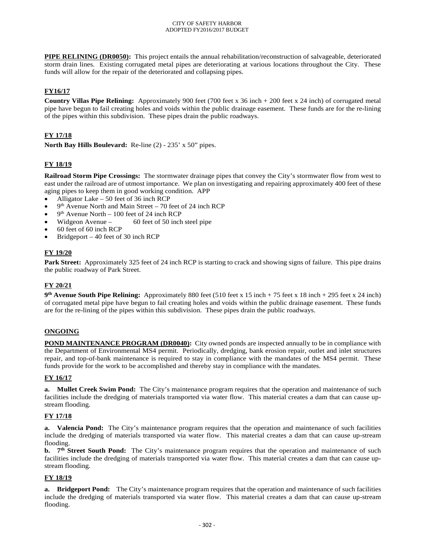**PIPE RELINING (DR0050):** This project entails the annual rehabilitation/reconstruction of salvageable, deteriorated storm drain lines. Existing corrugated metal pipes are deteriorating at various locations throughout the City. These funds will allow for the repair of the deteriorated and collapsing pipes.

#### **FY16/17**

**Country Villas Pipe Relining:** Approximately 900 feet (700 feet x 36 inch + 200 feet x 24 inch) of corrugated metal pipe have begun to fail creating holes and voids within the public drainage easement. These funds are for the re-lining of the pipes within this subdivision. These pipes drain the public roadways.

#### **FY 17/18**

**North Bay Hills Boulevard:** Re-line (2) - 235' x 50" pipes.

#### **FY 18/19**

**Railroad Storm Pipe Crossings:** The stormwater drainage pipes that convey the City's stormwater flow from west to east under the railroad are of utmost importance. We plan on investigating and repairing approximately 400 feet of these aging pipes to keep them in good working condition. APP

- Alligator Lake 50 feet of 36 inch RCP
- 9<sup>th</sup> Avenue North and Main Street 70 feet of 24 inch RCP
- 9th Avenue North 100 feet of 24 inch RCP<br>Widgeon Avenue 60 feet of 50 inch
- $60$  feet of 50 inch steel pipe
- 60 feet of 60 inch RCP
- Bridgeport 40 feet of 30 inch RCP

#### **FY 19/20**

**Park Street:** Approximately 325 feet of 24 inch RCP is starting to crack and showing signs of failure. This pipe drains the public roadway of Park Street.

#### **FY 20/21**

**9th Avenue South Pipe Relining:** Approximately 880 feet (510 feet x 15 inch + 75 feet x 18 inch + 295 feet x 24 inch) of corrugated metal pipe have begun to fail creating holes and voids within the public drainage easement. These funds are for the re-lining of the pipes within this subdivision. These pipes drain the public roadways.

#### **ONGOING**

**POND MAINTENANCE PROGRAM (DR0040):** City owned ponds are inspected annually to be in compliance with the Department of Environmental MS4 permit. Periodically, dredging, bank erosion repair, outlet and inlet structures repair, and top-of-bank maintenance is required to stay in compliance with the mandates of the MS4 permit. These funds provide for the work to be accomplished and thereby stay in compliance with the mandates.

#### **FY 16/17**

**a. Mullet Creek Swim Pond:** The City's maintenance program requires that the operation and maintenance of such facilities include the dredging of materials transported via water flow. This material creates a dam that can cause upstream flooding.

#### **FY 17/18**

**a. Valencia Pond:** The City's maintenance program requires that the operation and maintenance of such facilities include the dredging of materials transported via water flow. This material creates a dam that can cause up-stream flooding.

**b. 7<sup>th</sup> Street South Pond:** The City's maintenance program requires that the operation and maintenance of such facilities include the dredging of materials transported via water flow. This material creates a dam that can cause upstream flooding.

#### **FY 18/19**

**a. Bridgeport Pond:** The City's maintenance program requires that the operation and maintenance of such facilities include the dredging of materials transported via water flow. This material creates a dam that can cause up-stream flooding.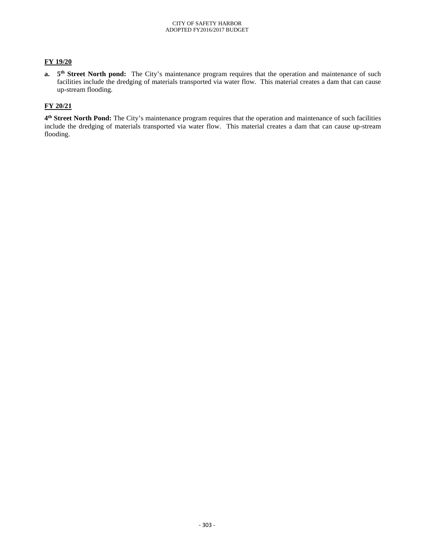#### **FY 19/20**

**a. 5<sup>th</sup> Street North pond:** The City's maintenance program requires that the operation and maintenance of such facilities include the dredging of materials transported via water flow. This material creates a dam that can cause up-stream flooding.

#### **FY 20/21**

**4th Street North Pond:** The City's maintenance program requires that the operation and maintenance of such facilities include the dredging of materials transported via water flow. This material creates a dam that can cause up-stream flooding.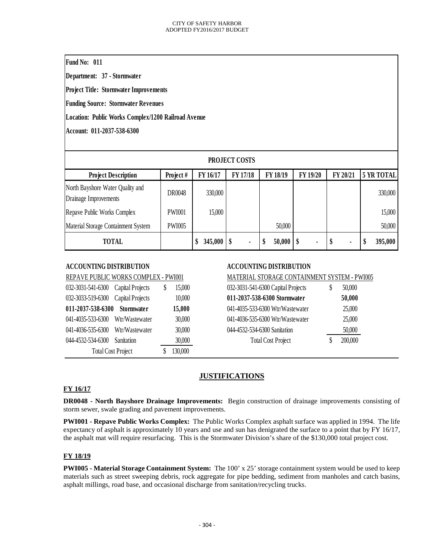**Fund No: 011**

**Department: 37 - Stormwater**

**Project Title: Stormwater Improvements**

**Funding Source: Stormwater Revenues**

**Location: Public Works Complex/1200 Railroad Avenue**

**Account: 011-2037-538-6300**

| <b>PROJECT COSTS</b>                                      |               |          |          |          |          |          |            |  |  |  |  |  |  |  |
|-----------------------------------------------------------|---------------|----------|----------|----------|----------|----------|------------|--|--|--|--|--|--|--|
| <b>Project Description</b>                                | Project#      | FY 16/17 | FY 17/18 | FY 18/19 | FY 19/20 | FY 20/21 | 5 YR TOTAL |  |  |  |  |  |  |  |
| North Bayshore Water Quality and<br>Drainage Improvements | DR0048        | 330,000  |          |          |          |          | 330,000    |  |  |  |  |  |  |  |
| Repave Public Works Complex                               | <b>PWI001</b> | 15,000   |          |          |          |          | 15,000     |  |  |  |  |  |  |  |
| Material Storage Containment System                       | <b>PWI005</b> |          |          | 50,000   |          |          | 50,000     |  |  |  |  |  |  |  |
| <b>TOTAL</b>                                              |               | 345,000  | ۰        | 50,000   | \$<br>٠  | - 10     | 395,000    |  |  |  |  |  |  |  |

| REPAVE PUBLIC WORKS COMPLEX - PWI001 |                         |   |         |  |  |  |  |  |  |
|--------------------------------------|-------------------------|---|---------|--|--|--|--|--|--|
| 032-3031-541-6300                    | <b>Capital Projects</b> | S | 15,000  |  |  |  |  |  |  |
| 032-3033-519-6300                    | <b>Capital Projects</b> |   | 10,000  |  |  |  |  |  |  |
| 011-2037-538-6300                    | <b>Stormwater</b>       |   | 15,000  |  |  |  |  |  |  |
| 041-4035-533-6300                    | Wtr/Wastewater          |   | 30,000  |  |  |  |  |  |  |
| 041-4036-535-6300                    | Wtr/Wastewater          |   | 30,000  |  |  |  |  |  |  |
| 044-4532-534-6300                    | Sanitation              |   | 30,000  |  |  |  |  |  |  |
| <b>Total Cost Project</b>            |                         |   | 130,000 |  |  |  |  |  |  |

#### **ACCOUNTING DISTRIBUTION ACCOUNTING DISTRIBUTION**

MATERIAL STORAGE CONTAINMENT SYSTEM - PWI005

| 032-3031-541-6300 Capital Projects |                   | 15,000 | 032-3031-541-6300 Capital Projects | 50,000  |
|------------------------------------|-------------------|--------|------------------------------------|---------|
| 032-3033-519-6300                  | Capital Projects  | 10,000 | 011-2037-538-6300 Stormwater       | 50,000  |
| 011-2037-538-6300                  | <b>Stormwater</b> | 15,000 | 041-4035-533-6300 Wtr/Wastewater   | 25,000  |
| 041-4035-533-6300                  | Wtr/Wastewater    | 30,000 | 041-4036-535-6300 Wtr/Wastewater   | 25,000  |
| 041-4036-535-6300                  | Wtr/Wastewater    | 30,000 | 044-4532-534-6300 Sanitation       | 50,000  |
| 044-4532-534-6300                  | <b>Sanitation</b> | 30,000 | <b>Total Cost Project</b>          | 200,000 |
|                                    |                   |        |                                    |         |

### **JUSTIFICATIONS**

#### **FY 16/17**

**DR0048 - North Bayshore Drainage Improvements:** Begin construction of drainage improvements consisting of storm sewer, swale grading and pavement improvements.

**PWI001 - Repave Public Works Complex:** The Public Works Complex asphalt surface was applied in 1994. The life expectancy of asphalt is approximately 10 years and use and sun has denigrated the surface to a point that by FY 16/17, the asphalt mat will require resurfacing. This is the Stormwater Division's share of the \$130,000 total project cost.

#### **FY 18/19**

**PWI005 - Material Storage Containment System:** The 100' x 25' storage containment system would be used to keep materials such as street sweeping debris, rock aggregate for pipe bedding, sediment from manholes and catch basins, asphalt millings, road base, and occasional discharge from sanitation/recycling trucks.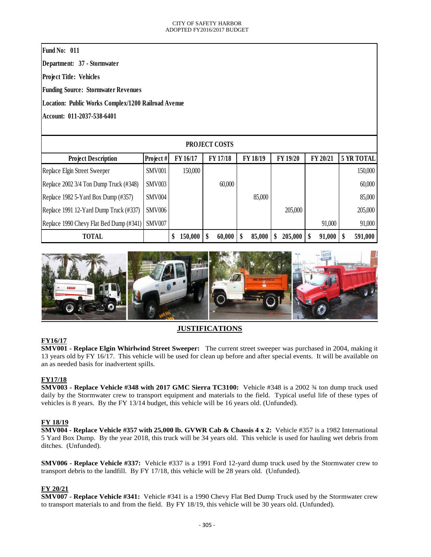**Fund No: 011 Department: 37 - Stormwater Account: 011-2037-538-6401 Project Title: Vehicles Funding Source: Stormwater Revenues Location: Public Works Complex/1200 Railroad Avenue**

| <b>PROJECT COSTS</b>                    |               |          |          |          |          |          |                   |  |  |  |  |
|-----------------------------------------|---------------|----------|----------|----------|----------|----------|-------------------|--|--|--|--|
| <b>Project Description</b>              | Project #     | FY 16/17 | FY 17/18 | FY 18/19 | FY 19/20 | FY 20/21 | <b>5 YR TOTAL</b> |  |  |  |  |
| Replace Elgin Street Sweeper            | <b>SMV001</b> | 150,000  |          |          |          |          | 150,000           |  |  |  |  |
| Replace 2002 3/4 Ton Dump Truck (#348)  | <b>SMV003</b> |          | 60,000   |          |          |          | 60,000            |  |  |  |  |
| Replace 1982 5-Yard Box Dump (#357)     | <b>SMV004</b> |          |          | 85,000   |          |          | 85,000            |  |  |  |  |
| Replace 1991 12-Yard Dump Truck (#337)  | <b>SMV006</b> |          |          |          | 205,000  |          | 205,000           |  |  |  |  |
| Replace 1990 Chevy Flat Bed Dump (#341) | <b>SMV007</b> |          |          |          |          | 91,000   | 91,000            |  |  |  |  |
| TOTAL                                   |               | 150,000  | 60,000   | 85,000   | 205,000  | 91,000   | 591,000           |  |  |  |  |



### **JUSTIFICATIONS**

### **FY16/17**

**SMV001 - Replace Elgin Whirlwind Street Sweeper:** The current street sweeper was purchased in 2004, making it 13 years old by FY 16/17. This vehicle will be used for clean up before and after special events. It will be available on an as needed basis for inadvertent spills.

#### **FY17/18**

**SMV003 - Replace Vehicle #348 with 2017 GMC Sierra TC3100:** Vehicle #348 is a 2002 ¾ ton dump truck used daily by the Stormwater crew to transport equipment and materials to the field. Typical useful life of these types of vehicles is 8 years. By the FY 13/14 budget, this vehicle will be 16 years old. (Unfunded).

#### **FY 18/19**

**SMV004 - Replace Vehicle #357 with 25,000 lb. GVWR Cab & Chassis 4 x 2:** Vehicle #357 is a 1982 International 5 Yard Box Dump. By the year 2018, this truck will be 34 years old. This vehicle is used for hauling wet debris from ditches. (Unfunded).

**SMV006 - Replace Vehicle #337:** Vehicle #337 is a 1991 Ford 12-yard dump truck used by the Stormwater crew to transport debris to the landfill. By FY 17/18, this vehicle will be 28 years old. (Unfunded).

#### **FY 20/21**

**SMV007 - Replace Vehicle #341:** Vehicle #341 is a 1990 Chevy Flat Bed Dump Truck used by the Stormwater crew to transport materials to and from the field. By FY 18/19, this vehicle will be 30 years old. (Unfunded).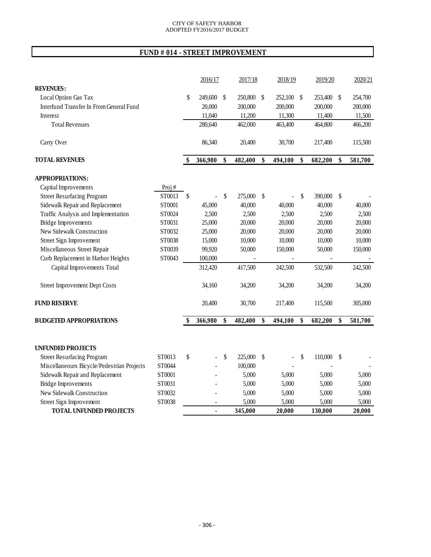### **FUND # 014 - STREET IMPROVEMENT**

|                                            |        | 2016/17                        |               | 2017/18    |     | 2018/19        | 2019/20       |               | 2020/21 |
|--------------------------------------------|--------|--------------------------------|---------------|------------|-----|----------------|---------------|---------------|---------|
| <b>REVENUES:</b>                           |        |                                |               |            |     |                |               |               |         |
| Local Option Gas Tax                       |        | \$<br>249,600 \$               |               | 250,800 \$ |     | 252,100 \$     | 253,400 \$    |               | 254,700 |
| Interfund Transfer In From General Fund    |        | 20,000                         |               | 200,000    |     | 200,000        | 200,000       |               | 200,000 |
| Interest                                   |        | 11,040                         |               | 11,200     |     | 11,300         | 11,400        |               | 11,500  |
| <b>Total Revenues</b>                      |        | 280,640                        |               | 462,000    |     | 463,400        | 464,800       |               | 466,200 |
| Carry Over                                 |        | 86,340                         |               | 20,400     |     | 30,700         | 217,400       |               | 115,500 |
| <b>TOTAL REVENUES</b>                      |        | \$<br>366,980                  | \$            | 482,400    | \$  | 494,100        | \$<br>682,200 | \$            | 581,700 |
| <b>APPROPRIATIONS:</b>                     |        |                                |               |            |     |                |               |               |         |
| Capital Improvements                       | Proj#  |                                |               |            |     |                |               |               |         |
| <b>Street Resurfacing Program</b>          | ST0013 | \$                             | $\mathcal{S}$ | 275,000    | -\$ |                | \$<br>390,000 | $\mathcal{S}$ |         |
| Sidewalk Repair and Replacement            | ST0001 | 45,000                         |               | 40,000     |     | 40,000         | 40,000        |               | 40,000  |
| Traffic Analysis and Implementation        | ST0024 | 2,500                          |               | 2,500      |     | 2,500          | 2,500         |               | 2,500   |
| <b>Bridge Improvements</b>                 | ST0031 | 25,000                         |               | 20,000     |     | 20,000         | 20,000        |               | 20,000  |
| New Sidewalk Construction                  | ST0032 | 25,000                         |               | 20,000     |     | 20,000         | 20,000        |               | 20,000  |
| Street Sign Improvement                    | ST0038 | 15,000                         |               | 10,000     |     | 10,000         | 10,000        |               | 10,000  |
| Miscellaneous Street Repair                | ST0039 | 99,920                         |               | 50,000     |     | 150,000        | 50,000        |               | 150,000 |
| Curb Replacement in Harbor Heights         | ST0043 | 100,000                        |               |            |     |                |               |               |         |
| Capital Improvements Total                 |        | 312,420                        |               | 417,500    |     | 242,500        | 532,500       |               | 242,500 |
| Street Improvement Dept Costs              |        | 34,160                         |               | 34,200     |     | 34,200         | 34,200        |               | 34,200  |
| <b>FUND RESERVE</b>                        |        | 20,400                         |               | 30,700     |     | 217,400        | 115,500       |               | 305,000 |
| <b>BUDGETED APPROPRIATIONS</b>             |        | \$<br>366,980                  | \$            | 482,400    | \$  | 494,100        | \$<br>682,200 | \$            | 581,700 |
|                                            |        |                                |               |            |     |                |               |               |         |
| <b>UNFUNDED PROJECTS</b>                   |        |                                |               |            |     |                |               |               |         |
| <b>Street Resurfacing Program</b>          | ST0013 | \$<br>$\overline{\phantom{a}}$ | \$            | 225,000    | \$  | $\overline{a}$ | \$<br>110,000 | <sup>\$</sup> |         |
| Miscellaneours Bicycle/Pedestrian Projects | ST0044 |                                |               | 100,000    |     |                |               |               |         |
| Sidewalk Repair and Replacement            | ST0001 |                                |               | 5,000      |     | 5,000          | 5,000         |               | 5,000   |
| <b>Bridge Improvements</b>                 | ST0031 |                                |               | 5,000      |     | 5,000          | 5,000         |               | 5,000   |
| New Sidewalk Construction                  | ST0032 |                                |               | 5,000      |     | 5,000          | 5,000         |               | 5,000   |
| Street Sign Improvement                    | ST0038 |                                |               | 5,000      |     | 5,000          | 5,000         |               | 5,000   |
| <b>TOTAL UNFUNDED PROJECTS</b>             |        | $\overline{a}$                 |               | 345,000    |     | 20,000         | 130,000       |               | 20,000  |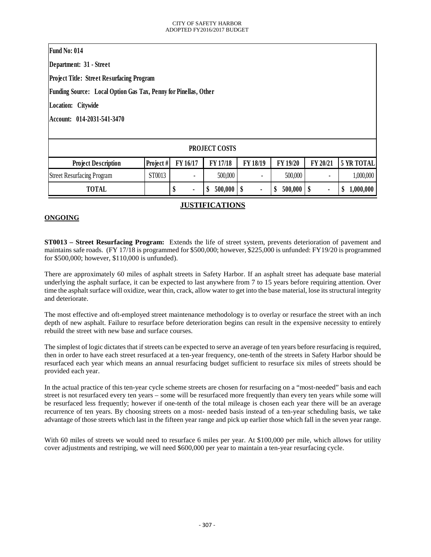| Fund No: 014                                                           |          |          |               |          |          |          |                 |  |  |  |
|------------------------------------------------------------------------|----------|----------|---------------|----------|----------|----------|-----------------|--|--|--|
| Department: 31 - Street                                                |          |          |               |          |          |          |                 |  |  |  |
| <b>Project Title: Street Resurfacing Program</b>                       |          |          |               |          |          |          |                 |  |  |  |
| <b>Funding Source:</b> Local Option Gas Tax, Penny for Pinellas, Other |          |          |               |          |          |          |                 |  |  |  |
| Location: Citywide                                                     |          |          |               |          |          |          |                 |  |  |  |
| Account: 014-2031-541-3470                                             |          |          |               |          |          |          |                 |  |  |  |
|                                                                        |          |          |               |          |          |          |                 |  |  |  |
|                                                                        |          |          | PROJECT COSTS |          |          |          |                 |  |  |  |
| <b>Project Description</b>                                             | Project# | FY 16/17 | FY 17/18      | FY 18/19 | FY 19/20 | FY 20/21 | 5 YR TOTAL      |  |  |  |
| <b>Street Resurfacing Program</b>                                      | ST0013   |          | 500,000       | ٠        | 500,000  |          | 1,000,000       |  |  |  |
| <b>TOTAL</b>                                                           |          | \$       | \$<br>500,000 | \$<br>٠  | 500,000  | \$       | 1,000,000<br>\$ |  |  |  |

#### **ONGOING**

**ST0013 – Street Resurfacing Program:** Extends the life of street system, prevents deterioration of pavement and maintains safe roads. (FY 17/18 is programmed for \$500,000; however, \$225,000 is unfunded: FY19/20 is programmed for \$500,000; however, \$110,000 is unfunded).

There are approximately 60 miles of asphalt streets in Safety Harbor. If an asphalt street has adequate base material underlying the asphalt surface, it can be expected to last anywhere from 7 to 15 years before requiring attention. Over time the asphalt surface will oxidize, wear thin, crack, allow water to get into the base material, lose its structural integrity and deteriorate.

The most effective and oft-employed street maintenance methodology is to overlay or resurface the street with an inch depth of new asphalt. Failure to resurface before deterioration begins can result in the expensive necessity to entirely rebuild the street with new base and surface courses.

The simplest of logic dictates that if streets can be expected to serve an average of ten years before resurfacing is required, then in order to have each street resurfaced at a ten-year frequency, one-tenth of the streets in Safety Harbor should be resurfaced each year which means an annual resurfacing budget sufficient to resurface six miles of streets should be provided each year.

In the actual practice of this ten-year cycle scheme streets are chosen for resurfacing on a "most-needed" basis and each street is not resurfaced every ten years – some will be resurfaced more frequently than every ten years while some will be resurfaced less frequently; however if one-tenth of the total mileage is chosen each year there will be an average recurrence of ten years. By choosing streets on a most- needed basis instead of a ten-year scheduling basis, we take advantage of those streets which last in the fifteen year range and pick up earlier those which fall in the seven year range.

With 60 miles of streets we would need to resurface 6 miles per year. At \$100,000 per mile, which allows for utility cover adjustments and restriping, we will need \$600,000 per year to maintain a ten-year resurfacing cycle.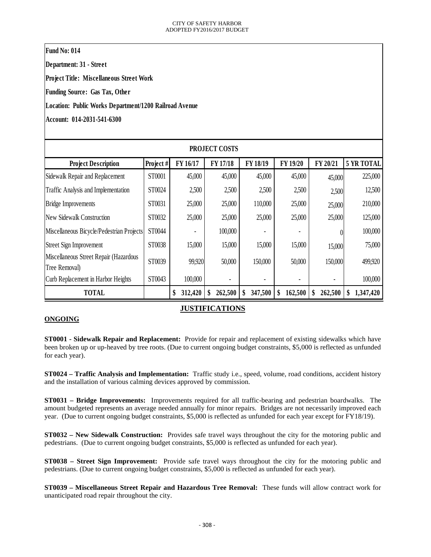**Fund No: 014**

**Department: 31 - Street**

**Project Title: Miscellaneous Street Work**

**Funding Source: Gas Tax, Other**

**Location: Public Works Department/1200 Railroad Avenue**

**Account: 014-2031-541-6300**

| PROJECT COSTS                                           |          |               |          |                          |          |          |                 |  |  |  |  |
|---------------------------------------------------------|----------|---------------|----------|--------------------------|----------|----------|-----------------|--|--|--|--|
| <b>Project Description</b>                              | Project# | FY 16/17      | FY 17/18 | FY 18/19                 | FY 19/20 | FY 20/21 | 5 YR TOTAL      |  |  |  |  |
| Sidewalk Repair and Replacement                         | ST0001   | 45,000        | 45,000   | 45,000                   | 45,000   | 45,000   | 225,000         |  |  |  |  |
| Traffic Analysis and Implementation                     | ST0024   | 2,500         | 2,500    | 2,500                    | 2,500    | 2,500    | 12,500          |  |  |  |  |
| <b>Bridge Improvements</b>                              | ST0031   | 25,000        | 25,000   | 110,000                  | 25,000   | 25,000   | 210,000         |  |  |  |  |
| New Sidewalk Construction                               | ST0032   | 25,000        | 25,000   | 25,000                   | 25,000   | 25,000   | 125,000         |  |  |  |  |
| Miscellaneous Bicycle/Pedestrian Projects               | ST0044   |               | 100,000  | $\overline{\phantom{0}}$ |          | 0        | 100,000         |  |  |  |  |
| Street Sign Improvement                                 | ST0038   | 15,000        | 15,000   | 15,000                   | 15,000   | 15,000   | 75,000          |  |  |  |  |
| Miscellaneous Street Repair (Hazardous<br>Tree Removal) | ST0039   | 99,920        | 50,000   | 150,000                  | 50,000   | 150,000  | 499,920         |  |  |  |  |
| Curb Replacement in Harbor Heights                      | ST0043   | 100,000       |          |                          |          |          | 100,000         |  |  |  |  |
| <b>TOTAL</b>                                            |          | 312,420<br>\$ | 262,500  | 347,500                  | 162,500  | 262,500  | 1,347,420<br>\$ |  |  |  |  |

### **JUSTIFICATIONS**

#### **ONGOING**

**ST0001 - Sidewalk Repair and Replacement:** Provide for repair and replacement of existing sidewalks which have been broken up or up-heaved by tree roots. (Due to current ongoing budget constraints, \$5,000 is reflected as unfunded for each year).

**ST0024 – Traffic Analysis and Implementation:** Traffic study i.e., speed, volume, road conditions, accident history and the installation of various calming devices approved by commission.

**ST0031 – Bridge Improvements:** Improvements required for all traffic-bearing and pedestrian boardwalks. The amount budgeted represents an average needed annually for minor repairs. Bridges are not necessarily improved each year. (Due to current ongoing budget constraints, \$5,000 is reflected as unfunded for each year except for FY18/19).

**ST0032 – New Sidewalk Construction:** Provides safe travel ways throughout the city for the motoring public and pedestrians. (Due to current ongoing budget constraints, \$5,000 is reflected as unfunded for each year).

**ST0038 – Street Sign Improvement:** Provide safe travel ways throughout the city for the motoring public and pedestrians. (Due to current ongoing budget constraints, \$5,000 is reflected as unfunded for each year).

**ST0039 – Miscellaneous Street Repair and Hazardous Tree Removal:** These funds will allow contract work for unanticipated road repair throughout the city.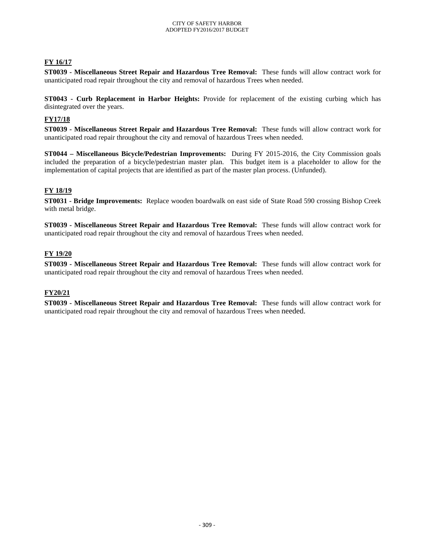#### **FY 16/17**

**ST0039 - Miscellaneous Street Repair and Hazardous Tree Removal:** These funds will allow contract work for unanticipated road repair throughout the city and removal of hazardous Trees when needed.

**ST0043 - Curb Replacement in Harbor Heights:** Provide for replacement of the existing curbing which has disintegrated over the years.

#### **FY17/18**

**ST0039 - Miscellaneous Street Repair and Hazardous Tree Removal:** These funds will allow contract work for unanticipated road repair throughout the city and removal of hazardous Trees when needed.

**ST0044 – Miscellaneous Bicycle/Pedestrian Improvements:** During FY 2015-2016, the City Commission goals included the preparation of a bicycle/pedestrian master plan. This budget item is a placeholder to allow for the implementation of capital projects that are identified as part of the master plan process. (Unfunded).

#### **FY 18/19**

**ST0031 - Bridge Improvements:** Replace wooden boardwalk on east side of State Road 590 crossing Bishop Creek with metal bridge.

**ST0039 - Miscellaneous Street Repair and Hazardous Tree Removal:** These funds will allow contract work for unanticipated road repair throughout the city and removal of hazardous Trees when needed.

#### **FY 19/20**

**ST0039 - Miscellaneous Street Repair and Hazardous Tree Removal:** These funds will allow contract work for unanticipated road repair throughout the city and removal of hazardous Trees when needed.

#### **FY20/21**

**ST0039 - Miscellaneous Street Repair and Hazardous Tree Removal:** These funds will allow contract work for unanticipated road repair throughout the city and removal of hazardous Trees when needed.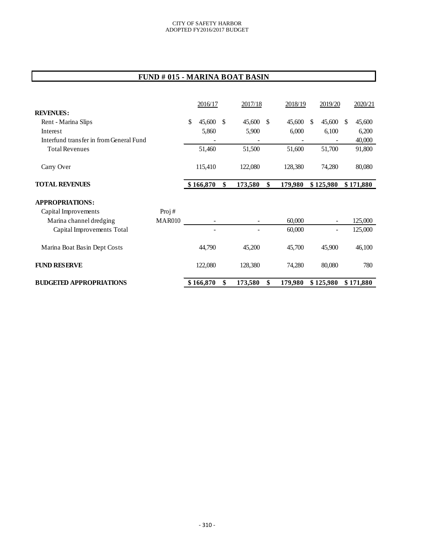### **FUND # 015 - MARINA BOAT BASIN**

|                                         |               | 2016/17      |               | 2017/18 |               | 2018/19 | 2019/20      | 2020/21     |
|-----------------------------------------|---------------|--------------|---------------|---------|---------------|---------|--------------|-------------|
| <b>REVENUES:</b>                        |               |              |               |         |               |         |              |             |
| Rent - Marina Slips                     |               | \$<br>45,600 | <sup>\$</sup> | 45,600  | <sup>\$</sup> | 45,600  | 45,600<br>-S | 45,600<br>S |
| Interest                                |               | 5,860        |               | 5,900   |               | 6,000   | 6,100        | 6,200       |
| Interfund transfer in from General Fund |               |              |               |         |               |         |              | 40,000      |
| <b>Total Revenues</b>                   |               | 51,460       |               | 51,500  |               | 51,600  | 51,700       | 91,800      |
| Carry Over                              |               | 115,410      |               | 122,080 |               | 128,380 | 74,280       | 80,080      |
| <b>TOTAL REVENUES</b>                   |               | \$166,870    | \$            | 173,580 | \$            | 179,980 | \$125,980    | \$171,880   |
| <b>APPROPRIATIONS:</b>                  |               |              |               |         |               |         |              |             |
| Capital Improvements                    | Proj#         |              |               |         |               |         |              |             |
| Marina channel dredging                 | <b>MAR010</b> |              |               |         |               | 60,000  |              | 125,000     |
| Capital Improvements Total              |               |              |               |         |               | 60,000  |              | 125,000     |
| Marina Boat Basin Dept Costs            |               | 44,790       |               | 45,200  |               | 45,700  | 45,900       | 46,100      |
| <b>FUND RESERVE</b>                     |               | 122,080      |               | 128,380 |               | 74,280  | 80,080       | 780         |
| <b>BUDGETED APPROPRIATIONS</b>          |               | \$166,870    | \$            | 173,580 | \$            | 179,980 | \$125,980    | \$171,880   |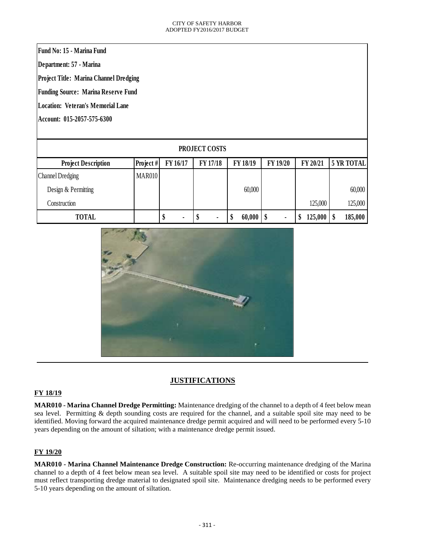**Fund No: 15 - Marina Fund**

**Department: 57 - Marina**

**Project Title: Marina Channel Dredging**

**Funding Source: Marina Reserve Fund**

**Location: Veteran's Memorial Lane**

**Account: 015-2057-575-6300**

| PROJECT COSTS              |               |          |          |          |          |               |            |  |  |  |
|----------------------------|---------------|----------|----------|----------|----------|---------------|------------|--|--|--|
| <b>Project Description</b> | Project#      | FY 16/17 | FY 17/18 | FY 18/19 | FY 19/20 | FY 20/21      | 5 YR TOTAL |  |  |  |
| <b>Channel Dredging</b>    | <b>MAR010</b> |          |          |          |          |               |            |  |  |  |
| Design & Permitting        |               |          |          | 60,000   |          |               | 60,000     |  |  |  |
| Construction               |               |          |          |          |          | 125,000       | 125,000    |  |  |  |
| <b>TOTAL</b>               |               |          |          | 60,000   | ٠        | 125,000<br>\$ | 185,000    |  |  |  |



### **JUSTIFICATIONS**

#### **FY 18/19**

**MAR010 - Marina Channel Dredge Permitting:** Maintenance dredging of the channel to a depth of 4 feet below mean sea level. Permitting & depth sounding costs are required for the channel, and a suitable spoil site may need to be identified. Moving forward the acquired maintenance dredge permit acquired and will need to be performed every 5-10 years depending on the amount of siltation; with a maintenance dredge permit issued.

#### **FY 19/20**

**MAR010 - Marina Channel Maintenance Dredge Construction:** Re-occurring maintenance dredging of the Marina channel to a depth of 4 feet below mean sea level. A suitable spoil site may need to be identified or costs for project must reflect transporting dredge material to designated spoil site. Maintenance dredging needs to be performed every 5-10 years depending on the amount of siltation.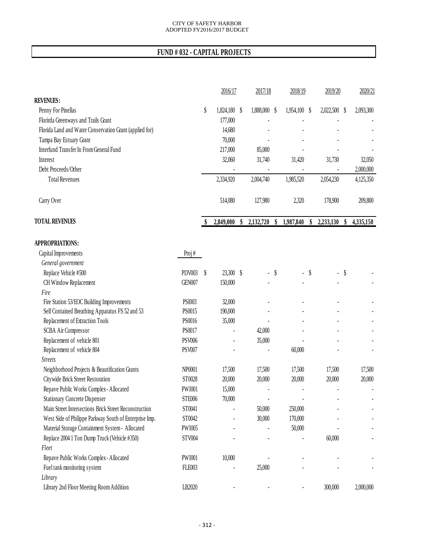### **FUND # 032 - CAPITAL PROJECTS**

|                                                         |                |    | 2016/17      |      | 2017/18      |        | 2018/19      |          | 2019/20      | 2020/21         |
|---------------------------------------------------------|----------------|----|--------------|------|--------------|--------|--------------|----------|--------------|-----------------|
| <b>REVENUES:</b>                                        |                |    |              |      |              |        |              |          |              |                 |
| Penny For Pinellas                                      |                | \$ | 1,824,180 \$ |      | 1,888,000 \$ |        | 1,954,100 \$ |          | 2,022,500 \$ | 2,093,300       |
| Florirda Greenways and Trails Grant                     |                |    | 177,000      |      |              |        |              |          |              |                 |
| Florida Land and Water Conservation Grant (applied for) |                |    | 14,680       |      |              |        |              |          |              |                 |
| Tampa Bay Estuary Grant                                 |                |    | 70,000       |      |              |        |              |          |              |                 |
| Interfund Transfer In From General Fund                 |                |    | 217,000      |      | 85,000       |        |              |          |              |                 |
| Interest                                                |                |    | 32,060       |      | 31,740       |        | 31,420       |          | 31,730       | 32,050          |
| Debt Proceeds/Other                                     |                |    |              |      |              |        |              |          |              | 2,000,000       |
| <b>Total Revenues</b>                                   |                |    | 2,334,920    |      | 2,004,740    |        | 1,985,520    |          | 2,054,230    | 4,125,350       |
| Carry Over                                              |                |    | 514,080      |      | 127,980      |        | 2,320        |          | 178,900      | 209,800         |
| <b>TOTAL REVENUES</b>                                   |                | S  | 2,849,000    | - \$ | 2,132,720    | \$     | 1,987,840    | <b>S</b> | 2,233,130    | \$<br>4,335,150 |
| APPROPRIATIONS:                                         |                |    |              |      |              |        |              |          |              |                 |
| Capital Improvements                                    | Proj#          |    |              |      |              |        |              |          |              |                 |
| General government                                      |                |    |              |      |              |        |              |          |              |                 |
| Replace Vehicle #500                                    | <b>PDV003</b>  | \$ | 23,300 \$    |      |              | $-$ \$ |              | S        |              | \$              |
| CH Window Replacement                                   | GEN007         |    | 150,000      |      |              |        |              |          |              |                 |
| Fire                                                    |                |    |              |      |              |        |              |          |              |                 |
| Fire Station 53/EOC Building Improvements               | <b>PSI003</b>  |    | 32,000       |      |              |        |              |          |              |                 |
| Self Contained Breathing Apparatus FS 52 and 53         | PS0015         |    | 190,000      |      |              |        |              |          |              |                 |
| Replacement of Extraction Tools                         | PS0016         |    | 35,000       |      |              |        |              |          |              |                 |
| SCBA Air Compressor                                     | PS0017         |    |              |      | 42,000       |        |              |          |              |                 |
| Replacement of vehicle 801                              | <b>PSV006</b>  |    |              |      | 35,000       |        |              |          |              |                 |
| Replacement of vehicle 804                              | <b>PSV007</b>  |    |              |      |              |        | 60,000       |          |              |                 |
| <b>Streets</b>                                          |                |    |              |      |              |        |              |          |              |                 |
| Neighborhood Projects & Beautification Grants           | NP0001         |    | 17,500       |      | 17,500       |        | 17,500       |          | 17,500       | 17,500          |
| Citywide Brick Street Restoration                       | ST0028         |    | 20,000       |      | 20,000       |        | 20,000       |          | 20,000       | 20,000          |
| Repave Public Works Complex - Allocated                 | <b>PWI001</b>  |    | 15,000       |      |              |        |              |          |              |                 |
| <b>Stationary Concrete Dispenser</b>                    | ${\rm STE006}$ |    | 70,000       |      |              |        |              |          |              |                 |
| Main Street Intersections Brick Street Reconstruction   | ST0041         |    |              |      | 50,000       |        | 250,000      |          |              |                 |
| West Side of Philippe Parkway South of Enterprise Imp.  | ST0042         |    |              |      | 30,000       |        | 170,000      |          |              |                 |
| Material Storage Containment System - Allocated         | <b>PWI005</b>  |    |              |      |              |        | 50,000       |          |              |                 |
| Replace 2004 1 Ton Dump Truck (Vehicle #350)            | STV004         |    |              |      |              |        |              |          | 60,000       |                 |
| Fleet                                                   |                |    |              |      |              |        |              |          |              |                 |
| Repave Public Works Complex - Allocated                 | <b>PWI001</b>  |    | 10,000       |      |              |        |              |          |              |                 |
| Fuel tank monitoring system                             | <b>FLE003</b>  |    |              |      | 25,000       |        |              |          |              |                 |
| Library                                                 |                |    |              |      |              |        |              |          |              |                 |
| Library 2nd Floor Meeting Room Addition                 | LB2020         |    |              |      |              |        |              |          | 300,000      | 2,000,000       |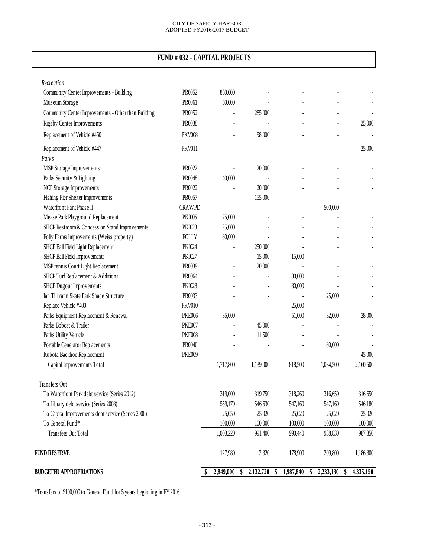### **FUND # 032 - CAPITAL PROJECTS**

| <b>BUDGETED APPROPRIATIONS</b>                                                                        | \$<br>2,849,000   | \$<br>2,132,720          | 1,987,840<br>S | \$<br>2,233,130 | 4,335,150<br>\$ |
|-------------------------------------------------------------------------------------------------------|-------------------|--------------------------|----------------|-----------------|-----------------|
| FUND RESERVE                                                                                          | 127,980           | 2,320                    | 178,900        | 209,800         | 1,186,800       |
| Transfers Out Total                                                                                   | 1,003,220         | 991,400                  | 990,440        | 988,830         | 987,850         |
| To General Fund*                                                                                      | 100,000           | 100,000                  | 100,000        | 100,000         | 100,000         |
| To Capital Improvements debt service (Series 2006)                                                    | 25,050            | 25,020                   | 25,020         | 25,020          | 25,020          |
| To Library debt service (Series 2008)                                                                 | 559,170           | 546,630                  | 547,160        | 547,160         | 546,180         |
| To Waterfront Park debt service (Series 2012)                                                         | 319,000           | 319,750                  | 318,260        | 316,650         | 316,650         |
| Transfers Out                                                                                         |                   |                          |                |                 |                 |
|                                                                                                       |                   |                          |                |                 |                 |
| Capital Improvements Total                                                                            | 1,717,800         | 1,139,000                | 818,500        | 1,034,500       | 2,160,500       |
| Kubota Backhoe Replacement<br><b>PKE009</b>                                                           |                   |                          |                |                 | 45,000          |
| Portable Generator Replacements<br>PR0040                                                             |                   |                          |                | 80,000          |                 |
| Parks Utility Vehicle<br><b>PKE008</b>                                                                |                   | 11,500                   |                |                 |                 |
| Parks Bobcat & Trailer<br>PKE007                                                                      |                   | 45,000                   |                |                 |                 |
| Parks Equipment Replacement & Renewal<br><b>PKE006</b>                                                | 35,000            | $\frac{1}{2}$            | 51,000         | 32,000          | 28,000          |
| Replace Vehicle #400<br><b>PKV010</b>                                                                 |                   | $\overline{a}$           | 25,000         |                 |                 |
| <b>SHCP Dugout Improvements</b><br><b>PKI028</b><br>Ian Tillmann Skate Park Shade Structure<br>PR0033 |                   | $\overline{\phantom{a}}$ | 80,000         | 25,000          |                 |
| SHCP Turf Replacement & Additions<br>PR0064                                                           |                   |                          | 80,000         |                 |                 |
| MSP tennis Court Light Replacement<br>PR0039                                                          |                   | 20,000                   |                |                 |                 |
| SHCP Ball Field Improvements<br><b>PKI027</b>                                                         |                   | 15,000                   | 15,000         |                 |                 |
| SHCP Ball Field Light Replacement<br><b>PKI024</b>                                                    |                   | 250,000                  |                |                 |                 |
| Folly Farms Improvements (Weiss property)<br><b>FOLLY</b>                                             | 80,000            |                          |                |                 |                 |
| SHCP Restroom & Concession Stand Improvements<br><b>PKI023</b>                                        | 25,000            |                          |                |                 |                 |
| Mease Park Playground Replacement<br><b>PKI005</b>                                                    | 75,000            |                          |                |                 |                 |
| Waterfront Park Phase II<br><b>CRAWPD</b>                                                             |                   |                          |                | 500,000         |                 |
| Fishing Pier Shelter Improvements<br>PR0057                                                           |                   | 155,000                  |                |                 |                 |
| NCP Storage Improvements<br>PR0022                                                                    |                   | 20,000                   |                |                 |                 |
| PR0048<br>Parks Security & Lighting                                                                   | 40,000            |                          |                |                 |                 |
| PR0022<br><b>MSP</b> Storage Improvements                                                             |                   | 20,000                   |                |                 |                 |
| Parks                                                                                                 |                   |                          |                |                 |                 |
| Replacement of Vehicle #447<br><b>PKV011</b>                                                          |                   |                          |                |                 | 25,000          |
| Replacement of Vehicle #450<br><b>PKV008</b>                                                          |                   | 98,000                   |                |                 |                 |
| Rigsby Center Improvements                                                                            |                   |                          |                |                 | 25,000          |
| PR0038                                                                                                |                   |                          |                |                 |                 |
| Museum Storage<br>Community Center Improvements - Other than Building<br>PR0052                       |                   | 285,000                  |                |                 |                 |
| Community Center Improvements - Building<br>PR0061                                                    | 850,000<br>50,000 |                          |                |                 |                 |
| Recreation<br>PR0052                                                                                  |                   |                          |                |                 |                 |

\*Transfers of \$100,000 to General Fund for 5 years beginning in FY 2016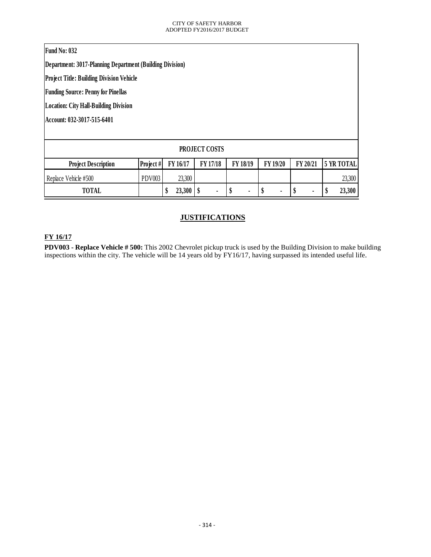| Fund No: 032                                             |               |              |               |          |          |          |            |
|----------------------------------------------------------|---------------|--------------|---------------|----------|----------|----------|------------|
| Department: 3017-Planning Department (Building Division) |               |              |               |          |          |          |            |
| <b>Project Title: Building Division Vehicle</b>          |               |              |               |          |          |          |            |
| <b>Funding Source: Penny for Pinellas</b>                |               |              |               |          |          |          |            |
| <b>Location: City Hall-Building Division</b>             |               |              |               |          |          |          |            |
| Account: 032-3017-515-6401                               |               |              |               |          |          |          |            |
|                                                          |               |              |               |          |          |          |            |
|                                                          |               |              | PROJECT COSTS |          |          |          |            |
| <b>Project Description</b>                               | Project#      | FY 16/17     | FY 17/18      | FY 18/19 | FY 19/20 | FY 20/21 | 5 YR TOTAL |
| Replace Vehicle #500                                     | <b>PDV003</b> | 23,300       |               |          |          |          | 23,300     |
| <b>TOTAL</b>                                             |               | 23,300<br>\$ |               | \$       | \$<br>٠  | \$       | 23,300     |

### **FY 16/17**

**PDV003 - Replace Vehicle # 500:** This 2002 Chevrolet pickup truck is used by the Building Division to make building inspections within the city. The vehicle will be 14 years old by FY16/17, having surpassed its intended useful life.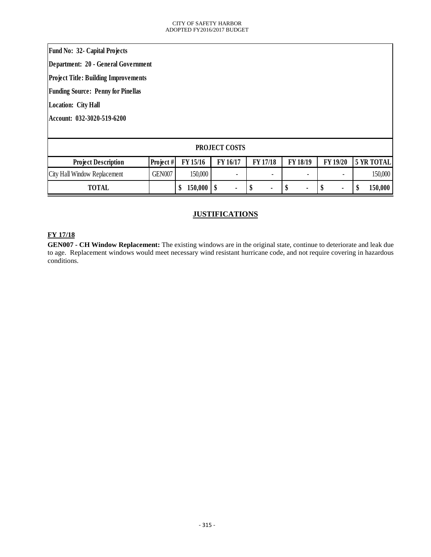| <b>Fund No: 32- Capital Projects</b>        |               |               |                      |          |          |          |               |
|---------------------------------------------|---------------|---------------|----------------------|----------|----------|----------|---------------|
| Department: 20 - General Government         |               |               |                      |          |          |          |               |
| <b>Project Title: Building Improvements</b> |               |               |                      |          |          |          |               |
| <b>Funding Source: Penny for Pinellas</b>   |               |               |                      |          |          |          |               |
| Location: City Hall                         |               |               |                      |          |          |          |               |
| Account: 032-3020-519-6200                  |               |               |                      |          |          |          |               |
|                                             |               |               |                      |          |          |          |               |
|                                             |               |               | <b>PROJECT COSTS</b> |          |          |          |               |
| <b>Project Description</b>                  | Project#      | FY 15/16      | FY 16/17             | FY 17/18 | FY 18/19 | FY 19/20 | 5 YR TOTAL    |
| City Hall Window Replacement                | <b>GEN007</b> | 150,000       |                      |          |          |          | 150,000       |
| <b>TOTAL</b>                                |               | \$<br>150,000 | \$<br>٠              | \$<br>٠  | \$<br>٠  |          | 150,000<br>\$ |

#### **FY 17/18**

**GEN007 - CH Window Replacement:** The existing windows are in the original state, continue to deteriorate and leak due to age. Replacement windows would meet necessary wind resistant hurricane code, and not require covering in hazardous conditions.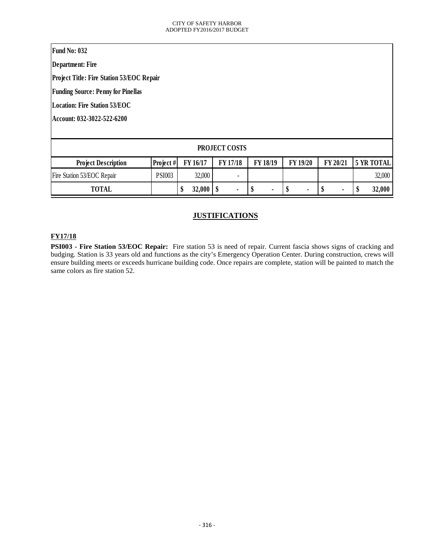| <b>Fund No: 032</b>                       |               |              |                          |          |          |          |              |  |
|-------------------------------------------|---------------|--------------|--------------------------|----------|----------|----------|--------------|--|
| <b>Department: Fire</b>                   |               |              |                          |          |          |          |              |  |
| Project Title: Fire Station 53/EOC Repair |               |              |                          |          |          |          |              |  |
| <b>Funding Source: Penny for Pinellas</b> |               |              |                          |          |          |          |              |  |
| Location: Fire Station 53/EOC             |               |              |                          |          |          |          |              |  |
| Account: 032-3022-522-6200                |               |              |                          |          |          |          |              |  |
|                                           |               |              |                          |          |          |          |              |  |
|                                           |               |              | PROJECT COSTS            |          |          |          |              |  |
| <b>Project Description</b>                | Project#      | FY 16/17     | FY 17/18                 | FY 18/19 | FY 19/20 | FY 20/21 | 5 YR TOTAL   |  |
| Fire Station 53/EOC Repair                | <b>PSI003</b> | 32,000       | $\overline{\phantom{a}}$ |          |          |          | 32,000       |  |
| <b>TOTAL</b>                              |               | \$<br>32,000 | \$<br>٠                  | \$<br>٠  | S<br>٠   | \$       | 32,000<br>\$ |  |

#### **FY17/18**

**PSI003 - Fire Station 53/EOC Repair:** Fire station 53 is need of repair. Current fascia shows signs of cracking and budging. Station is 33 years old and functions as the city's Emergency Operation Center. During construction, crews will ensure building meets or exceeds hurricane building code. Once repairs are complete, station will be painted to match the same colors as fire station 52.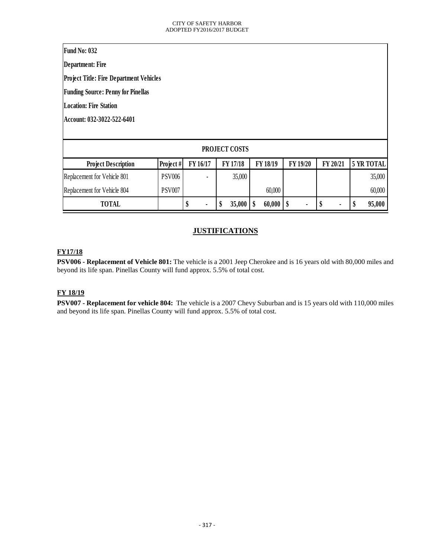| Fund No: 032                                   |               |          |              |              |          |          |              |
|------------------------------------------------|---------------|----------|--------------|--------------|----------|----------|--------------|
| <b>Department: Fire</b>                        |               |          |              |              |          |          |              |
| <b>Project Title: Fire Department Vehicles</b> |               |          |              |              |          |          |              |
| <b>Funding Source: Penny for Pinellas</b>      |               |          |              |              |          |          |              |
| <b>Location: Fire Station</b>                  |               |          |              |              |          |          |              |
| Account: 032-3022-522-6401                     |               |          |              |              |          |          |              |
|                                                |               |          |              |              |          |          |              |
| PROJECT COSTS                                  |               |          |              |              |          |          |              |
| <b>Project Description</b>                     | Project#      | FY 16/17 | FY 17/18     | FY 18/19     | FY 19/20 | FY 20/21 | 5 YR TOTAL   |
| Replacement for Vehicle 801                    | <b>PSV006</b> |          | 35,000       |              |          |          | 35,000       |
| Replacement for Vehicle 804                    | <b>PSV007</b> |          |              | 60,000       |          |          | 60,000       |
| <b>TOTAL</b>                                   |               | \$       | \$<br>35,000 | 60,000<br>\$ | -S       |          | 95,000<br>\$ |

### **FY17/18**

**PSV006 - Replacement of Vehicle 801:** The vehicle is a 2001 Jeep Cherokee and is 16 years old with 80,000 miles and beyond its life span. Pinellas County will fund approx. 5.5% of total cost.

#### **FY 18/19**

**PSV007 - Replacement for vehicle 804:** The vehicle is a 2007 Chevy Suburban and is 15 years old with 110,000 miles and beyond its life span. Pinellas County will fund approx. 5.5% of total cost.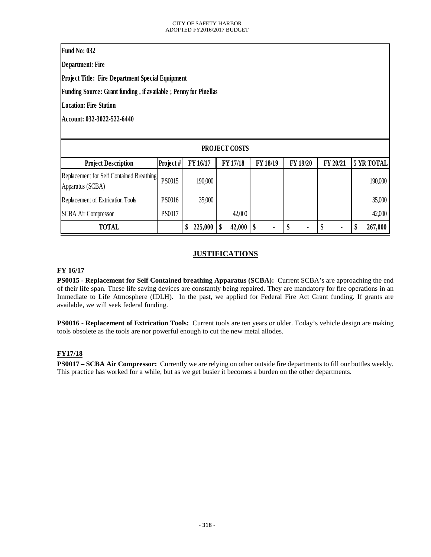| <b>Fund No: 032</b>                                                    |          |               |              |          |          |          |               |
|------------------------------------------------------------------------|----------|---------------|--------------|----------|----------|----------|---------------|
| <b>Department: Fire</b>                                                |          |               |              |          |          |          |               |
| <b>Project Title: Fire Department Special Equipment</b>                |          |               |              |          |          |          |               |
| <b>Funding Source: Grant funding, if available; Penny for Pinellas</b> |          |               |              |          |          |          |               |
| <b>Location: Fire Station</b>                                          |          |               |              |          |          |          |               |
| Account: 032-3022-522-6440                                             |          |               |              |          |          |          |               |
|                                                                        |          |               |              |          |          |          |               |
| PROJECT COSTS                                                          |          |               |              |          |          |          |               |
| <b>Project Description</b>                                             | Project# | FY 16/17      | FY 17/18     | FY 18/19 | FY 19/20 | FY 20/21 | 5 YR TOTAL    |
| Replacement for Self Contained Breathing<br>Apparatus (SCBA)           | PS0015   | 190,000       |              |          |          |          | 190,000       |
| Replacement of Extrication Tools                                       | PS0016   | 35,000        |              |          |          |          | 35,000        |
| <b>SCBA Air Compressor</b>                                             | PS0017   |               | 42,000       |          |          |          | 42,000        |
| <b>TOTAL</b>                                                           |          | \$<br>225,000 | \$<br>42,000 | \$<br>٠  | \$       | \$       | 267,000<br>\$ |

#### **FY 16/17**

**PS0015 - Replacement for Self Contained breathing Apparatus (SCBA):** Current SCBA's are approaching the end of their life span. These life saving devices are constantly being repaired. They are mandatory for fire operations in an Immediate to Life Atmosphere (IDLH). In the past, we applied for Federal Fire Act Grant funding. If grants are available, we will seek federal funding.

**PS0016 - Replacement of Extrication Tools:** Current tools are ten years or older. Today's vehicle design are making tools obsolete as the tools are nor powerful enough to cut the new metal allodes.

#### **FY17/18**

**PS0017 – SCBA Air Compressor:** Currently we are relying on other outside fire departments to fill our bottles weekly. This practice has worked for a while, but as we get busier it becomes a burden on the other departments.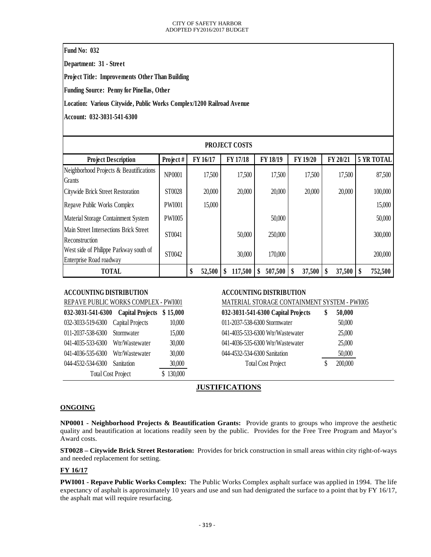**Fund No: 032**

**Department: 31 - Street**

**Project Title: Improvements Other Than Building**

**Funding Source: Penny for Pinellas, Other**

**Location: Various Citywide, Public Works Complex/1200 Railroad Avenue**

**Account: 032-3031-541-6300**

| <b>PROJECT COSTS</b>                                              |               |              |          |              |              |             |                   |
|-------------------------------------------------------------------|---------------|--------------|----------|--------------|--------------|-------------|-------------------|
| <b>Project Description</b>                                        | Project#      | FY 16/17     | FY 17/18 | FY 18/19     | FY 19/20     | FY 20/21    | <b>5 YR TOTAL</b> |
| Neighborhood Projects & Beautifications<br>Grants                 | NP0001        | 17,500       | 17,500   | 17,500       | 17,500       | 17,500      | 87,500            |
| <b>Citywide Brick Street Restoration</b>                          | ST0028        | 20,000       | 20,000   | 20,000       | 20,000       | 20,000      | 100,000           |
| Repave Public Works Complex                                       | <b>PWI001</b> | 15,000       |          |              |              |             | 15,000            |
| Material Storage Containment System                               | <b>PWI005</b> |              |          | 50,000       |              |             | 50,000            |
| <b>Main Street Intersections Brick Street</b><br>Reconstruction   | ST0041        |              | 50,000   | 250,000      |              |             | 300,000           |
| West side of Philippe Parkway south of<br>Enterprise Road roadway | ST0042        |              | 30,000   | 170,000      |              |             | 200,000           |
| <b>TOTAL</b>                                                      |               | 52,500<br>\$ | 117,500  | 507,500<br>S | 37,500<br>\$ | 37,500<br>S | 752,500           |

#### **ACCOUNTING DISTRIBUTION ACCOUNTING DISTRIBUTION**

| REPAVE PUBLIC WORKS COMPLEX - PWI001 |                         |           | MATERIAL STORAGE CONTAINMENT SYSTEM - PWI005 |
|--------------------------------------|-------------------------|-----------|----------------------------------------------|
| 032-3031-541-6300                    | <b>Capital Projects</b> | \$15,000  | 032-3031-541-6300 Capital Projects<br>50,000 |
| 032-3033-519-6300                    | Capital Projects        | 10,000    | 011-2037-538-6300 Stormwater<br>50,000       |
| 011-2037-538-6300                    | Stormwater              | 15,000    | 25,000<br>041-4035-533-6300 Wtr/Wastewater   |
| 041-4035-533-6300                    | Wtr/Wastewater          | 30,000    | 041-4036-535-6300 Wtr/Wastewater<br>25,000   |
| 041-4036-535-6300                    | Wtr/Wastewater          | 30,000    | 044-4532-534-6300 Sanitation<br>50,000       |
| 044-4532-534-6300                    | Sanitation              | 30,000    | 200,000<br><b>Total Cost Project</b>         |
| <b>Total Cost Project</b>            |                         | \$130,000 |                                              |

### **JUSTIFICATIONS**

#### **ONGOING**

**NP0001 - Neighborhood Projects & Beautification Grants:** Provide grants to groups who improve the aesthetic quality and beautification at locations readily seen by the public. Provides for the Free Tree Program and Mayor's Award costs.

**ST0028 – Citywide Brick Street Restoration:** Provides for brick construction in small areas within city right-of-ways and needed replacement for setting.

#### **FY 16/17**

**PWI001 - Repave Public Works Complex:** The Public Works Complex asphalt surface was applied in 1994. The life expectancy of asphalt is approximately 10 years and use and sun had denigrated the surface to a point that by FY 16/17, the asphalt mat will require resurfacing.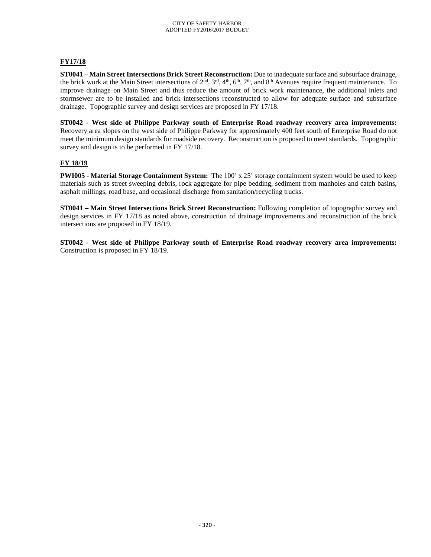#### **FY17/18**

**ST0041 – Main Street Intersections Brick Street Reconstruction:** Due to inadequate surface and subsurface drainage, the brick work at the Main Street intersections of 2<sup>nd</sup>, 3<sup>rd</sup>, 4<sup>th</sup>, 6<sup>th</sup>, 7<sup>th</sup>, and 8<sup>th</sup> Avenues require frequent maintenance. To improve drainage on Main Street and thus reduce the amount of brick work maintenance, the additional inlets and stormsewer are to be installed and brick intersections reconstructed to allow for adequate surface and subsurface drainage. Topographic survey and design services are proposed in FY 17/18.

**ST0042 - West side of Philippe Parkway south of Enterprise Road roadway recovery area improvements:** Recovery area slopes on the west side of Philippe Parkway for approximately 400 feet south of Enterprise Road do not meet the minimum design standards for roadside recovery. Reconstruction is proposed to meet standards. Topographic survey and design is to be performed in FY 17/18.

#### **FY 18/19**

**PWI005 - Material Storage Containment System:** The 100' x 25' storage containment system would be used to keep materials such as street sweeping debris, rock aggregate for pipe bedding, sediment from manholes and catch basins, asphalt millings, road base, and occasional discharge from sanitation/recycling trucks.

**ST0041 – Main Street Intersections Brick Street Reconstruction:** Following completion of topographic survey and design services in FY 17/18 as noted above, construction of drainage improvements and reconstruction of the brick intersections are proposed in FY 18/19.

**ST0042 - West side of Philippe Parkway south of Enterprise Road roadway recovery area improvements:** Construction is proposed in FY 18/19.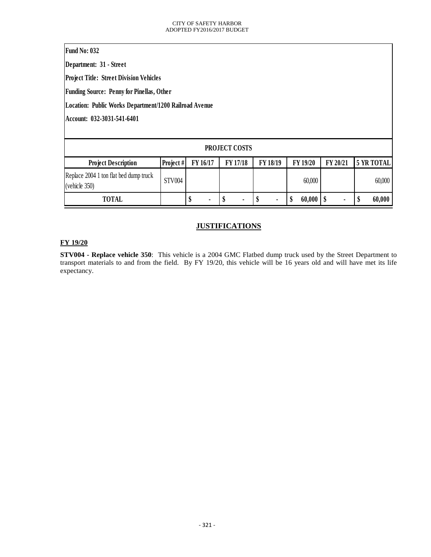| Fund No: 032                                            |               |    |          |    |               |  |          |  |          |          |  |            |
|---------------------------------------------------------|---------------|----|----------|----|---------------|--|----------|--|----------|----------|--|------------|
| Department: 31 - Street                                 |               |    |          |    |               |  |          |  |          |          |  |            |
| <b>Project Title: Street Division Vehicles</b>          |               |    |          |    |               |  |          |  |          |          |  |            |
| <b>Funding Source: Penny for Pinellas, Other</b>        |               |    |          |    |               |  |          |  |          |          |  |            |
| Location: Public Works Department/1200 Railroad Avenue  |               |    |          |    |               |  |          |  |          |          |  |            |
| Account: 032-3031-541-6401                              |               |    |          |    |               |  |          |  |          |          |  |            |
|                                                         |               |    |          |    |               |  |          |  |          |          |  |            |
|                                                         |               |    |          |    | PROJECT COSTS |  |          |  |          |          |  |            |
| <b>Project Description</b>                              | Project#      |    | FY 16/17 |    | FY 17/18      |  | FY 18/19 |  | FY 19/20 | FY 20/21 |  | 5 YR TOTAL |
| Replace 2004 1 ton flat bed dump truck<br>(vehicle 350) | <b>STV004</b> |    |          |    |               |  |          |  | 60,000   |          |  | 60,000     |
| <b>TOTAL</b>                                            |               | \$ |          | \$ |               |  | ۰        |  | 60,000   | \$       |  | 60,000     |

# **FY 19/20**

**STV004 - Replace vehicle 350**: This vehicle is a 2004 GMC Flatbed dump truck used by the Street Department to transport materials to and from the field. By FY 19/20, this vehicle will be 16 years old and will have met its life expectancy.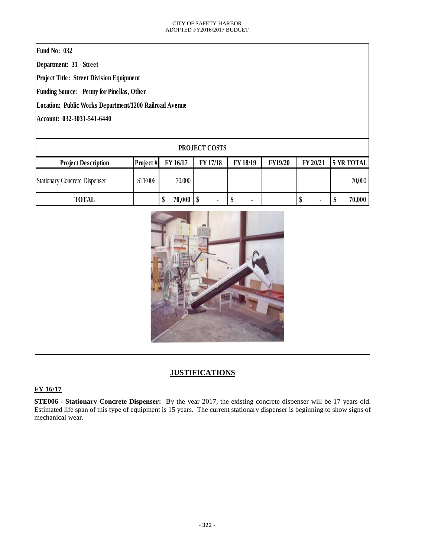**Fund No: 032**

**Department: 31 - Street**

**Project Title: Street Division Equipment**

**Funding Source: Penny for Pinellas, Other**

**Location: Public Works Department/1200 Railroad Avenue**

**Account: 032-3031-541-6440**

| PROJECT COSTS                        |           |          |          |          |         |          |            |  |  |  |  |
|--------------------------------------|-----------|----------|----------|----------|---------|----------|------------|--|--|--|--|
| <b>Project Description</b>           | Project # | FY 16/17 | FY 17/18 | FY 18/19 | FY19/20 | FY 20/21 | 5 YR TOTAL |  |  |  |  |
| <b>Stationary Concrete Dispenser</b> | STE006    | 70,000   |          |          |         |          | 70,000     |  |  |  |  |
| <b>TOTAL</b>                         |           | 70,000   | S        | ٠        |         |          | 70,000     |  |  |  |  |



# **JUSTIFICATIONS**

# **FY 16/17**

**STE006 - Stationary Concrete Dispenser:** By the year 2017, the existing concrete dispenser will be 17 years old. Estimated life span of this type of equipment is 15 years. The current stationary dispenser is beginning to show signs of mechanical wear.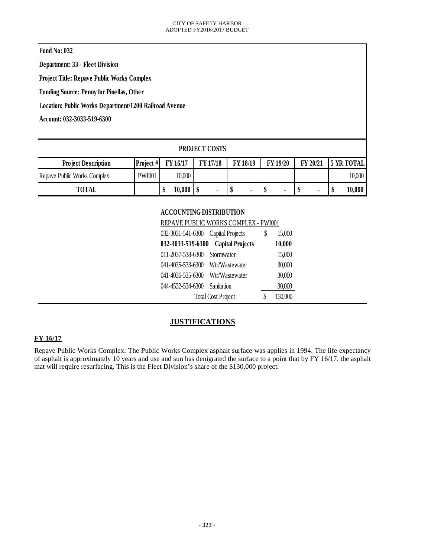**Fund No: 032 Department: 33 - Fleet Division Account: 032-3033-519-6300 Project Title: Repave Public Works Complex Funding Source: Penny for Pinellas, Other Location: Public Works Department/1200 Railroad Avenue**

| <b>PROJECT COSTS</b> |  |
|----------------------|--|
|----------------------|--|

| <b>Project Description</b>  | Project #     | FY 16/17   | <b>FY 17/18</b> | FY 18/19 | FY 19/20 | FY 20/21 | 5 YR TOTAL |
|-----------------------------|---------------|------------|-----------------|----------|----------|----------|------------|
| Repave Public Works Complex | <b>PWI001</b> | 10,000     |                 |          |          |          | 10,000     |
| <b>TOTAL</b>                |               | $10{,}000$ |                 |          |          |          | 10,000     |

# **ACCOUNTING DISTRIBUTION**

| REPAVE PUBLIC WORKS COMPLEX - PWI001 |   |        |
|--------------------------------------|---|--------|
| 032-3031-541-6300 Capital Projects   | S | 15,000 |
| 032-3033-519-6300 Capital Projects   |   | 10,000 |
| 011-2037-538-6300<br>Stormwater      |   | 15,000 |
| 041-4035-533-6300<br>Wtr/Wastewater  |   | 30,000 |
| 041-4036-535-6300<br>Wtr/Wastewater  |   | 30,000 |

Total Cost Project \$ 130,000

044-4532-534-6300 Sanitation 30,000

# **JUSTIFICATIONS**

# **FY 16/17**

Repave Public Works Complex: The Public Works Complex asphalt surface was applies in 1994. The life expectancy of asphalt is approximately 10 years and use and sun has denigrated the surface to a point that by FY 16/17, the asphalt mat will require resurfacing. This is the Fleet Division's share of the \$130,000 project.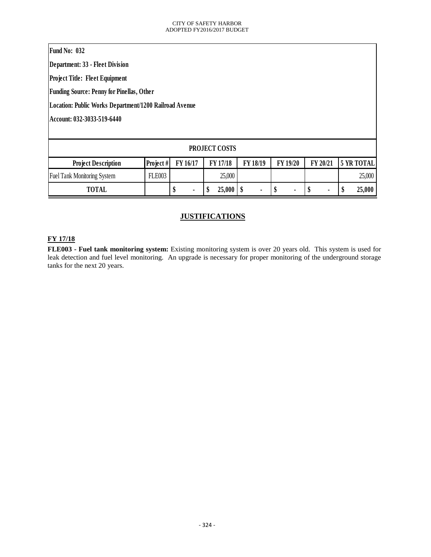| <b>Fund No: 032</b>                                    |               |    |          |    |               |          |   |          |  |  |          |            |
|--------------------------------------------------------|---------------|----|----------|----|---------------|----------|---|----------|--|--|----------|------------|
| Department: 33 - Fleet Division                        |               |    |          |    |               |          |   |          |  |  |          |            |
| <b>Project Title: Fleet Equipment</b>                  |               |    |          |    |               |          |   |          |  |  |          |            |
| <b>Funding Source: Penny for Pinellas, Other</b>       |               |    |          |    |               |          |   |          |  |  |          |            |
| Location: Public Works Department/1200 Railroad Avenue |               |    |          |    |               |          |   |          |  |  |          |            |
| Account: 032-3033-519-6440                             |               |    |          |    |               |          |   |          |  |  |          |            |
|                                                        |               |    |          |    |               |          |   |          |  |  |          |            |
|                                                        |               |    |          |    | PROJECT COSTS |          |   |          |  |  |          |            |
| <b>Project Description</b>                             | Project#      |    | FY 16/17 |    | FY 17/18      | FY 18/19 |   | FY 19/20 |  |  | FY 20/21 | 5 YR TOTAL |
| <b>Fuel Tank Monitoring System</b>                     | <b>FLE003</b> |    |          |    | 25,000        |          |   |          |  |  |          | 25,000     |
| <b>TOTAL</b>                                           |               | \$ |          | \$ | 25,000        | \$       | ۰ |          |  |  |          | 25,000     |
|                                                        |               |    |          |    |               |          |   |          |  |  |          |            |

# **FY 17/18**

**FLE003 - Fuel tank monitoring system:** Existing monitoring system is over 20 years old. This system is used for leak detection and fuel level monitoring. An upgrade is necessary for proper monitoring of the underground storage tanks for the next 20 years.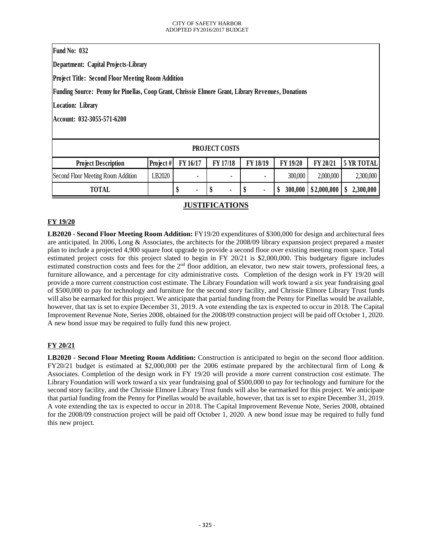| Fund No: 032                                                                                              |          |          |               |          |          |             |                |  |  |  |
|-----------------------------------------------------------------------------------------------------------|----------|----------|---------------|----------|----------|-------------|----------------|--|--|--|
| Department: Capital Projects-Library                                                                      |          |          |               |          |          |             |                |  |  |  |
| <b>Project Title: Second Floor Meeting Room Addition</b>                                                  |          |          |               |          |          |             |                |  |  |  |
| <b>Funding Source: Penny for Pinellas, Coop Grant, Chrissie Elmore Grant, Library Revenues, Donations</b> |          |          |               |          |          |             |                |  |  |  |
| <b>Location: Library</b>                                                                                  |          |          |               |          |          |             |                |  |  |  |
| Account: 032-3055-571-6200                                                                                |          |          |               |          |          |             |                |  |  |  |
|                                                                                                           |          |          |               |          |          |             |                |  |  |  |
|                                                                                                           |          |          | PROJECT COSTS |          |          |             |                |  |  |  |
| <b>Project Description</b>                                                                                | Project# | FY 16/17 | FY 17/18      | FY 18/19 | FY 19/20 | FY 20/21    | 5 YR TOTAL     |  |  |  |
| LB2020<br>300,000<br>2,000,000<br>2,300,000<br>Second Floor Meeting Room Addition<br>۰                    |          |          |               |          |          |             |                |  |  |  |
| <b>TOTAL</b>                                                                                              |          | \$       |               | \$       | 300,000  | \$2,000,000 | 2,300,000<br>S |  |  |  |

#### **FY 19/20**

**LB2020 - Second Floor Meeting Room Addition:** FY19/20 expenditures of \$300,000 for design and architectural fees are anticipated. In 2006, Long & Associates, the architects for the 2008/09 library expansion project prepared a master plan to include a projected 4,900 square foot upgrade to provide a second floor over existing meeting room space. Total estimated project costs for this project slated to begin in FY 20/21 is \$2,000,000. This budgetary figure includes estimated construction costs and fees for the 2<sup>nd</sup> floor addition, an elevator, two new stair towers, professional fees, a furniture allowance, and a percentage for city administrative costs. Completion of the design work in FY 19/20 will provide a more current construction cost estimate. The Library Foundation will work toward a six year fundraising goal of \$500,000 to pay for technology and furniture for the second story facility, and Chrissie Elmore Library Trust funds will also be earmarked for this project. We anticipate that partial funding from the Penny for Pinellas would be available, however, that tax is set to expire December 31, 2019. A vote extending the tax is expected to occur in 2018. The Capital Improvement Revenue Note, Series 2008, obtained for the 2008/09 construction project will be paid off October 1, 2020. A new bond issue may be required to fully fund this new project.

#### **FY 20/21**

**LB2020 - Second Floor Meeting Room Addition:** Construction is anticipated to begin on the second floor addition. FY20/21 budget is estimated at \$2,000,000 per the 2006 estimate prepared by the architectural firm of Long & Associates. Completion of the design work in FY 19/20 will provide a more current construction cost estimate. The Library Foundation will work toward a six year fundraising goal of \$500,000 to pay for technology and furniture for the second story facility, and the Chrissie Elmore Library Trust funds will also be earmarked for this project. We anticipate that partial funding from the Penny for Pinellas would be available, however, that tax is set to expire December 31, 2019. A vote extending the tax is expected to occur in 2018. The Capital Improvement Revenue Note, Series 2008, obtained for the 2008/09 construction project will be paid off October 1, 2020. A new bond issue may be required to fully fund this new project.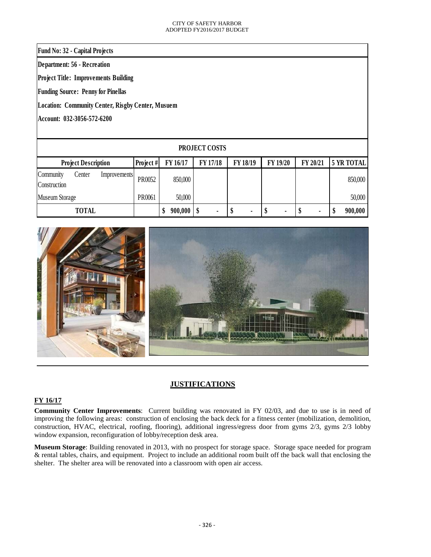**Fund No: 32 - Capital Projects**

**Department: 56 - Recreation**

**Project Title: Improvements Building**

**Funding Source: Penny for Pinellas**

**Location: Community Center, Risgby Center, Musuem**

**Account: 032-3056-572-6200**

|                           | PROJECT COSTS              |              |          |          |          |          |          |          |            |  |  |  |
|---------------------------|----------------------------|--------------|----------|----------|----------|----------|----------|----------|------------|--|--|--|
|                           | <b>Project Description</b> |              | Project# | FY 16/17 | FY 17/18 | FY 18/19 | FY 19/20 | FY 20/21 | 5 YR TOTAL |  |  |  |
| Community<br>Construction | Center                     | Improvements | PR0052   | 850,000  |          |          |          |          | 850,000    |  |  |  |
| Museum Storage            |                            |              | PR0061   | 50,000   |          |          |          |          | 50,000     |  |  |  |
|                           | <b>TOTAL</b>               |              |          | 900,000  | ۰        | ٠        |          |          | 900,000    |  |  |  |



# **JUSTIFICATIONS**

#### **FY 16/17**

**Community Center Improvements**: Current building was renovated in FY 02/03, and due to use is in need of improving the following areas: construction of enclosing the back deck for a fitness center (mobilization, demolition, construction, HVAC, electrical, roofing, flooring), additional ingress/egress door from gyms 2/3, gyms 2/3 lobby window expansion, reconfiguration of lobby/reception desk area.

**Museum Storage**: Building renovated in 2013, with no prospect for storage space. Storage space needed for program & rental tables, chairs, and equipment. Project to include an additional room built off the back wall that enclosing the shelter. The shelter area will be renovated into a classroom with open air access.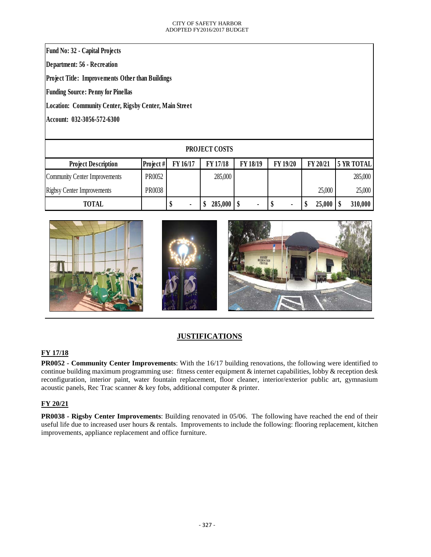**Fund No: 32 - Capital Projects**

**Department: 56 - Recreation**

**Project Title: Improvements Other than Buildings**

**Funding Source: Penny for Pinellas**

**Location: Community Center, Rigsby Center, Main Street**

**Account: 032-3056-572-6300**

| <b>PROJECT COSTS</b>              |          |          |          |          |          |          |                   |  |  |  |  |
|-----------------------------------|----------|----------|----------|----------|----------|----------|-------------------|--|--|--|--|
| <b>Project Description</b>        | Project# | FY 16/17 | FY 17/18 | FY 18/19 | FY 19/20 | FY 20/21 | <b>5 YR TOTAL</b> |  |  |  |  |
| Community Center Improvements     | PR0052   |          | 285,000  |          |          |          | 285,000           |  |  |  |  |
| <b>Rigbsy Center Improvements</b> | PR0038   |          |          |          |          | 25,000   | 25,000            |  |  |  |  |
| <b>TOTAL</b>                      |          |          | 285,000  | ٠        | ۰        | 25,000   | 310,000           |  |  |  |  |



# **JUSTIFICATIONS**

# **FY 17/18**

**PR0052 - Community Center Improvements**: With the 16/17 building renovations, the following were identified to continue building maximum programming use: fitness center equipment & internet capabilities, lobby & reception desk reconfiguration, interior paint, water fountain replacement, floor cleaner, interior/exterior public art, gymnasium acoustic panels, Rec Trac scanner & key fobs, additional computer & printer.

# **FY 20/21**

**PR0038 - Rigsby Center Improvements**: Building renovated in 05/06. The following have reached the end of their useful life due to increased user hours & rentals. Improvements to include the following: flooring replacement, kitchen improvements, appliance replacement and office furniture.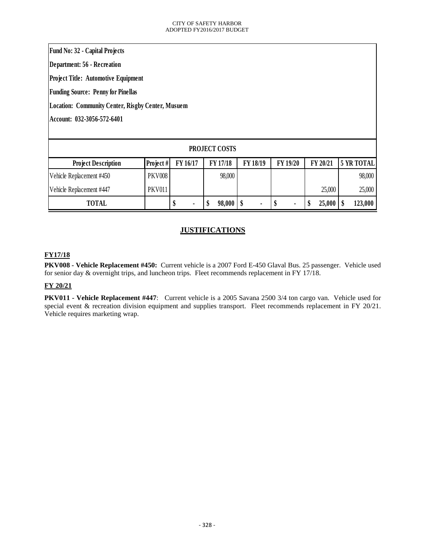| Fund No: 32 - Capital Projects                    |               |          |                      |          |          |          |               |  |  |  |
|---------------------------------------------------|---------------|----------|----------------------|----------|----------|----------|---------------|--|--|--|
| Department: 56 - Recreation                       |               |          |                      |          |          |          |               |  |  |  |
| <b>Project Title: Automotive Equipment</b>        |               |          |                      |          |          |          |               |  |  |  |
| <b>Funding Source: Penny for Pinellas</b>         |               |          |                      |          |          |          |               |  |  |  |
| Location: Community Center, Risgby Center, Musuem |               |          |                      |          |          |          |               |  |  |  |
| Account: 032-3056-572-6401                        |               |          |                      |          |          |          |               |  |  |  |
|                                                   |               |          |                      |          |          |          |               |  |  |  |
|                                                   |               |          | <b>PROJECT COSTS</b> |          |          |          |               |  |  |  |
| <b>Project Description</b>                        | Project#      | FY 16/17 | FY 17/18             | FY 18/19 | FY 19/20 | FY 20/21 | 5 YR TOTAL    |  |  |  |
| Vehicle Replacement #450                          | <b>PKV008</b> |          | 98,000               |          |          |          | 98,000        |  |  |  |
| Vehicle Replacement #447                          | <b>PKV011</b> |          |                      |          |          | 25,000   | 25,000        |  |  |  |
| <b>TOTAL</b>                                      |               | \$       | \$<br>98,000         | \$<br>٠  | \$       | 25,000   | 123,000<br>\$ |  |  |  |

# **FY17/18**

**PKV008 - Vehicle Replacement #450:** Current vehicle is a 2007 Ford E-450 Glaval Bus. 25 passenger. Vehicle used for senior day & overnight trips, and luncheon trips. Fleet recommends replacement in FY 17/18.

# **FY 20/21**

**PKV011 - Vehicle Replacement #447**: Current vehicle is a 2005 Savana 2500 3/4 ton cargo van. Vehicle used for special event & recreation division equipment and supplies transport. Fleet recommends replacement in FY 20/21. Vehicle requires marketing wrap.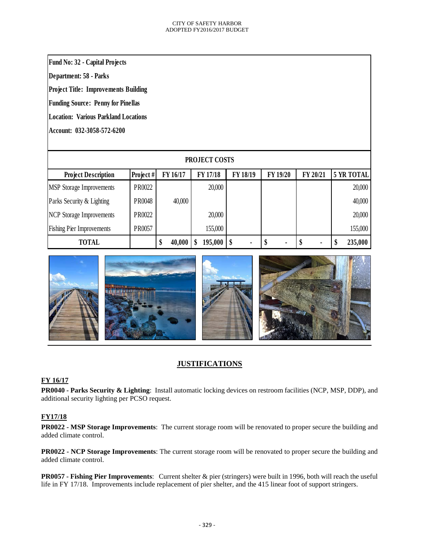#### CITY OF SAFETY HARBOR ADOPTED FY2016/2017 BUDGET

| <b>Fund No: 32 - Capital Projects</b>       |          |          |               |          |          |          |                   |
|---------------------------------------------|----------|----------|---------------|----------|----------|----------|-------------------|
| Department: 58 - Parks                      |          |          |               |          |          |          |                   |
| <b>Project Title: Improvements Building</b> |          |          |               |          |          |          |                   |
| <b>Funding Source: Penny for Pinellas</b>   |          |          |               |          |          |          |                   |
| <b>Location: Various Parkland Locations</b> |          |          |               |          |          |          |                   |
| Account: 032-3058-572-6200                  |          |          |               |          |          |          |                   |
|                                             |          |          |               |          |          |          |                   |
|                                             |          |          | PROJECT COSTS |          |          |          |                   |
| <b>Project Description</b>                  | Project# | FY 16/17 | FY 17/18      | FY 18/19 | FY 19/20 | FY 20/21 | <b>5 YR TOTAL</b> |
| <b>MSP</b> Storage Improvements             | PR0022   |          | 20,000        |          |          |          | 20,000            |
| Parks Security & Lighting                   | PR0048   | 40,000   |               |          |          |          | 40,000            |
| <b>NCP</b> Storage Improvements             | PR0022   |          | 20,000        |          |          |          | 20,000            |
|                                             |          |          |               |          |          |          |                   |



Fishing Pier Improvements PR0057 155,000 155,000 155,000 155,000

**TOTAL \$ 40,000 \$ 195,000 \$ - \$ - \$ - \$ 235,000**

# **JUSTIFICATIONS**

# **FY 16/17**

**PR0040 - Parks Security & Lighting**: Install automatic locking devices on restroom facilities (NCP, MSP, DDP), and additional security lighting per PCSO request.

#### **FY17/18**

**PR0022 - MSP Storage Improvements**: The current storage room will be renovated to proper secure the building and added climate control.

**PR0022 - NCP Storage Improvements**: The current storage room will be renovated to proper secure the building and added climate control.

**PR0057 - Fishing Pier Improvements**: Current shelter & pier (stringers) were built in 1996, both will reach the useful life in FY 17/18. Improvements include replacement of pier shelter, and the 415 linear foot of support stringers.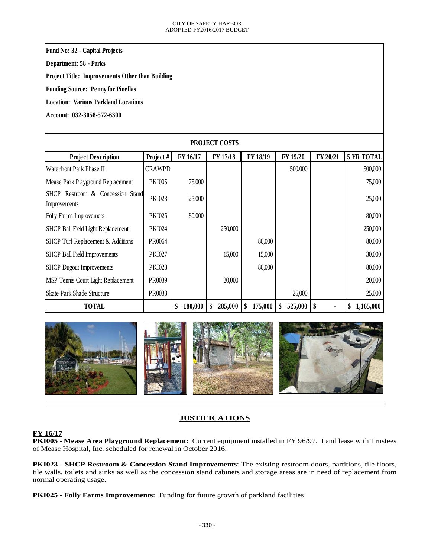**Fund No: 32 - Capital Projects**

**Department: 58 - Parks**

**Project Title: Improvements Other than Building**

**Funding Source: Penny for Pinellas**

**Location: Various Parkland Locations**

**Account: 032-3058-572-6300**

| <b>PROJECT COSTS</b>                                       |               |          |                 |               |              |          |                 |  |  |  |  |
|------------------------------------------------------------|---------------|----------|-----------------|---------------|--------------|----------|-----------------|--|--|--|--|
| <b>Project Description</b>                                 | Project#      | FY 16/17 | <b>FY 17/18</b> | FY 18/19      | FY 19/20     | FY 20/21 | 5 YR TOTAL      |  |  |  |  |
| Waterfront Park Phase II                                   | <b>CRAWPD</b> |          |                 |               | 500,000      |          | 500,000         |  |  |  |  |
| Mease Park Playground Replacement                          | <b>PKI005</b> | 75,000   |                 |               |              |          | 75,000          |  |  |  |  |
| Restroom & Concession Stand<br><b>SHCP</b><br>Improvements | <b>PKI023</b> | 25,000   |                 |               |              |          | 25,000          |  |  |  |  |
| <b>Folly Farms Improvemets</b>                             | <b>PKI025</b> | 80,000   |                 |               |              |          | 80,000          |  |  |  |  |
| <b>SHCP Ball Field Light Replacement</b>                   | <b>PKI024</b> |          | 250,000         |               |              |          | 250,000         |  |  |  |  |
| <b>SHCP</b> Turf Replacement & Additions                   | PR0064        |          |                 | 80,000        |              |          | 80,000          |  |  |  |  |
| <b>SHCP Ball Field Improvements</b>                        | <b>PKI027</b> |          | 15,000          | 15,000        |              |          | 30,000          |  |  |  |  |
| <b>SHCP Dugout Improvements</b>                            | <b>PKI028</b> |          |                 | 80,000        |              |          | 80,000          |  |  |  |  |
| <b>MSP Tennis Court Light Replacement</b>                  | PR0039        |          | 20,000          |               |              |          | 20,000          |  |  |  |  |
| <b>Skate Park Shade Structure</b>                          | PR0033        |          |                 |               | 25,000       |          | 25,000          |  |  |  |  |
| <b>TOTAL</b>                                               |               | 180,000  | 285,000<br>\$   | 175,000<br>\$ | 525,000<br>S | \$<br>٠  | 1,165,000<br>\$ |  |  |  |  |



# **JUSTIFICATIONS**

# **FY 16/17**

**PKI005 - Mease Area Playground Replacement:** Current equipment installed in FY 96/97. Land lease with Trustees of Mease Hospital, Inc. scheduled for renewal in October 2016.

**PKI023 - SHCP Restroom & Concession Stand Improvements**: The existing restroom doors, partitions, tile floors, tile walls, toilets and sinks as well as the concession stand cabinets and storage areas are in need of replacement from normal operating usage.

**PKI025 - Folly Farms Improvements**: Funding for future growth of parkland facilities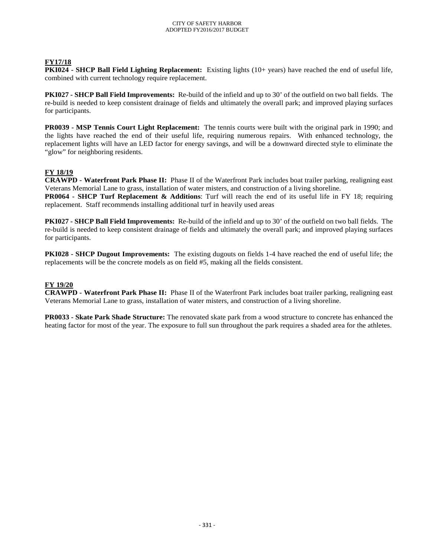# **FY17/18**

**PKI024 - SHCP Ball Field Lighting Replacement:** Existing lights (10+ years) have reached the end of useful life, combined with current technology require replacement.

**PKI027 - SHCP Ball Field Improvements:** Re-build of the infield and up to 30' of the outfield on two ball fields. The re-build is needed to keep consistent drainage of fields and ultimately the overall park; and improved playing surfaces for participants.

**PR0039 - MSP Tennis Court Light Replacement:** The tennis courts were built with the original park in 1990; and the lights have reached the end of their useful life, requiring numerous repairs. With enhanced technology, the replacement lights will have an LED factor for energy savings, and will be a downward directed style to eliminate the "glow" for neighboring residents.

# **FY 18/19**

**CRAWPD - Waterfront Park Phase II:** Phase II of the Waterfront Park includes boat trailer parking, realigning east Veterans Memorial Lane to grass, installation of water misters, and construction of a living shoreline.

**PR0064 - SHCP Turf Replacement & Additions**: Turf will reach the end of its useful life in FY 18; requiring replacement. Staff recommends installing additional turf in heavily used areas

**PKI027 - SHCP Ball Field Improvements:** Re-build of the infield and up to 30' of the outfield on two ball fields. The re-build is needed to keep consistent drainage of fields and ultimately the overall park; and improved playing surfaces for participants.

**PKI028 - SHCP Dugout Improvements:** The existing dugouts on fields 1-4 have reached the end of useful life; the replacements will be the concrete models as on field #5, making all the fields consistent.

#### **FY 19/20**

**CRAWPD - Waterfront Park Phase II:** Phase II of the Waterfront Park includes boat trailer parking, realigning east Veterans Memorial Lane to grass, installation of water misters, and construction of a living shoreline.

**PR0033 - Skate Park Shade Structure:** The renovated skate park from a wood structure to concrete has enhanced the heating factor for most of the year. The exposure to full sun throughout the park requires a shaded area for the athletes.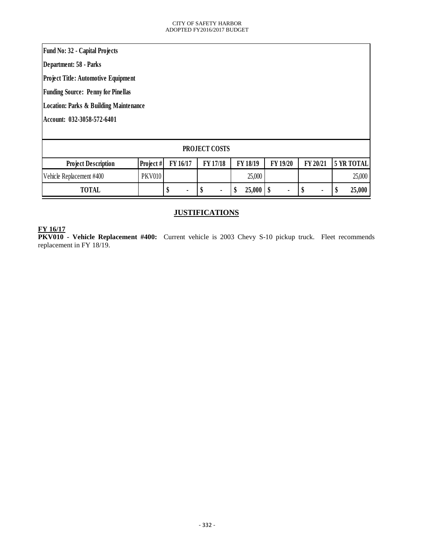| Fund No: 32 - Capital Projects                    |               |          |               |              |          |          |              |
|---------------------------------------------------|---------------|----------|---------------|--------------|----------|----------|--------------|
| Department: 58 - Parks                            |               |          |               |              |          |          |              |
| <b>Project Title: Automotive Equipment</b>        |               |          |               |              |          |          |              |
| <b>Funding Source: Penny for Pinellas</b>         |               |          |               |              |          |          |              |
| <b>Location: Parks &amp; Building Maintenance</b> |               |          |               |              |          |          |              |
| Account: 032-3058-572-6401                        |               |          |               |              |          |          |              |
|                                                   |               |          |               |              |          |          |              |
|                                                   |               |          | PROJECT COSTS |              |          |          |              |
| <b>Project Description</b>                        | Project#      | FY 16/17 | FY 17/18      | FY 18/19     | FY 19/20 | FY 20/21 | 5 YR TOTAL   |
| Vehicle Replacement #400                          | <b>PKV010</b> |          |               | 25,000       |          |          | 25,000       |
| <b>TOTAL</b>                                      |               | \$       | \$            | \$<br>25,000 | \$<br>۰  | \$       | 25,000<br>\$ |

#### **FY 16/17**

**PKV010 - Vehicle Replacement #400:** Current vehicle is 2003 Chevy S-10 pickup truck. Fleet recommends replacement in FY 18/19.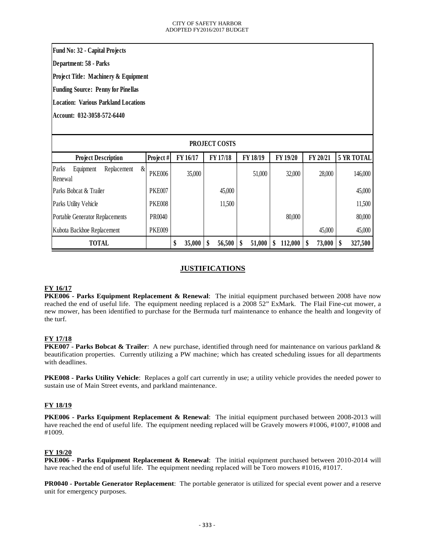| Fund No: 32 - Capital Projects                    |               |              |              |              |               |              |               |  |  |  |  |  |
|---------------------------------------------------|---------------|--------------|--------------|--------------|---------------|--------------|---------------|--|--|--|--|--|
| Department: 58 - Parks                            |               |              |              |              |               |              |               |  |  |  |  |  |
| <b>Project Title: Machinery &amp; Equipment</b>   |               |              |              |              |               |              |               |  |  |  |  |  |
| <b>Funding Source: Penny for Pinellas</b>         |               |              |              |              |               |              |               |  |  |  |  |  |
| <b>Location: Various Parkland Locations</b>       |               |              |              |              |               |              |               |  |  |  |  |  |
| Account: 032-3058-572-6440                        |               |              |              |              |               |              |               |  |  |  |  |  |
|                                                   |               |              |              |              |               |              |               |  |  |  |  |  |
| PROJECT COSTS                                     |               |              |              |              |               |              |               |  |  |  |  |  |
| <b>Project Description</b>                        | Project#      | FY 16/17     | FY 17/18     | FY 18/19     | FY 19/20      | FY 20/21     | 5 YR TOTAL    |  |  |  |  |  |
| Parks<br>Equipment<br>Replacement<br>&<br>Renewal | <b>PKE006</b> | 35,000       |              | 51,000       | 32,000        | 28,000       | 146,000       |  |  |  |  |  |
| Parks Bobcat & Trailer                            | <b>PKE007</b> |              | 45,000       |              |               |              | 45,000        |  |  |  |  |  |
| Parks Utility Vehicle                             | <b>PKE008</b> |              | 11,500       |              |               |              | 11,500        |  |  |  |  |  |
| Portable Generator Replacements                   | PR0040        |              |              |              | 80,000        |              | 80,000        |  |  |  |  |  |
| Kubota Backhoe Replacement                        | <b>PKE009</b> |              |              |              |               | 45,000       | 45,000        |  |  |  |  |  |
| <b>TOTAL</b>                                      |               | 35,000<br>\$ | 56,500<br>\$ | 51,000<br>\$ | 112,000<br>\$ | 73,000<br>\$ | 327,500<br>\$ |  |  |  |  |  |

#### **FY 16/17**

**PKE006 - Parks Equipment Replacement & Renewal**: The initial equipment purchased between 2008 have now reached the end of useful life. The equipment needing replaced is a 2008 52" ExMark. The Flail Fine-cut mower, a new mower, has been identified to purchase for the Bermuda turf maintenance to enhance the health and longevity of the turf.

#### **FY 17/18**

**PKE007 - Parks Bobcat & Trailer**: A new purchase, identified through need for maintenance on various parkland & beautification properties. Currently utilizing a PW machine; which has created scheduling issues for all departments with deadlines.

**PKE008 - Parks Utility Vehicle**: Replaces a golf cart currently in use; a utility vehicle provides the needed power to sustain use of Main Street events, and parkland maintenance.

#### **FY 18/19**

**PKE006 - Parks Equipment Replacement & Renewal**: The initial equipment purchased between 2008-2013 will have reached the end of useful life. The equipment needing replaced will be Gravely mowers #1006, #1007, #1008 and #1009.

#### **FY 19/20**

**PKE006 - Parks Equipment Replacement & Renewal**: The initial equipment purchased between 2010-2014 will have reached the end of useful life. The equipment needing replaced will be Toro mowers #1016, #1017.

**PR0040 - Portable Generator Replacement**: The portable generator is utilized for special event power and a reserve unit for emergency purposes.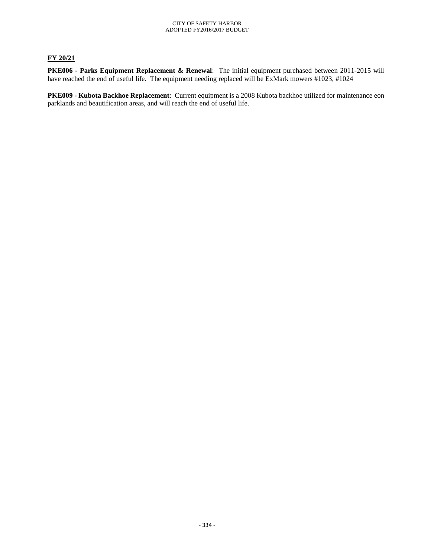# **FY 20/21**

**PKE006 - Parks Equipment Replacement & Renewal**: The initial equipment purchased between 2011-2015 will have reached the end of useful life. The equipment needing replaced will be ExMark mowers #1023, #1024

**PKE009 - Kubota Backhoe Replacement**: Current equipment is a 2008 Kubota backhoe utilized for maintenance eon parklands and beautification areas, and will reach the end of useful life.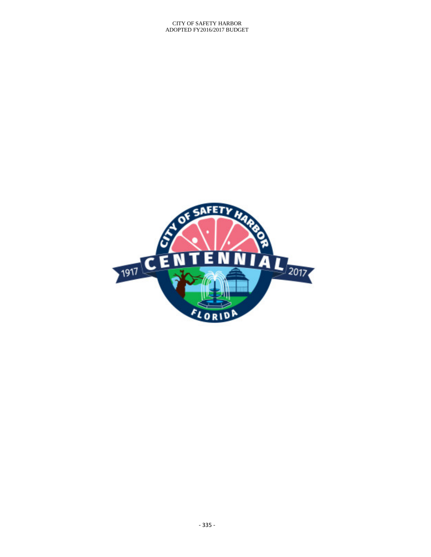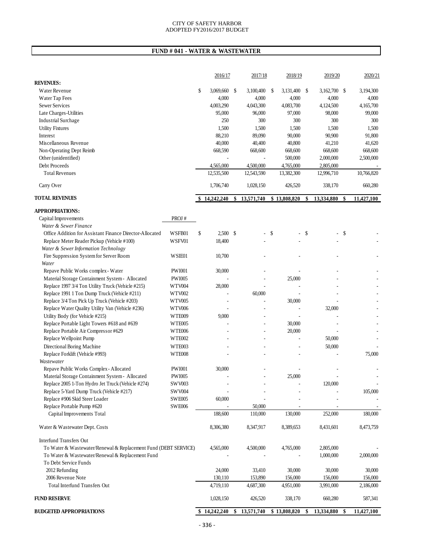#### CITY OF SAFETY HARBOR ADOPTED FY2016/2017 BUDGET

# **FUND # 041 - WATER & WASTEWATER**

|                                                                 |                |              | 2016/17    | 2017/18          |               | 2018/19                  |               | 2019/20                  |    | 2020/21    |
|-----------------------------------------------------------------|----------------|--------------|------------|------------------|---------------|--------------------------|---------------|--------------------------|----|------------|
| <b>REVENUES:</b>                                                |                |              |            |                  |               |                          |               |                          |    |            |
| Water Revenue                                                   |                | \$           | 3,069,660  | \$<br>3,100,400  | S             | 3,131,400 \$             |               | $3,162,700$ \$           |    | 3,194,300  |
| Water Tap Fees                                                  |                |              | 4,000      | 4,000            |               | 4,000                    |               | 4,000                    |    | 4,000      |
| Sewer Services                                                  |                |              | 4,003,290  | 4,043,300        |               | 4,083,700                |               | 4,124,500                |    | 4,165,700  |
| Late Charges-Utilities                                          |                |              | 95,000     | 96,000           |               | 97,000                   |               | 98,000                   |    | 99,000     |
| <b>Industrial Surchage</b>                                      |                |              | 250        | 300              |               | 300                      |               | 300                      |    | 300        |
| <b>Utility Fixtures</b>                                         |                |              | 1,500      | 1,500            |               | 1,500                    |               | 1,500                    |    | 1,500      |
| Interest                                                        |                |              | 88,210     | 89,090           |               | 90,000                   |               | 90,900                   |    | 91,800     |
| Miscellaneous Revenue                                           |                |              | 40,000     | 40,400           |               | 40,800                   |               | 41,210                   |    | 41,620     |
| Non-Operating Dept Reimb                                        |                |              | 668,590    | 668,600          |               | 668,600                  |               | 668,600                  |    | 668,600    |
| Other (unidentified)                                            |                |              |            |                  |               | 500,000                  |               | 2,000,000                |    | 2,500,000  |
| Debt Proceeds                                                   |                |              | 4,565,000  | 4,500,000        |               | 4,765,000                |               | 2,805,000                |    |            |
| <b>Total Revenues</b>                                           |                |              | 12,535,500 | 12,543,590       |               | 13,382,300               |               | 12,996,710               |    | 10,766,820 |
| Carry Over                                                      |                |              | 1,706,740  | 1,028,150        |               | 426,520                  |               | 338,170                  |    | 660,280    |
| <b>TOTAL REVENUES</b>                                           |                | 14,242,240   |            | \$<br>13,571,740 |               | $\overline{$}3,808,820$  | \$            | 13,334,880               | \$ | 11,427,100 |
| <b>APPROPRIATIONS:</b>                                          |                |              |            |                  |               |                          |               |                          |    |            |
| Capital Improvements                                            | PROJ#          |              |            |                  |               |                          |               |                          |    |            |
| Water & Sewer Finance                                           |                |              |            |                  |               |                          |               |                          |    |            |
| Office Addition for Assistant Finance Director-Allocated        | WSFB01         | \$           | $2,500$ \$ | $\blacksquare$   | $\mathcal{S}$ | $\overline{\phantom{a}}$ | <sup>\$</sup> | $\overline{\phantom{a}}$ | \$ |            |
| Replace Meter Reader Pickup (Vehicle #100)                      | WSFV01         |              | 18,400     |                  |               |                          |               |                          |    |            |
| Water & Sewer Information Technology                            |                |              |            |                  |               |                          |               |                          |    |            |
| Fire Suppression System for Server Room<br>Water                | WSIE01         |              | 10,700     |                  |               |                          |               |                          |    |            |
| Repave Public Works complex - Water                             | <b>PWI001</b>  |              | 30,000     |                  |               |                          |               |                          |    |            |
| Material Storage Containment System - Allocated                 | <b>PWI005</b>  |              |            |                  |               | 25,000                   |               |                          |    |            |
| Replace 1997 3/4 Ton Utility Truck (Vehicle #215)               | <b>WTV004</b>  |              | 28,000     |                  |               |                          |               |                          |    |            |
| Replace 1991 1 Ton Dump Truck (Vehicle #211)                    | <b>WTV002</b>  |              |            | 60,000           |               |                          |               |                          |    |            |
| Replace 3/4 Ton Pick Up Truck (Vehicle #203)                    | WTV005         |              |            |                  |               | 30,000                   |               |                          |    |            |
| Replace Water Quality Utility Van (Vehicle #236)                | <b>WTV006</b>  |              |            |                  |               |                          |               | 32,000                   |    |            |
| Utility Body (for Vehicle #215)                                 | WTE009         |              | 9,000      |                  |               |                          |               |                          |    |            |
| Replace Portable Light Towers #618 and #639                     | WTE005         |              |            |                  |               | 30,000                   |               |                          |    |            |
| Replace Portable Air Compressor #629                            | WTE006         |              |            |                  |               | 20,000                   |               |                          |    |            |
| Replace Wellpoint Pump                                          | WTE002         |              |            |                  |               |                          |               | 50,000                   |    |            |
| Directional Boring Machine                                      | WTE003         |              |            |                  |               |                          |               | 50,000                   |    |            |
| Replace Forklift (Vehicle #993)                                 | WTE008         |              |            |                  |               |                          |               |                          |    | 75,000     |
| Wastewater                                                      |                |              |            |                  |               |                          |               |                          |    |            |
| Repave Public Works Complex - Allocated                         | <b>PWI001</b>  |              | 30,000     |                  |               |                          |               |                          |    |            |
| Material Storage Containment System - Allocated                 | <b>PWI005</b>  |              |            |                  |               | 25,000                   |               |                          |    |            |
| Replace 2005 1-Ton Hydro Jet Truck (Vehicle #274)               | <b>SWV003</b>  |              |            |                  |               |                          |               | 120,000                  |    |            |
| Replace 5-Yard Dump Truck (Vehicle #217)                        | <b>SW V004</b> |              |            |                  |               |                          |               |                          |    | 105,000    |
| Replace #906 Skid Steer Loader                                  | <b>SWE005</b>  |              | 60,000     |                  |               |                          |               |                          |    |            |
| Replace Portable Pump #620                                      | <b>SWE006</b>  |              |            | 50,000           |               |                          |               |                          |    |            |
| Capital Improvements Total                                      |                |              | 188,600    | 110,000          |               | 130,000                  |               | 252,000                  |    | 180,000    |
| Water & Wastewater Dept. Costs                                  |                |              | 8,306,380  | 8,347,917        |               | 8,389,653                |               | 8,431,601                |    | 8,473,759  |
| Interfund Transfers Out                                         |                |              |            |                  |               |                          |               |                          |    |            |
| To Water & Wastewater/Renewal & Replacement Fund (DEBT SERVICE) |                |              | 4,565,000  | 4,500,000        |               | 4,765,000                |               | 2,805,000                |    |            |
| To Water & Wastewater/Renewal & Replacement Fund                |                |              |            |                  |               |                          |               | 1,000,000                |    | 2,000,000  |
| To Debt Service Funds                                           |                |              |            |                  |               |                          |               |                          |    |            |
| 2012 Refunding                                                  |                |              | 24,000     | 33,410           |               | 30,000                   |               | 30,000                   |    | 30,000     |
| 2006 Revenue Note                                               |                |              | 130,110    | 153,890          |               | 156,000                  |               | 156,000                  |    | 156,000    |
| <b>Total Interfund Transfers Out</b>                            |                |              | 4,719,110  | 4,687,300        |               | 4,951,000                |               | 3,991,000                |    | 2,186,000  |
| <b>FUND RESERVE</b>                                             |                |              | 1,028,150  | 426,520          |               | 338,170                  |               | 660,280                  |    | 587,341    |
| <b>BUDGETED APPROPRIATIONS</b>                                  |                | \$14,242,240 |            | \$<br>13,571,740 |               | \$13,808,820             | \$            | 13,334,880               | -S | 11,427,100 |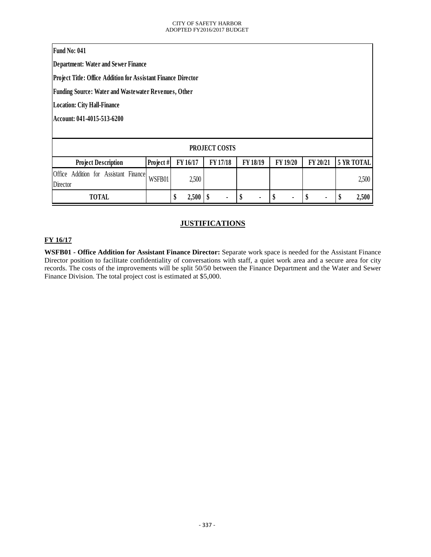| <b>Fund No: 041</b>                                                  |          |            |                      |          |          |          |            |  |  |  |
|----------------------------------------------------------------------|----------|------------|----------------------|----------|----------|----------|------------|--|--|--|
| Department: Water and Sewer Finance                                  |          |            |                      |          |          |          |            |  |  |  |
| <b>Project Title: Office Addition for Assistant Finance Director</b> |          |            |                      |          |          |          |            |  |  |  |
| <b>Funding Source: Water and Wastewater Revenues, Other</b>          |          |            |                      |          |          |          |            |  |  |  |
| <b>Location: City Hall-Finance</b>                                   |          |            |                      |          |          |          |            |  |  |  |
| Account: 041-4015-513-6200                                           |          |            |                      |          |          |          |            |  |  |  |
|                                                                      |          |            |                      |          |          |          |            |  |  |  |
|                                                                      |          |            | <b>PROJECT COSTS</b> |          |          |          |            |  |  |  |
| <b>Project Description</b>                                           | Project# | FY 16/17   | FY 17/18             | FY 18/19 | FY 19/20 | FY 20/21 | 5 YR TOTAL |  |  |  |
| Addition for Assistant Finance<br>Office<br>Director                 | WSFB01   | 2,500      |                      |          |          |          | 2,500      |  |  |  |
| <b>TOTAL</b>                                                         |          | 2,500<br>S | S                    | \$<br>٠  | \$       |          | 2,500      |  |  |  |

# **FY 16/17**

**WSFB01 - Office Addition for Assistant Finance Director:** Separate work space is needed for the Assistant Finance Director position to facilitate confidentiality of conversations with staff, a quiet work area and a secure area for city records. The costs of the improvements will be split 50/50 between the Finance Department and the Water and Sewer Finance Division. The total project cost is estimated at \$5,000.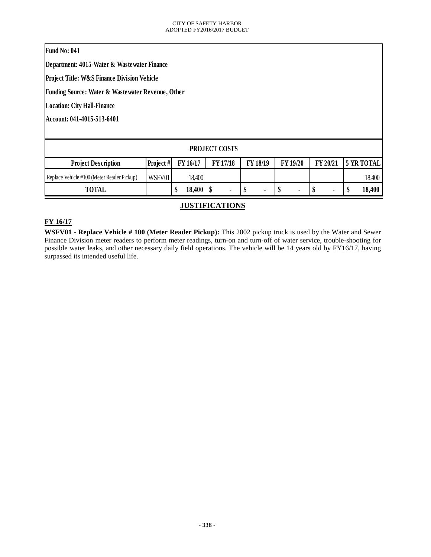| Fund No: 041                                                 |          |              |               |          |          |          |            |
|--------------------------------------------------------------|----------|--------------|---------------|----------|----------|----------|------------|
| Department: 4015-Water & Wastewater Finance                  |          |              |               |          |          |          |            |
| <b>Project Title: W&amp;S Finance Division Vehicle</b>       |          |              |               |          |          |          |            |
| <b>Funding Source: Water &amp; Wastewater Revenue, Other</b> |          |              |               |          |          |          |            |
| <b>Location: City Hall-Finance</b>                           |          |              |               |          |          |          |            |
| Account: 041-4015-513-6401                                   |          |              |               |          |          |          |            |
|                                                              |          |              |               |          |          |          |            |
|                                                              |          |              | PROJECT COSTS |          |          |          |            |
| <b>Project Description</b>                                   | Project# | FY 16/17     | FY 17/18      | FY 18/19 | FY 19/20 | FY 20/21 | 5 YR TOTAL |
| Replace Vehicle #100 (Meter Reader Pickup)                   | WSFV01   | 18,400       |               |          |          |          | 18,400     |
| <b>TOTAL</b>                                                 |          | \$<br>18,400 |               |          | ٠        |          | 18,400     |

# **FY 16/17**

**WSFV01 - Replace Vehicle # 100 (Meter Reader Pickup):** This 2002 pickup truck is used by the Water and Sewer Finance Division meter readers to perform meter readings, turn-on and turn-off of water service, trouble-shooting for possible water leaks, and other necessary daily field operations. The vehicle will be 14 years old by FY16/17, having surpassed its intended useful life.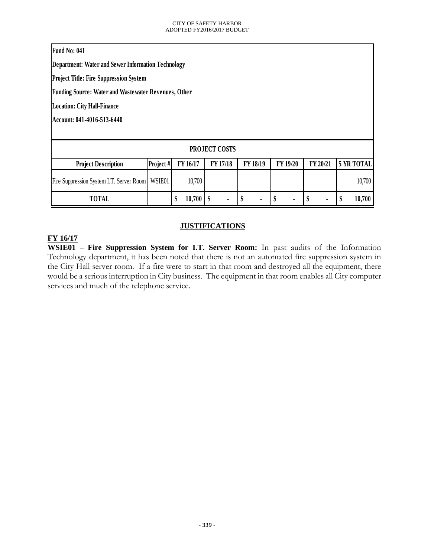| Fund No: 041                                                |          |              |               |          |          |          |            |  |  |  |
|-------------------------------------------------------------|----------|--------------|---------------|----------|----------|----------|------------|--|--|--|
| Department: Water and Sewer Information Technology          |          |              |               |          |          |          |            |  |  |  |
| <b>Project Title: Fire Suppression System</b>               |          |              |               |          |          |          |            |  |  |  |
| <b>Funding Source: Water and Wastewater Revenues, Other</b> |          |              |               |          |          |          |            |  |  |  |
| <b>Location: City Hall-Finance</b>                          |          |              |               |          |          |          |            |  |  |  |
| Account: 041-4016-513-6440                                  |          |              |               |          |          |          |            |  |  |  |
|                                                             |          |              |               |          |          |          |            |  |  |  |
|                                                             |          |              | PROJECT COSTS |          |          |          |            |  |  |  |
| <b>Project Description</b>                                  | Project# | FY 16/17     | FY 17/18      | FY 18/19 | FY 19/20 | FY 20/21 | 5 YR TOTAL |  |  |  |
| Fire Suppression System I.T. Server Room                    | WSIE01   | 10,700       |               |          |          |          | 10,700     |  |  |  |
| <b>TOTAL</b>                                                |          | \$<br>10,700 |               |          |          |          | 10,700     |  |  |  |

# **FY 16/17**

**WSIE01 – Fire Suppression System for I.T. Server Room:** In past audits of the Information Technology department, it has been noted that there is not an automated fire suppression system in the City Hall server room. If a fire were to start in that room and destroyed all the equipment, there would be a serious interruption in City business. The equipment in that room enables all City computer services and much of the telephone service.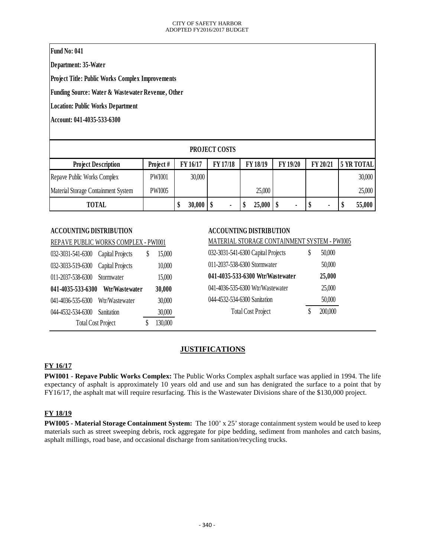**Fund No: 041**

**Department: 35-Water**

**Project Title: Public Works Complex Improvements**

**Funding Source: Water & Wastewater Revenue, Other** 

**Location: Public Works Department**

**Account: 041-4035-533-6300**

| <b>PROJECT COSTS</b>                |               |          |          |          |          |          |            |  |  |  |  |
|-------------------------------------|---------------|----------|----------|----------|----------|----------|------------|--|--|--|--|
| <b>Project Description</b>          | Project#      | FY 16/17 | FY 17/18 | FY 18/19 | FY 19/20 | FY 20/21 | 5 YR TOTAL |  |  |  |  |
| Repave Public Works Complex         | <b>PWI001</b> | 30,000   |          |          |          |          | 30,000     |  |  |  |  |
| Material Storage Containment System | <b>PWI005</b> |          |          | 25,000   |          |          | 25,000     |  |  |  |  |
| <b>TOTAL</b>                        |               | 30,000   |          | 25,000   | ٠        | ٠        | 55,000     |  |  |  |  |

# **ACCOUNTING DISTRIBUTION ACCOUNTING DISTRIBUTION**

| REPAVE PUBLIC WORKS COMPLEX - PWI001 |                         |    |        |  |  |  |  |  |  |  |
|--------------------------------------|-------------------------|----|--------|--|--|--|--|--|--|--|
| 032-3031-541-6300                    | Capital Projects        | \$ | 15,000 |  |  |  |  |  |  |  |
| 032-3033-519-6300                    | <b>Capital Projects</b> |    | 10,000 |  |  |  |  |  |  |  |
| 011-2037-538-6300                    | Stormwater              |    | 15,000 |  |  |  |  |  |  |  |
|                                      |                         |    |        |  |  |  |  |  |  |  |
| 041-4035-533-6300                    | Wtr/Wastewater          |    | 30,000 |  |  |  |  |  |  |  |
| 041-4036-535-6300                    | Wtr/Wastewater          |    | 30,000 |  |  |  |  |  |  |  |
| 044-4532-534-6300                    | Sanitation              |    | 30,000 |  |  |  |  |  |  |  |

|                                       | REPAVE PUBLIC WORKS COMPLEX - PWI001 |        | MATERIAL STORAGE CONTAINMENT SYSTEM - PWI005 |        |
|---------------------------------------|--------------------------------------|--------|----------------------------------------------|--------|
| 032-3031-541-6300 Capital Projects    |                                      | 15.000 | 032-3031-541-6300 Capital Projects           | 50,000 |
| 032-3033-519-6300    Capital Projects |                                      | 10.000 | 011-2037-538-6300 Stormwater                 | 50,000 |

| 011-2037-538-6300 | Stormwater     | 15,000 | 041-4035-533-6300 Wtr/Wastewater | 25,000  |
|-------------------|----------------|--------|----------------------------------|---------|
| 041-4035-533-6300 | Wtr/Wastewater | 30,000 | 041-4036-535-6300 Wtr/Wastewater | 25,000  |
| 041-4036-535-6300 | Wtr/Wastewater | 30,000 | 044-4532-534-6300 Sanitation     | 50,000  |
| 044-4532-534-6300 | Sanitation     | 30,000 | <b>Total Cost Project</b>        | 200,000 |
|                   |                |        |                                  |         |

# **JUSTIFICATIONS**

# **FY 16/17**

**PWI001 - Repave Public Works Complex:** The Public Works Complex asphalt surface was applied in 1994. The life expectancy of asphalt is approximately 10 years old and use and sun has denigrated the surface to a point that by FY16/17, the asphalt mat will require resurfacing. This is the Wastewater Divisions share of the \$130,000 project.

# **FY 18/19**

**PWI005 - Material Storage Containment System:** The 100' x 25' storage containment system would be used to keep materials such as street sweeping debris, rock aggregate for pipe bedding, sediment from manholes and catch basins, asphalt millings, road base, and occasional discharge from sanitation/recycling trucks.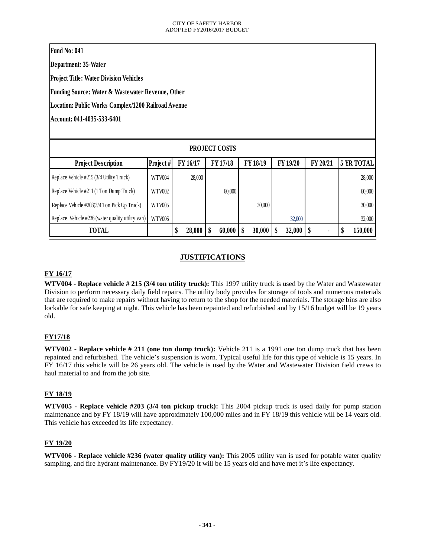| <b>Fund No: 041</b>                                                            |               |              |          |          |          |          |               |  |  |  |  |
|--------------------------------------------------------------------------------|---------------|--------------|----------|----------|----------|----------|---------------|--|--|--|--|
| Department: 35-Water                                                           |               |              |          |          |          |          |               |  |  |  |  |
| <b>Project Title: Water Division Vehicles</b>                                  |               |              |          |          |          |          |               |  |  |  |  |
| Funding Source: Water & Wastewater Revenue, Other                              |               |              |          |          |          |          |               |  |  |  |  |
| <b>Location: Public Works Complex/1200 Railroad Avenue</b>                     |               |              |          |          |          |          |               |  |  |  |  |
| Account: 041-4035-533-6401                                                     |               |              |          |          |          |          |               |  |  |  |  |
|                                                                                |               |              |          |          |          |          |               |  |  |  |  |
| PROJECT COSTS                                                                  |               |              |          |          |          |          |               |  |  |  |  |
| <b>Project Description</b>                                                     | Project#      | FY 16/17     | FY 17/18 | FY 18/19 | FY 19/20 | FY 20/21 | 5 YR TOTAL    |  |  |  |  |
| Replace Vehicle #215 (3/4 Utility Truck)                                       | WTV004        | 28,000       |          |          |          |          | 28,000        |  |  |  |  |
| Replace Vehicle #211 (1 Ton Dump Truck)                                        | WTV002        |              | 60,000   |          |          |          | 60,000        |  |  |  |  |
| Replace Vehicle #203(3/4 Ton Pick Up Truck)                                    | <b>WTV005</b> |              |          | 30,000   |          |          | 30,000        |  |  |  |  |
| Replace Vehicle #236 (water quality utility van)<br>WTV006<br>32,000<br>32,000 |               |              |          |          |          |          |               |  |  |  |  |
| <b>TOTAL</b>                                                                   |               | 28,000<br>\$ | 60,000   | 30,000   | 32,000   | \$       | 150,000<br>\$ |  |  |  |  |

# **FY 16/17**

**WTV004 - Replace vehicle # 215 (3/4 ton utility truck):** This 1997 utility truck is used by the Water and Wastewater Division to perform necessary daily field repairs. The utility body provides for storage of tools and numerous materials that are required to make repairs without having to return to the shop for the needed materials. The storage bins are also lockable for safe keeping at night. This vehicle has been repainted and refurbished and by 15/16 budget will be 19 years old.

# **FY17/18**

**WTV002 - Replace vehicle # 211 (one ton dump truck):** Vehicle 211 is a 1991 one ton dump truck that has been repainted and refurbished. The vehicle's suspension is worn. Typical useful life for this type of vehicle is 15 years. In FY 16/17 this vehicle will be 26 years old. The vehicle is used by the Water and Wastewater Division field crews to haul material to and from the job site.

# **FY 18/19**

**WTV005 - Replace vehicle #203 (3/4 ton pickup truck):** This 2004 pickup truck is used daily for pump station maintenance and by FY 18/19 will have approximately 100,000 miles and in FY 18/19 this vehicle will be 14 years old. This vehicle has exceeded its life expectancy.

#### **FY 19/20**

**WTV006 - Replace vehicle #236 (water quality utility van):** This 2005 utility van is used for potable water quality sampling, and fire hydrant maintenance. By FY19/20 it will be 15 years old and have met it's life expectancy.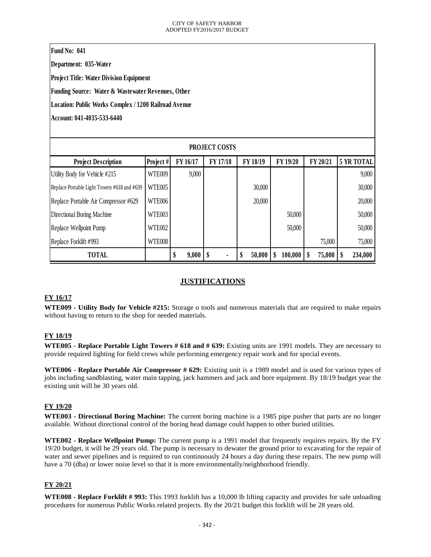| <b>Fund No: 041</b>                                          |          |             |          |              |               |              |               |  |  |  |  |
|--------------------------------------------------------------|----------|-------------|----------|--------------|---------------|--------------|---------------|--|--|--|--|
| Department: 035-Water                                        |          |             |          |              |               |              |               |  |  |  |  |
| <b>Project Title: Water Division Equipment</b>               |          |             |          |              |               |              |               |  |  |  |  |
| Funding Source: Water & Wastewater Revenues, Other           |          |             |          |              |               |              |               |  |  |  |  |
| <b>Location: Public Works Complex / 1200 Railroad Avenue</b> |          |             |          |              |               |              |               |  |  |  |  |
| Account: 041-4035-533-6440                                   |          |             |          |              |               |              |               |  |  |  |  |
|                                                              |          |             |          |              |               |              |               |  |  |  |  |
| PROJECT COSTS                                                |          |             |          |              |               |              |               |  |  |  |  |
| <b>Project Description</b>                                   | Project# | FY 16/17    | FY 17/18 | FY 18/19     | FY 19/20      | FY 20/21     | 5 YR TOTAL    |  |  |  |  |
| Utility Body for Vehicle #215                                | WTE009   | 9,000       |          |              |               |              | 9,000         |  |  |  |  |
| Replace Portable Light Towers #618 and #639                  | WTE005   |             |          | 30,000       |               |              | 30,000        |  |  |  |  |
| Replace Portable Air Compressor #629                         | WTE006   |             |          | 20,000       |               |              | 20,000        |  |  |  |  |
| Directional Boring Machine                                   | WTE003   |             |          |              | 50,000        |              | 50,000        |  |  |  |  |
| Replace Wellpoint Pump                                       | WTE002   |             |          |              | 50,000        |              | 50,000        |  |  |  |  |
| Replace Forklift #993                                        | WTE008   |             |          |              |               | 75,000       | 75,000        |  |  |  |  |
| <b>TOTAL</b>                                                 |          | \$<br>9,000 | \$       | 50,000<br>\$ | 100,000<br>\$ | 75,000<br>\$ | 234,000<br>\$ |  |  |  |  |

#### **FY 16/17**

**WTE009 - Utility Body for Vehicle #215:** Storage o tools and numerous materials that are required to make repairs without having to return to the shop for needed materials.

#### **FY 18/19**

**WTE005 - Replace Portable Light Towers # 618 and # 639:** Existing units are 1991 models. They are necessary to provide required lighting for field crews while performing emergency repair work and for special events.

**WTE006 - Replace Portable Air Compressor # 629:** Existing unit is a 1989 model and is used for various types of jobs including sandblasting, water main tapping, jack hammers and jack and bore equipment. By 18/19 budget year the existing unit will be 30 years old.

#### **FY 19/20**

**WTE003 - Directional Boring Machine:** The current boring machine is a 1985 pipe pusher that parts are no longer available. Without directional control of the boring head damage could happen to other buried utilities.

**WTE002 - Replace Wellpoint Pump:** The current pump is a 1991 model that frequently requires repairs. By the FY 19/20 budget, it will be 29 years old. The pump is necessary to dewater the ground prior to excavating for the repair of water and sewer pipelines and is required to run continuously 24 hours a day during these repairs. The new pump will have a 70 (dba) or lower noise level so that it is more environmentally/neighborhood friendly.

#### **FY 20/21**

**WTE008 - Replace Forklift # 993:** This 1993 forklift has a 10,000 lb lifting capacity and provides for safe unloading procedures for numerous Public Works related projects. By the 20/21 budget this forklift will be 28 years old.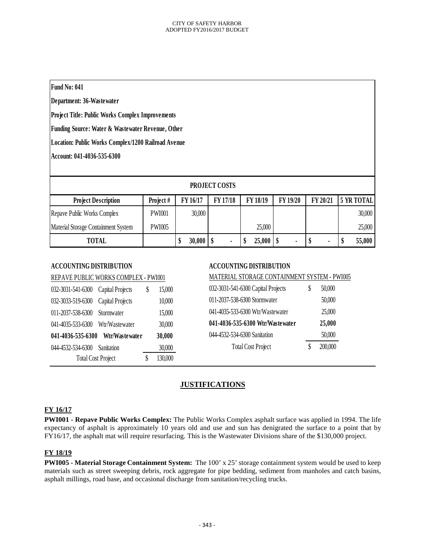#### CITY OF SAFETY HARBOR ADOPTED FY2016/2017 BUDGET

# **Fund No: 041**

**Department: 36-Wastewater**

**Project Title: Public Works Complex Improvements**

**Funding Source: Water & Wastewater Revenue, Other** 

**Location: Public Works Complex/1200 Railroad Avenue**

**Account: 041-4036-535-6300**

|                                     |               |          | <b>PROJECT COSTS</b> |               |          |          |            |
|-------------------------------------|---------------|----------|----------------------|---------------|----------|----------|------------|
| <b>Project Description</b>          | Project#      | FY 16/17 | FY 17/18             | FY 18/19      | FY 19/20 | FY 20/21 | 5 YR TOTAL |
| Repave Public Works Complex         | <b>PWI001</b> | 30,000   |                      |               |          |          | 30,000     |
| Material Storage Containment System | <b>PWI005</b> |          |                      | 25,000        |          |          | 25,000     |
| <b>TOTAL</b>                        |               | 30,000   |                      | $25,000$   \$ |          | - 10     | 55,000     |

# **ACCOUNTING DISTRIBUTION ACCOUNTING DISTRIBUTION**

|                   | REPAVE PUBLIC WORKS COMPLEX - PWI001 |    |         |
|-------------------|--------------------------------------|----|---------|
| 032-3031-541-6300 | Capital Projects                     | \$ | 15,000  |
| 032-3033-519-6300 | Capital Projects                     |    | 10,000  |
| 011-2037-538-6300 | Stormwater                           |    | 15,000  |
| 041-4035-533-6300 | Wtr/Wastewater                       |    | 30,000  |
| 041-4036-535-6300 | Wtr/Wastewater                       |    | 30,000  |
| 044-4532-534-6300 | Sanitation                           |    | 30,000  |
|                   | <b>Total Cost Project</b>            | S  | 130,000 |

| REPAVE PUBLIC WORKS COMPLEX - PWI001 |                |        | MATERIAL STORAGE CONTAINMENT SYSTEM - PWI005 |         |
|--------------------------------------|----------------|--------|----------------------------------------------|---------|
| 032-3031-541-6300 Capital Projects   |                | 15,000 | 032-3031-541-6300 Capital Projects           | 50,000  |
| 032-3033-519-6300 Capital Projects   |                | 10,000 | 011-2037-538-6300 Stormwater                 | 50,000  |
| 011-2037-538-6300                    | Stormwater     | 15,000 | 041-4035-533-6300 Wtr/Wastewater             | 25,000  |
| 041-4035-533-6300                    | Wtr/Wastewater | 30,000 | 041-4036-535-6300 Wtr/Wastewater             | 25,000  |
| 041-4036-535-6300                    | Wtr/Wastewater | 30,000 | 044-4532-534-6300 Sanitation                 | 50,000  |
| 044-4532-534-6300                    | Sanitation     | 30,000 | <b>Total Cost Project</b>                    | 200,000 |
|                                      |                |        |                                              |         |

# **JUSTIFICATIONS**

# **FY 16/17**

**PWI001 - Repave Public Works Complex:** The Public Works Complex asphalt surface was applied in 1994. The life expectancy of asphalt is approximately 10 years old and use and sun has denigrated the surface to a point that by FY16/17, the asphalt mat will require resurfacing. This is the Wastewater Divisions share of the \$130,000 project.

# **FY 18/19**

**PWI005 - Material Storage Containment System:** The 100' x 25' storage containment system would be used to keep materials such as street sweeping debris, rock aggregate for pipe bedding, sediment from manholes and catch basins, asphalt millings, road base, and occasional discharge from sanitation/recycling trucks.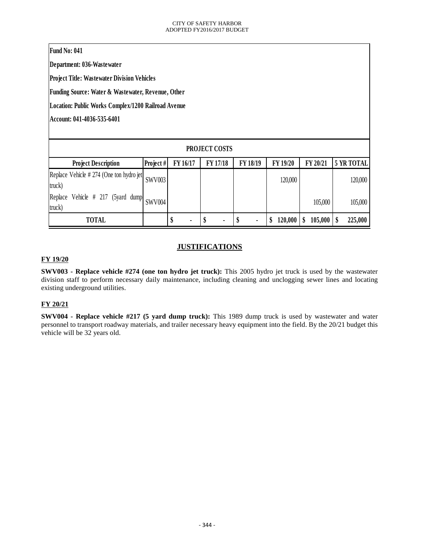| <b>Fund No: 041</b>                                 |               |          |               |          |               |              |            |
|-----------------------------------------------------|---------------|----------|---------------|----------|---------------|--------------|------------|
| Department: 036-Wastewater                          |               |          |               |          |               |              |            |
| <b>Project Title: Wastewater Division Vehicles</b>  |               |          |               |          |               |              |            |
| Funding Source: Water & Wastewater, Revenue, Other  |               |          |               |          |               |              |            |
| Location: Public Works Complex/1200 Railroad Avenue |               |          |               |          |               |              |            |
| Account: 041-4036-535-6401                          |               |          |               |          |               |              |            |
|                                                     |               |          |               |          |               |              |            |
|                                                     |               |          | PROJECT COSTS |          |               |              |            |
| <b>Project Description</b>                          | Project#      | FY 16/17 | FY 17/18      | FY 18/19 | FY 19/20      | FY 20/21     | 5 YR TOTAL |
| Replace Vehicle # 274 (One ton hydro jet<br>truck)  | <b>SWV003</b> |          |               |          | 120,000       |              | 120,000    |
| Replace Vehicle # 217 (5yard dump<br>truek)         | <b>SWV004</b> |          |               |          |               | 105,000      | 105,000    |
| <b>TOTAL</b>                                        |               | \$       | \$            | \$<br>٠  | 120,000<br>\$ | 105,000<br>S | 225,000    |

# **FY 19/20**

**SWV003 - Replace vehicle #274 (one ton hydro jet truck):** This 2005 hydro jet truck is used by the wastewater division staff to perform necessary daily maintenance, including cleaning and unclogging sewer lines and locating existing underground utilities.

# **FY 20/21**

**SWV004 - Replace vehicle #217 (5 yard dump truck):** This 1989 dump truck is used by wastewater and water personnel to transport roadway materials, and trailer necessary heavy equipment into the field. By the 20/21 budget this vehicle will be 32 years old.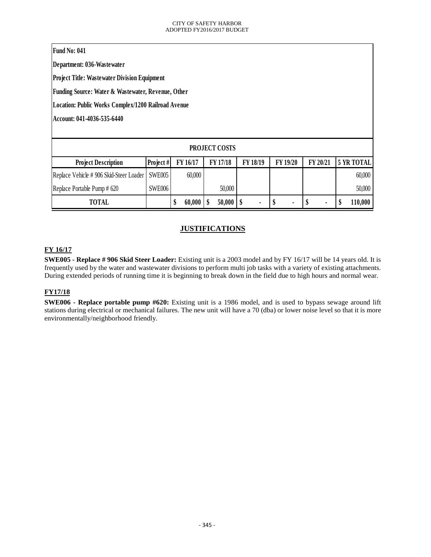| Fund No: 041                                        |               |              |                     |          |          |          |               |
|-----------------------------------------------------|---------------|--------------|---------------------|----------|----------|----------|---------------|
| Department: 036-Wastewater                          |               |              |                     |          |          |          |               |
| <b>Project Title: Wastewater Division Equipment</b> |               |              |                     |          |          |          |               |
| Funding Source: Water & Wastewater, Revenue, Other  |               |              |                     |          |          |          |               |
| Location: Public Works Complex/1200 Railroad Avenue |               |              |                     |          |          |          |               |
| Account: 041-4036-535-6440                          |               |              |                     |          |          |          |               |
|                                                     |               |              |                     |          |          |          |               |
|                                                     |               |              | PROJECT COSTS       |          |          |          |               |
| <b>Project Description</b>                          | Project#      | FY 16/17     | FY 17/18            | FY 18/19 | FY 19/20 | FY 20/21 | 5 YR TOTAL    |
| Replace Vehicle # 906 Skid-Steer Loader             | <b>SWE005</b> | 60,000       |                     |          |          |          | 60,000        |
| Replace Portable Pump # 620                         | <b>SWE006</b> |              | 50,000              |          |          |          | 50,000        |
| <b>TOTAL</b>                                        |               | \$<br>60,000 | $50,000$   \$<br>\$ | ٠        |          |          | \$<br>110,000 |

# **FY 16/17**

**SWE005 - Replace # 906 Skid Steer Loader:** Existing unit is a 2003 model and by FY 16/17 will be 14 years old. It is frequently used by the water and wastewater divisions to perform multi job tasks with a variety of existing attachments. During extended periods of running time it is beginning to break down in the field due to high hours and normal wear.

# **FY17/18**

**SWE006 - Replace portable pump #620:** Existing unit is a 1986 model, and is used to bypass sewage around lift stations during electrical or mechanical failures. The new unit will have a 70 (dba) or lower noise level so that it is more environmentally/neighborhood friendly.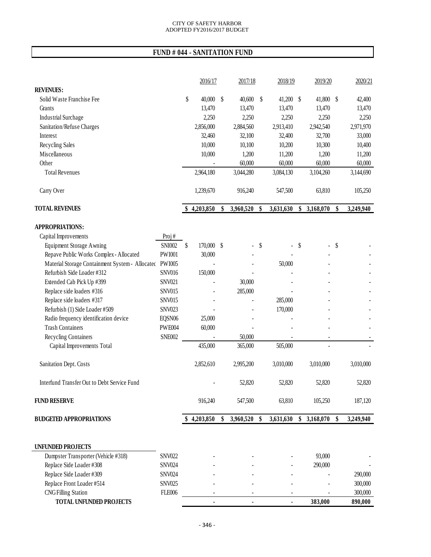#### CITY OF SAFETY HARBOR ADOPTED FY2016/2017 BUDGET

# **FUND # 044 - SANITATION FUND**

|                                                 |               | 2016/17          |               | 2017/18      |               | 2018/19     | 2019/20     |                         | 2020/21   |
|-------------------------------------------------|---------------|------------------|---------------|--------------|---------------|-------------|-------------|-------------------------|-----------|
| <b>REVENUES:</b>                                |               |                  |               |              |               |             |             |                         |           |
| Solid Waste Franchise Fee                       |               | \$<br>40,000     | \$            | 40,600       | - \$          | $41,200$ \$ | 41,800 \$   |                         | 42,400    |
| Grants                                          |               | 13,470           |               | 13,470       |               | 13,470      | 13,470      |                         | 13,470    |
| <b>Industrial Surchage</b>                      |               | 2,250            |               | 2,250        |               | 2,250       | 2,250       |                         | 2,250     |
| Sanitation/Refuse Charges                       |               | 2,856,000        |               | 2,884,560    |               | 2,913,410   | 2,942,540   |                         | 2,971,970 |
| Interest                                        |               | 32,460           |               | 32,100       |               | 32,400      | 32,700      |                         | 33,000    |
| Recycling Sales                                 |               | 10,000           |               | 10,100       |               | 10,200      | 10,300      |                         | 10,400    |
| Miscellaneous                                   |               | 10,000           |               | 1,200        |               | 11,200      | 1,200       |                         | 11,200    |
| Other                                           |               |                  |               | 60,000       |               | 60,000      | 60,000      |                         | 60,000    |
| <b>Total Revenues</b>                           |               | 2,964,180        |               | 3,044,280    |               | 3,084,130   | 3,104,260   |                         | 3,144,690 |
| Carry Over                                      |               | 1,239,670        |               | 916,240      |               | 547,500     | 63,810      |                         | 105,250   |
| <b>TOTAL REVENUES</b>                           |               | 4,203,850        | <sup>\$</sup> | 3,960,520    | $\mathbf{\$}$ | 3,631,630   | \$3,168,070 | \$                      | 3,249,940 |
| <b>APPROPRIATIONS:</b>                          |               |                  |               |              |               |             |             |                         |           |
| Capital Improvements                            | Proj#         |                  |               |              |               |             |             |                         |           |
| <b>Equipment Storage Awning</b>                 | <b>SNI002</b> | \$<br>170,000 \$ |               | ä,           | \$            |             | \$          | $\sqrt[6]{\frac{1}{2}}$ |           |
| Repave Public Works Complex - Allocated         | <b>PWI001</b> | 30,000           |               |              |               |             |             |                         |           |
| Material Storage Containment System - Allocated | <b>PWI005</b> |                  |               |              |               | 50,000      |             |                         |           |
| Refurbish Side Loader #312                      | SNV016        | 150,000          |               |              |               |             |             |                         |           |
| Extended Cab Pick Up #399                       | SNV021        |                  |               | 30,000       |               |             |             |                         |           |
| Replace side loaders #316                       | SNV015        |                  |               | 285,000      |               |             |             |                         |           |
| Replace side loaders #317                       | <b>SNV015</b> |                  |               |              |               | 285,000     |             |                         |           |
| Refurbish (1) Side Loader #509                  | SNV023        |                  |               |              |               | 170,000     |             |                         |           |
| Radio frequency identification device           | EQSN06        | 25,000           |               |              |               |             |             |                         |           |
| <b>Trash Containers</b>                         | <b>PWE004</b> | 60,000           |               |              |               |             |             |                         |           |
| Recycling Containers                            | SNE002        |                  |               | 50,000       |               |             |             |                         |           |
| Capital Improvements Total                      |               | 435,000          |               | 365,000      |               | 505,000     |             |                         |           |
| Sanitation Dept. Costs                          |               | 2,852,610        |               | 2,995,200    |               | 3,010,000   | 3,010,000   |                         | 3,010,000 |
| Interfund Transfer Out to Debt Service Fund     |               |                  |               | 52,820       |               | 52,820      | 52,820      |                         | 52,820    |
| <b>FUND RESERVE</b>                             |               | 916,240          |               | 547,500      |               | 63,810      | 105,250     |                         | 187,120   |
| <b>BUDGETED APPROPRIATIONS</b>                  |               | \$<br>4,203,850  | \$            | 3,960,520 \$ |               | 3,631,630   | \$3,168,070 | \$                      | 3,249,940 |
|                                                 |               |                  |               |              |               |             |             |                         |           |
| <b>UNFUNDED PROJECTS</b>                        |               |                  |               |              |               |             |             |                         |           |
| Dumpster Transporter (Vehicle #318)             | SNV022        |                  |               |              |               |             | 93,000      |                         |           |
| Replace Side Loader #308                        | SNV024        |                  |               |              |               |             | 290,000     |                         |           |
| Replace Side Loader #309                        | SNV024        |                  |               |              |               |             |             |                         | 290,000   |
| Replace Front Loader #514                       | SNV025        |                  |               |              |               |             |             |                         | 300,000   |
| <b>CNG Filling Station</b>                      | <b>FLE006</b> |                  |               |              |               |             |             |                         | 300,000   |
| <b>TOTAL UNFUNDED PROJECTS</b>                  |               |                  |               |              |               |             | 383,000     |                         | 890,000   |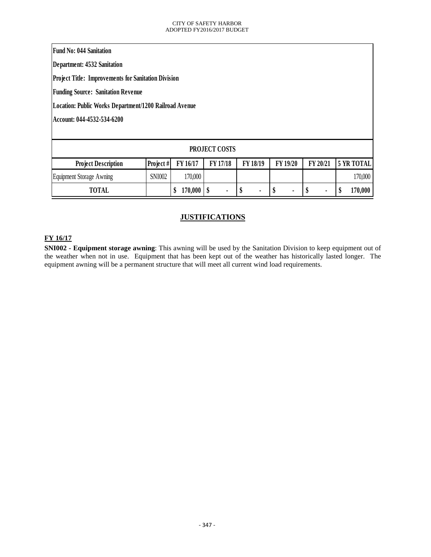| <b>Fund No: 044 Sanitation</b>                                                                                   |               |               |                      |         |  |         |
|------------------------------------------------------------------------------------------------------------------|---------------|---------------|----------------------|---------|--|---------|
| Department: 4532 Sanitation                                                                                      |               |               |                      |         |  |         |
| <b>Project Title: Improvements for Sanitation Division</b>                                                       |               |               |                      |         |  |         |
| <b>Funding Source: Sanitation Revenue</b>                                                                        |               |               |                      |         |  |         |
| Location: Public Works Department/1200 Railroad Avenue                                                           |               |               |                      |         |  |         |
| Account: 044-4532-534-6200                                                                                       |               |               |                      |         |  |         |
|                                                                                                                  |               |               |                      |         |  |         |
|                                                                                                                  |               |               | <b>PROJECT COSTS</b> |         |  |         |
| 5 YR TOTAL<br>Project#<br>FY 16/17<br>FY 17/18<br>FY 18/19<br>FY 19/20<br>FY 20/21<br><b>Project Description</b> |               |               |                      |         |  |         |
| Equipment Storage Awning                                                                                         | <b>SNI002</b> | 170,000       |                      |         |  | 170,000 |
| <b>TOTAL</b>                                                                                                     |               | 170,000<br>\$ |                      | \$<br>۰ |  | 170,000 |

# **FY 16/17**

**SNI002 - Equipment storage awning**: This awning will be used by the Sanitation Division to keep equipment out of the weather when not in use. Equipment that has been kept out of the weather has historically lasted longer. The equipment awning will be a permanent structure that will meet all current wind load requirements.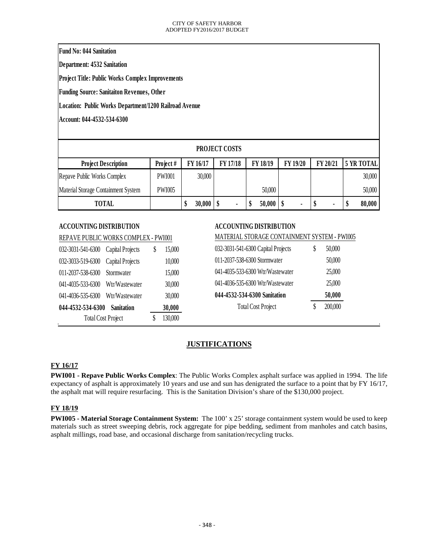|  | Fund No: 044 Sanitation |
|--|-------------------------|
|  |                         |

**Department: 4532 Sanitation**

**Project Title: Public Works Complex Improvements**

**Funding Source: Sanitaiton Revenues, Other**

**Location: Public Works Department/1200 Railroad Avenue**

**Account: 044-4532-534-6300**

|                                     |               |          | PROJECT COSTS |          |          |          |                   |
|-------------------------------------|---------------|----------|---------------|----------|----------|----------|-------------------|
| <b>Project Description</b>          | Project#      | FY 16/17 | FY 17/18      | FY 18/19 | FY 19/20 | FY 20/21 | <b>5 YR TOTAL</b> |
| Repave Public Works Complex         | <b>PWI001</b> | 30,000   |               |          |          |          | 30,000            |
| Material Storage Containment System | <b>PWI005</b> |          |               | 50,000   |          |          | 50,000            |
| <b>TOTAL</b>                        |               | 30,000   | ٠             | 50,000   | ٠        | ٠        | 80,000            |

# **ACCOUNTING DISTRIBUTION ACCOUNTING DISTRIBUTION**

| REPAVE PUBLIC WORKS COMPLEX - PWI001 |
|--------------------------------------|
|--------------------------------------|

| 032-3031-541-6300 | Capital Projects          | 15,000  | 032-3031-541-6300 Capital Projects | \$<br>50,000 |
|-------------------|---------------------------|---------|------------------------------------|--------------|
| 032-3033-519-6300 | Capital Projects          | 10,000  | 011-2037-538-6300 Stormwater       | 50,000       |
| 011-2037-538-6300 | Stormwater                | 15,000  | 041-4035-533-6300 Wtr/Wastewater   | 25,000       |
| 041-4035-533-6300 | Wtr/Wastewater            | 30,000  | 041-4036-535-6300 Wtr/Wastewater   | 25,000       |
| 041-4036-535-6300 | Wtr/Wastewater            | 30,000  | 044-4532-534-6300 Sanitation       | 50,000       |
| 044-4532-534-6300 | <b>Sanitation</b>         | 30,000  | <b>Total Cost Project</b>          | 200,000      |
|                   | <b>Total Cost Project</b> | 130,000 |                                    |              |

|--|

| 032-3031-541-6300 Capital Projects | S | 50,000  |
|------------------------------------|---|---------|
| 011-2037-538-6300 Stormwater       |   | 50,000  |
| 041-4035-533-6300 Wtr/Wastewater   |   | 25,000  |
| 041-4036-535-6300 Wtr/Wastewater   |   | 25,000  |
| 044-4532-534-6300 Sanitation       |   | 50,000  |
| <b>Total Cost Project</b>          | S | 200,000 |
|                                    |   |         |

# **JUSTIFICATIONS**

# **FY 16/17**

**PWI001 - Repave Public Works Complex**: The Public Works Complex asphalt surface was applied in 1994. The life expectancy of asphalt is approximately 10 years and use and sun has denigrated the surface to a point that by FY 16/17, the asphalt mat will require resurfacing. This is the Sanitation Division's share of the \$130,000 project.

# **FY 18/19**

**PWI005 - Material Storage Containment System:** The 100' x 25' storage containment system would be used to keep materials such as street sweeping debris, rock aggregate for pipe bedding, sediment from manholes and catch basins, asphalt millings, road base, and occasional discharge from sanitation/recycling trucks.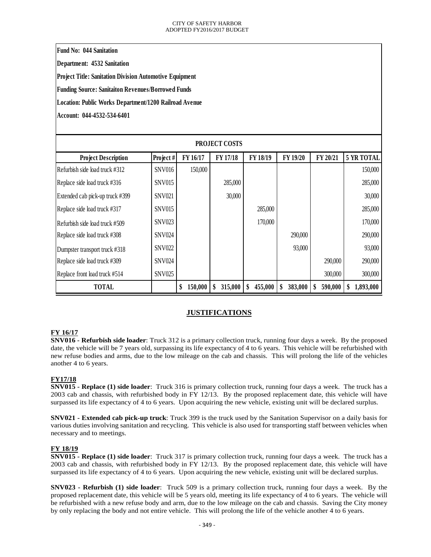**Fund No: 044 Sanitation** 

**Department: 4532 Sanitation**

**Project Title: Sanitation Division Automotive Equipment**

**Funding Source: Sanitaiton Revenues/Borrowed Funds**

**Location: Public Works Department/1200 Railroad Avenue**

**Account: 044-4532-534-6401**

| <b>PROJECT COSTS</b>            |               |               |              |              |          |               |                   |  |  |
|---------------------------------|---------------|---------------|--------------|--------------|----------|---------------|-------------------|--|--|
| <b>Project Description</b>      | Project#      | FY 16/17      | FY 17/18     | FY 18/19     | FY 19/20 | FY 20/21      | <b>5 YR TOTAL</b> |  |  |
| Refurbish side load truck #312  | <b>SNV016</b> | 150,000       |              |              |          |               | 150,000           |  |  |
| Replace side load truck #316    | <b>SNV015</b> |               | 285,000      |              |          |               | 285,000           |  |  |
| Extended cab pick-up truck #399 | <b>SNV021</b> |               | 30,000       |              |          |               | 30,000            |  |  |
| Replace side load truck #317    | <b>SNV015</b> |               |              | 285,000      |          |               | 285,000           |  |  |
| Refurbish side load truck #509  | <b>SNV023</b> |               |              | 170,000      |          |               | 170,000           |  |  |
| Replace side load truck #308    | <b>SNV024</b> |               |              |              | 290,000  |               | 290,000           |  |  |
| Dumpster transport truck #318   | <b>SNV022</b> |               |              |              | 93,000   |               | 93,000            |  |  |
| Replace side load truck #309    | SNV024        |               |              |              |          | 290,000       | 290,000           |  |  |
| Replace front load truck #514   | <b>SNV025</b> |               |              |              |          | 300,000       | 300,000           |  |  |
| <b>TOTAL</b>                    |               | 150,000<br>\$ | 315,000<br>S | 455,000<br>S | 383,000  | 590,000<br>\$ | 1,893,000         |  |  |

# **JUSTIFICATIONS**

# **FY 16/17**

**SNV016 - Refurbish side loader**: Truck 312 is a primary collection truck, running four days a week. By the proposed date, the vehicle will be 7 years old, surpassing its life expectancy of 4 to 6 years. This vehicle will be refurbished with new refuse bodies and arms, due to the low mileage on the cab and chassis. This will prolong the life of the vehicles another 4 to 6 years.

# **FY17/18**

**SNV015 - Replace (1) side loader**: Truck 316 is primary collection truck, running four days a week. The truck has a 2003 cab and chassis, with refurbished body in  $\overrightarrow{FY}$  12/13. By the proposed replacement date, this vehicle will have surpassed its life expectancy of 4 to 6 years. Upon acquiring the new vehicle, existing unit will be declared surplus.

**SNV021 - Extended cab pick-up truck**: Truck 399 is the truck used by the Sanitation Supervisor on a daily basis for various duties involving sanitation and recycling. This vehicle is also used for transporting staff between vehicles when necessary and to meetings.

#### **FY 18/19**

**SNV015 - Replace (1) side loader**: Truck 317 is primary collection truck, running four days a week. The truck has a 2003 cab and chassis, with refurbished body in FY 12/13. By the proposed replacement date, this vehicle will have surpassed its life expectancy of 4 to 6 years. Upon acquiring the new vehicle, existing unit will be declared surplus.

**SNV023 - Refurbish (1) side loader**: Truck 509 is a primary collection truck, running four days a week. By the proposed replacement date, this vehicle will be 5 years old, meeting its life expectancy of 4 to 6 years. The vehicle will be refurbished with a new refuse body and arm, due to the low mileage on the cab and chassis. Saving the City money by only replacing the body and not entire vehicle. This will prolong the life of the vehicle another 4 to 6 years.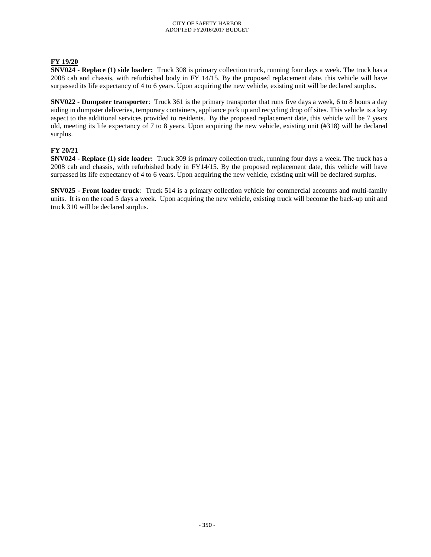# **FY 19/20**

**SNV024 - Replace (1) side loader:** Truck 308 is primary collection truck, running four days a week. The truck has a 2008 cab and chassis, with refurbished body in FY 14/15. By the proposed replacement date, this vehicle will have surpassed its life expectancy of 4 to 6 years. Upon acquiring the new vehicle, existing unit will be declared surplus.

**SNV022 - Dumpster transporter**: Truck 361 is the primary transporter that runs five days a week, 6 to 8 hours a day aiding in dumpster deliveries, temporary containers, appliance pick up and recycling drop off sites. This vehicle is a key aspect to the additional services provided to residents. By the proposed replacement date, this vehicle will be 7 years old, meeting its life expectancy of 7 to 8 years. Upon acquiring the new vehicle, existing unit (#318) will be declared surplus.

#### **FY 20/21**

**SNV024 - Replace (1) side loader:** Truck 309 is primary collection truck, running four days a week. The truck has a 2008 cab and chassis, with refurbished body in FY14/15. By the proposed replacement date, this vehicle will have surpassed its life expectancy of 4 to 6 years. Upon acquiring the new vehicle, existing unit will be declared surplus.

**SNV025 - Front loader truck**: Truck 514 is a primary collection vehicle for commercial accounts and multi-family units. It is on the road 5 days a week. Upon acquiring the new vehicle, existing truck will become the back-up unit and truck 310 will be declared surplus.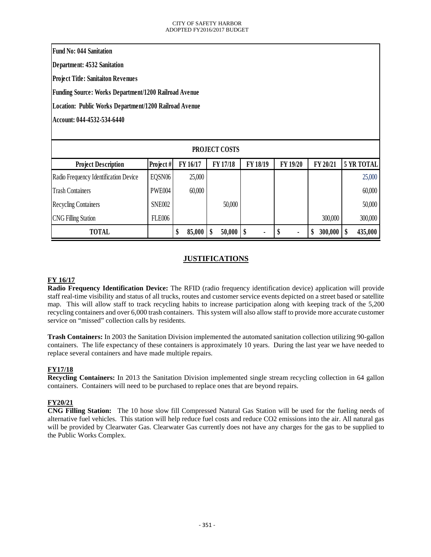| <b>Fund No: 044 Sanitation</b>                         |                                                              |              |          |          |          |               |            |  |  |  |
|--------------------------------------------------------|--------------------------------------------------------------|--------------|----------|----------|----------|---------------|------------|--|--|--|
| Department: 4532 Sanitation                            |                                                              |              |          |          |          |               |            |  |  |  |
| <b>Project Title: Sanitaiton Revenues</b>              |                                                              |              |          |          |          |               |            |  |  |  |
|                                                        | <b>Funding Source: Works Department/1200 Railroad Avenue</b> |              |          |          |          |               |            |  |  |  |
| Location: Public Works Department/1200 Railroad Avenue |                                                              |              |          |          |          |               |            |  |  |  |
| Account: 044-4532-534-6440                             |                                                              |              |          |          |          |               |            |  |  |  |
|                                                        |                                                              |              |          |          |          |               |            |  |  |  |
| PROJECT COSTS                                          |                                                              |              |          |          |          |               |            |  |  |  |
| <b>Project Description</b>                             | Project#                                                     | FY 16/17     | FY 17/18 | FY 18/19 | FY 19/20 | FY 20/21      | 5 YR TOTAL |  |  |  |
| Radio Frequency Identification Device                  | EQSN06                                                       | 25,000       |          |          |          |               | 25,000     |  |  |  |
| <b>Trash Containers</b>                                | <b>PWE004</b>                                                | 60,000       |          |          |          |               | 60,000     |  |  |  |
| <b>Recycling Containers</b>                            | <b>SNE002</b>                                                |              | 50,000   |          |          |               | 50,000     |  |  |  |
| <b>CNG Filling Station</b>                             | <b>FLE006</b>                                                |              |          |          |          | 300,000       | 300,000    |  |  |  |
| <b>TOTAL</b>                                           |                                                              | 85,000<br>\$ | 50,000   | \$       | \$       | 300,000<br>\$ | 435,000    |  |  |  |

# **FY 16/17**

**Radio Frequency Identification Device:** The RFID (radio frequency identification device) application will provide staff real-time visibility and status of all trucks, routes and customer service events depicted on a street based or satellite map. This will allow staff to track recycling habits to increase participation along with keeping track of the 5,200 recycling containers and over 6,000 trash containers. This system will also allow staff to provide more accurate customer service on "missed" collection calls by residents.

**Trash Containers:** In 2003 the Sanitation Division implemented the automated sanitation collection utilizing 90-gallon containers. The life expectancy of these containers is approximately 10 years. During the last year we have needed to replace several containers and have made multiple repairs.

# **FY17/18**

**Recycling Containers:** In 2013 the Sanitation Division implemented single stream recycling collection in 64 gallon containers. Containers will need to be purchased to replace ones that are beyond repairs.

# **FY20/21**

**CNG Filling Station:** The 10 hose slow fill Compressed Natural Gas Station will be used for the fueling needs of alternative fuel vehicles. This station will help reduce fuel costs and reduce CO2 emissions into the air. All natural gas will be provided by Clearwater Gas. Clearwater Gas currently does not have any charges for the gas to be supplied to the Public Works Complex.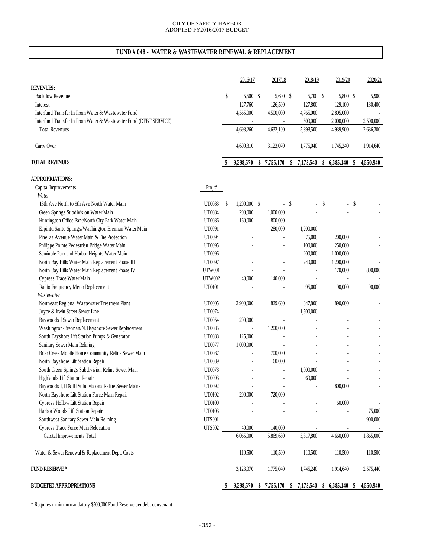# **FUND # 048 - WATER & WASTEWATER RENEWAL & REPLACEMENT**

|                                                                   |               |    | 2016/17        |    | 2017/18        |    | 2018/19                  |        | 2019/20        |   | 2020/21   |
|-------------------------------------------------------------------|---------------|----|----------------|----|----------------|----|--------------------------|--------|----------------|---|-----------|
| <b>REVENUES:</b>                                                  |               |    |                |    |                |    |                          |        |                |   |           |
| <b>Backflow Revenue</b>                                           |               | \$ | 5,500 \$       |    | 5,600 \$       |    | 5,700 \$                 |        | 5,800 \$       |   | 5,900     |
| Interest                                                          |               |    | 127,760        |    | 126,500        |    | 127,800                  |        | 129,100        |   | 130,400   |
| Interfund Transfer In From Water & Wastewater Fund                |               |    | 4,565,000      |    | 4,500,000      |    | 4,765,000                |        | 2,805,000      |   |           |
| Interfund Transfer In From Water & Wastewater Fund (DEBT SERVICE) |               |    |                |    |                |    | 500,000                  |        | 2,000,000      |   | 2,500,000 |
| <b>Total Revenues</b>                                             |               |    | 4,698,260      |    | 4,632,100      |    | 5,398,500                |        | 4,939,900      |   | 2,636,300 |
| Carry Over                                                        |               |    | 4,600,310      |    | 3,123,070      |    | 1,775,040                |        | 1,745,240      |   | 1,914,640 |
| <b>TOTAL REVENUES</b>                                             |               |    | 9,298,570      | -S | 7,755,170      | S  | 7,173,540                | \$     | $6,685,140$ \$ |   | 4,550,940 |
| <b>APPROPRIATIONS:</b>                                            |               |    |                |    |                |    |                          |        |                |   |           |
| Capital Improvements                                              | Proj#         |    |                |    |                |    |                          |        |                |   |           |
| Water                                                             |               |    |                |    |                |    |                          |        |                |   |           |
| 13th Ave North to 9th Ave North Water Main                        | UT0083        | \$ | $1,200,000$ \$ |    | $-$ \$         |    |                          | $-$ \$ | ÷.             | S |           |
| Green Springs Subdivision Water Main                              | UT0084        |    | 200,000        |    | 1,000,000      |    |                          |        |                |   |           |
| Huntington Office Park/North City Park Water Main                 | UT0086        |    | 160,000        |    | 800,000        |    |                          |        |                |   |           |
| Espiritu Santo Springs/Washington Brennan Water Main              | UT0091        |    |                |    | 280,000        |    | 1,200,000                |        |                |   |           |
| Pinellas Avenue Water Main & Fire Protection                      | UT0094        |    |                |    |                |    | 75,000                   |        | 200,000        |   |           |
| Philippe Pointe Pedestrian Bridge Water Main                      | UT0095        |    |                |    |                |    | 100,000                  |        | 250,000        |   |           |
| Seminole Park and Harbor Heights Water Main                       | UT0096        |    |                |    |                |    | 200,000                  |        | 1,000,000      |   |           |
| North Bay Hills Water Main Replacement Phase III                  | UT0097        |    |                |    |                |    | 240,000                  |        | 1,200,000      |   |           |
| North Bay Hills Water Main Replacement Phase IV                   | UTW001        |    |                |    | ÷,             |    | $\overline{\phantom{a}}$ |        | 170,000        |   | 800,000   |
| Cypress Trace Water Main                                          | UTW002        |    | 40,000         |    | 140,000        |    | $\overline{\phantom{a}}$ |        |                |   |           |
| Radio Frequency Meter Replacement                                 | UT0101        |    |                |    |                |    | 95,000                   |        | 90,000         |   | 90,000    |
| Wastewater                                                        |               |    |                |    |                |    |                          |        |                |   |           |
| Northeast Regional Wastewater Treatment Plant                     | UT0005        |    | 2,900,000      |    | 829,630        |    | 847,800                  |        | 890,000        |   |           |
| Joyce & Irwin Street Sewer Line                                   | UT0074        |    |                |    |                |    | 1,500,000                |        |                |   |           |
| Baywoods I Sewer Replacement                                      | UT0054        |    | 200,000        |    | $\overline{a}$ |    |                          |        |                |   |           |
| Washington-Brennan/N. Bayshore Sewer Replacement                  | UT0085        |    |                |    | 1,200,000      |    |                          |        |                |   |           |
| South Bayshore Lift Station Pumps & Generator                     | UT0088        |    | 125,000        |    |                |    |                          |        |                |   |           |
| Sanitary Sewer Main Relining                                      | UT0077        |    | 1,000,000      |    |                |    |                          |        |                |   |           |
| Briar Creek Mobile Home Community Reline Sewer Main               | UT0087        |    |                |    | 700,000        |    |                          |        |                |   |           |
| North Bayshore Lift Station Repair                                | UT0089        |    |                |    | 60,000         |    |                          |        |                |   |           |
| South Green Springs Subdivision Reline Sewer Main                 | UT0078        |    |                |    |                |    | 1,000,000                |        |                |   |           |
| Highlands Lift Station Repair                                     | UT0093        |    |                |    |                |    | 60,000                   |        |                |   |           |
| Baywoods I, II & III Subdivisions Reline Sewer Mains              | UT0092        |    |                |    | ÷              |    |                          |        | 800,000        |   |           |
| North Bayshore Lift Station Force Main Repair                     | UT0102        |    | 200,000        |    | 720,000        |    |                          |        | ÷,             |   |           |
| Cypress Hollow Lift Station Repair                                | UT0100        |    |                |    |                |    |                          |        | 60,000         |   |           |
| Harbor Woods Lift Station Repair                                  | UT0103        |    |                |    |                |    |                          |        |                |   | 75,000    |
| Southwest Sanitary Sewer Main Relining                            | <b>UTS001</b> |    |                |    |                |    |                          |        |                |   | 900,000   |
| Cypress Trace Force Main Relocation                               | <b>UTS002</b> |    | 40,000         |    | 140,000        |    |                          |        |                |   |           |
| Capital Improvements Total                                        |               |    | 6,065,000      |    | 5,869,630      |    | 5,317,800                |        | 4,660,000      |   | 1,865,000 |
| Water & Sewer Renewal & Replacement Dept. Costs                   |               |    | 110,500        |    | 110,500        |    | 110,500                  |        | 110,500        |   | 110,500   |
| <b>FUND RESERVE*</b>                                              |               |    | 3,123,070      |    | 1,775,040      |    | 1,745,240                |        | 1,914,640      |   | 2,575,440 |
| <b>BUDGETED APPROPRIATIONS</b>                                    |               | S  | 9,298,570      | \$ | 7,755,170      | \$ | 7,173,540                | \$     | 6,685,140      | S | 4,550,940 |

\* Requires minimum mandatory \$500,000 Fund Reserve per debt convenant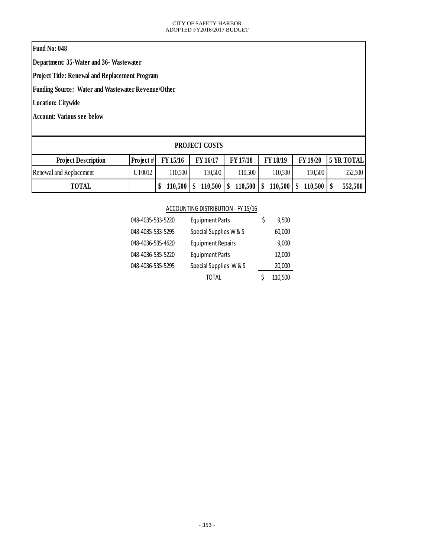**Fund No: 048**

**Department: 35-Water and 36- Wastewater**

**Project Title: Renewal and Replacement Program**

**Funding Source: Water and Wastewater Revenue/Other**

**Location: Citywide**

**Account: Various see below**

| PROJECT COSTS              |             |          |          |                               |                |                 |            |  |
|----------------------------|-------------|----------|----------|-------------------------------|----------------|-----------------|------------|--|
| <b>Project Description</b> | Project $#$ | FY 15/16 | FY 16/17 | FY 17/18                      | FY 18/19       | <b>FY 19/20</b> | 5 YR TOTAL |  |
| Renewal and Replacement    | UT0012      | 110.500  | 110,500  | 110,500                       | 110.500        | 110,500         | 552,500    |  |
| TOTAL                      |             | 110,500  |          | $110,500$   \$ $110,500$   \$ | $110,500$   \$ | 110,500         | 552,500    |  |

#### ACCOUNTING DISTRIBUTION - FY 15/16

| 048-4035-533-5220 | <b>Equipment Parts</b>   | S | 9,500   |
|-------------------|--------------------------|---|---------|
| 048-4035-533-5295 | Special Supplies W & S   |   | 60,000  |
| 048-4036-535-4620 | <b>Equipment Repairs</b> |   | 9,000   |
| 048-4036-535-5220 | <b>Equipment Parts</b>   |   | 12,000  |
| 048-4036-535-5295 | Special Supplies W & S   |   | 20,000  |
|                   | TOTAL                    |   | 110,500 |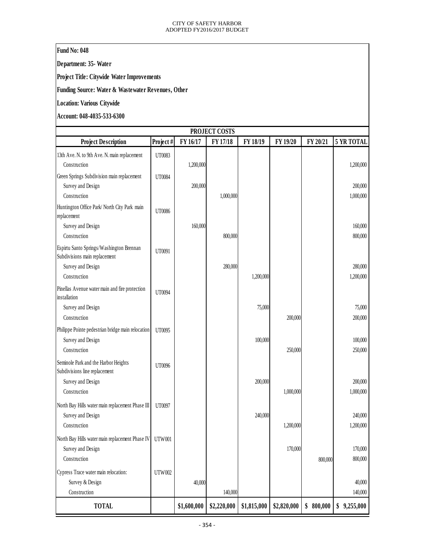**Fund No: 048**

**Department: 35- Water**

**Project Title: Citywide Water Improvements**

**Funding Source: Water & Wastewater Revenues, Other**

**Location: Various Citywide**

**Account: 048-4035-533-6300**

|                                                                           | PROJECT COSTS |             |             |             |             |           |                    |  |  |  |  |
|---------------------------------------------------------------------------|---------------|-------------|-------------|-------------|-------------|-----------|--------------------|--|--|--|--|
| <b>Project Description</b>                                                | Project#      | FY 16/17    | FY 17/18    | FY 18/19    | FY 19/20    | FY 20/21  | 5 YR TOTAL         |  |  |  |  |
| 13th Ave. N. to 9th Ave. N. main replacement<br>Construction              | UT0083        | 1,200,000   |             |             |             |           | 1,200,000          |  |  |  |  |
| Green Springs Subdivision main replacement<br>Survey and Design           | UT0084        | 200,000     |             |             |             |           | 200,000            |  |  |  |  |
| Construction                                                              |               |             | 1,000,000   |             |             |           | 1,000,000          |  |  |  |  |
| Huntington Office Park/ North City Park main<br>replacement               | UT0086        |             |             |             |             |           |                    |  |  |  |  |
| Survey and Design<br>Construction                                         |               | 160,000     | 800,000     |             |             |           | 160,000<br>800,000 |  |  |  |  |
| Espirtu Santo Springs/Washington Brennan<br>Subdivisions main replacement | UT0091        |             |             |             |             |           |                    |  |  |  |  |
| Survey and Design                                                         |               |             | 280,000     |             |             |           | 280,000            |  |  |  |  |
| Construction                                                              |               |             |             | 1,200,000   |             |           | 1,200,000          |  |  |  |  |
| Pinellas Avenue water main and fire protection<br>installation            | UT0094        |             |             |             |             |           |                    |  |  |  |  |
| Survey and Design                                                         |               |             |             | 75,000      |             |           | 75,000             |  |  |  |  |
| Construction                                                              |               |             |             |             | 200,000     |           | 200,000            |  |  |  |  |
| Philippe Pointe pedestrian bridge main relocation<br>Survey and Design    | UT0095        |             |             | 100,000     |             |           | 100,000            |  |  |  |  |
| Construction                                                              |               |             |             |             | 250,000     |           | 250,000            |  |  |  |  |
| Seminole Park and the Harbor Heights<br>Subdivisions line replacement     | UT0096        |             |             |             |             |           |                    |  |  |  |  |
| Survey and Design                                                         |               |             |             | 200,000     |             |           | 200,000            |  |  |  |  |
| Construction                                                              |               |             |             |             | 1,000,000   |           | 1,000,000          |  |  |  |  |
| North Bay Hills water main replacement Phase III                          | UT0097        |             |             |             |             |           |                    |  |  |  |  |
| Survey and Design<br>Construction                                         |               |             |             | 240,000     | 1,200,000   |           | 240,000            |  |  |  |  |
|                                                                           |               |             |             |             |             |           | 1,200,000          |  |  |  |  |
| North Bay Hills water main replacement Phase IV<br>Survey and Design      | <b>UTW001</b> |             |             |             | 170,000     |           | 170,000            |  |  |  |  |
| Construction                                                              |               |             |             |             |             | 800,000   | 800,000            |  |  |  |  |
| Cypress Trace water main relocation:                                      | UTW002        |             |             |             |             |           |                    |  |  |  |  |
| Survey & Design                                                           |               | 40,000      |             |             |             |           | 40,000             |  |  |  |  |
| Construction                                                              |               |             | 140,000     |             |             |           | 140,000            |  |  |  |  |
| <b>TOTAL</b>                                                              |               | \$1,600,000 | \$2,220,000 | \$1,815,000 | \$2,820,000 | \$800,000 | 9,255,000<br>\$    |  |  |  |  |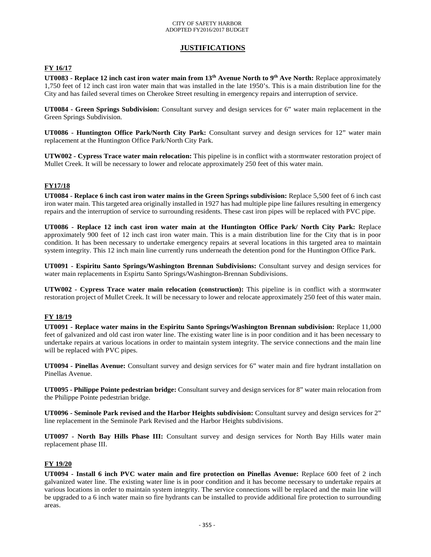#### **FY 16/17**

**UT0083 - Replace 12 inch cast iron water main from 13th Avenue North to 9th Ave North:** Replace approximately 1,750 feet of 12 inch cast iron water main that was installed in the late 1950's. This is a main distribution line for the City and has failed several times on Cherokee Street resulting in emergency repairs and interruption of service.

**UT0084 - Green Springs Subdivision:** Consultant survey and design services for 6" water main replacement in the Green Springs Subdivision.

**UT0086 - Huntington Office Park/North City Park:** Consultant survey and design services for 12" water main replacement at the Huntington Office Park/North City Park.

**UTW002 - Cypress Trace water main relocation:** This pipeline is in conflict with a stormwater restoration project of Mullet Creek. It will be necessary to lower and relocate approximately 250 feet of this water main.

#### **FY17/18**

**UT0084 - Replace 6 inch cast iron water mains in the Green Springs subdivision:** Replace 5,500 feet of 6 inch cast iron water main. This targeted area originally installed in 1927 has had multiple pipe line failures resulting in emergency repairs and the interruption of service to surrounding residents. These cast iron pipes will be replaced with PVC pipe.

**UT0086 - Replace 12 inch cast iron water main at the Huntington Office Park/ North City Park:** Replace approximately 900 feet of 12 inch cast iron water main. This is a main distribution line for the City that is in poor condition. It has been necessary to undertake emergency repairs at several locations in this targeted area to maintain system integrity. This 12 inch main line currently runs underneath the detention pond for the Huntington Office Park.

**UT0091 - Espiritu Santo Springs/Washington Brennan Subdivisions:** Consultant survey and design services for water main replacements in Espirtu Santo Springs/Washington-Brennan Subdivisions.

**UTW002 - Cypress Trace water main relocation (construction):** This pipeline is in conflict with a stormwater restoration project of Mullet Creek. It will be necessary to lower and relocate approximately 250 feet of this water main.

#### **FY 18/19**

**UT0091 - Replace water mains in the Espiritu Santo Springs/Washington Brennan subdivision:** Replace 11,000 feet of galvanized and old cast iron water line. The existing water line is in poor condition and it has been necessary to undertake repairs at various locations in order to maintain system integrity. The service connections and the main line will be replaced with PVC pipes.

**UT0094 - Pinellas Avenue:** Consultant survey and design services for 6" water main and fire hydrant installation on Pinellas Avenue.

**UT0095 - Philippe Pointe pedestrian bridge:** Consultant survey and design services for 8" water main relocation from the Philippe Pointe pedestrian bridge.

**UT0096 - Seminole Park revised and the Harbor Heights subdivision:** Consultant survey and design services for 2" line replacement in the Seminole Park Revised and the Harbor Heights subdivisions.

**UT0097 - North Bay Hills Phase III:** Consultant survey and design services for North Bay Hills water main replacement phase III.

#### **FY 19/20**

**UT0094 - Install 6 inch PVC water main and fire protection on Pinellas Avenue:** Replace 600 feet of 2 inch galvanized water line. The existing water line is in poor condition and it has become necessary to undertake repairs at various locations in order to maintain system integrity. The service connections will be replaced and the main line will be upgraded to a 6 inch water main so fire hydrants can be installed to provide additional fire protection to surrounding areas.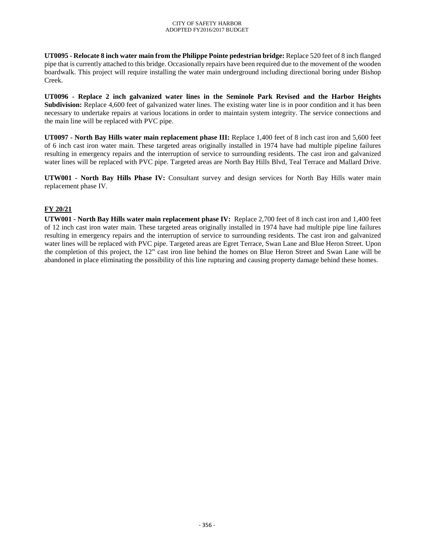#### CITY OF SAFETY HARBOR ADOPTED FY2016/2017 BUDGET

**UT0095 - Relocate 8 inch water main from the Philippe Pointe pedestrian bridge:** Replace 520 feet of 8 inch flanged pipe that is currently attached to this bridge. Occasionally repairs have been required due to the movement of the wooden boardwalk. This project will require installing the water main underground including directional boring under Bishop Creek.

**UT0096 - Replace 2 inch galvanized water lines in the Seminole Park Revised and the Harbor Heights Subdivision:** Replace 4,600 feet of galvanized water lines. The existing water line is in poor condition and it has been necessary to undertake repairs at various locations in order to maintain system integrity. The service connections and the main line will be replaced with PVC pipe.

**UT0097 - North Bay Hills water main replacement phase III:** Replace 1,400 feet of 8 inch cast iron and 5,600 feet of 6 inch cast iron water main. These targeted areas originally installed in 1974 have had multiple pipeline failures resulting in emergency repairs and the interruption of service to surrounding residents. The cast iron and galvanized water lines will be replaced with PVC pipe. Targeted areas are North Bay Hills Blvd, Teal Terrace and Mallard Drive.

**UTW001 - North Bay Hills Phase IV:** Consultant survey and design services for North Bay Hills water main replacement phase IV.

# **FY 20/21**

**UTW001 - North Bay Hills water main replacement phase IV:** Replace 2,700 feet of 8 inch cast iron and 1,400 feet of 12 inch cast iron water main. These targeted areas originally installed in 1974 have had multiple pipe line failures resulting in emergency repairs and the interruption of service to surrounding residents. The cast iron and galvanized water lines will be replaced with PVC pipe. Targeted areas are Egret Terrace, Swan Lane and Blue Heron Street. Upon the completion of this project, the 12" cast iron line behind the homes on Blue Heron Street and Swan Lane will be abandoned in place eliminating the possibility of this line rupturing and causing property damage behind these homes.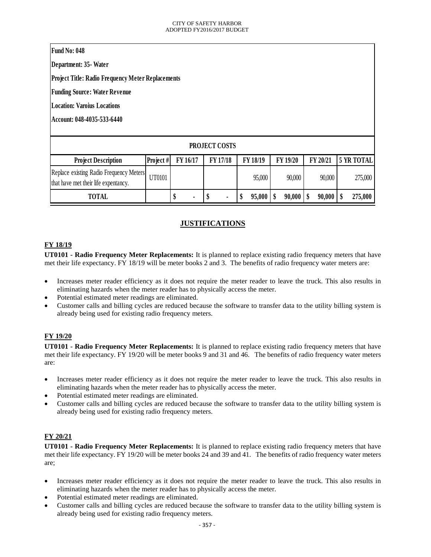| <b>Fund No: 048</b>                                                             |          |          |          |          |          |          |            |  |  |
|---------------------------------------------------------------------------------|----------|----------|----------|----------|----------|----------|------------|--|--|
| Department: 35- Water                                                           |          |          |          |          |          |          |            |  |  |
| Project Title: Radio Frequency Meter Replacements                               |          |          |          |          |          |          |            |  |  |
| <b>Funding Source: Water Revenue</b>                                            |          |          |          |          |          |          |            |  |  |
| <b>Location: Varoius Locations</b>                                              |          |          |          |          |          |          |            |  |  |
| Account: 048-4035-533-6440                                                      |          |          |          |          |          |          |            |  |  |
|                                                                                 |          |          |          |          |          |          |            |  |  |
| PROJECT COSTS                                                                   |          |          |          |          |          |          |            |  |  |
| <b>Project Description</b>                                                      | Project# | FY 16/17 | FY 17/18 | FY 18/19 | FY 19/20 | FY 20/21 | 5 YR TOTAL |  |  |
| Replace existing Radio Frequency Meters<br>that have met their life expentancy. | UT0101   |          |          | 95,000   | 90,000   | 90,000   | 275,000    |  |  |
| <b>TOTAL</b>                                                                    |          | ₼        | \$       | 95,000   | 90,000   | 90,000   | 275,000    |  |  |

### **JUSTIFICATIONS**

### **FY 18/19**

**UT0101 - Radio Frequency Meter Replacements:** It is planned to replace existing radio frequency meters that have met their life expectancy. FY 18/19 will be meter books 2 and 3. The benefits of radio frequency water meters are:

- Increases meter reader efficiency as it does not require the meter reader to leave the truck. This also results in eliminating hazards when the meter reader has to physically access the meter.
- Potential estimated meter readings are eliminated.
- Customer calls and billing cycles are reduced because the software to transfer data to the utility billing system is already being used for existing radio frequency meters.

### **FY 19/20**

**UT0101 - Radio Frequency Meter Replacements:** It is planned to replace existing radio frequency meters that have met their life expectancy. FY 19/20 will be meter books 9 and 31 and 46. The benefits of radio frequency water meters are:

- Increases meter reader efficiency as it does not require the meter reader to leave the truck. This also results in eliminating hazards when the meter reader has to physically access the meter.
- Potential estimated meter readings are eliminated.
- Customer calls and billing cycles are reduced because the software to transfer data to the utility billing system is already being used for existing radio frequency meters.

### **FY 20/21**

**UT0101 - Radio Frequency Meter Replacements:** It is planned to replace existing radio frequency meters that have met their life expectancy. FY 19/20 will be meter books 24 and 39 and 41. The benefits of radio frequency water meters are;

- Increases meter reader efficiency as it does not require the meter reader to leave the truck. This also results in eliminating hazards when the meter reader has to physically access the meter.
- Potential estimated meter readings are eliminated.
- Customer calls and billing cycles are reduced because the software to transfer data to the utility billing system is already being used for existing radio frequency meters.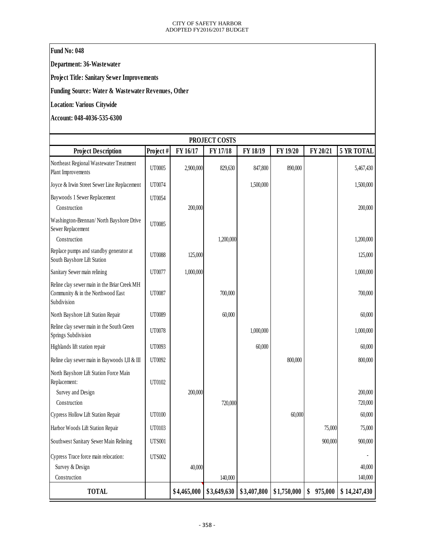**Fund No: 048**

**Department: 36-Wastewater** 

**Project Title: Sanitary Sewer Improvements**

**Funding Source: Water & Wastewater Revenues, Other**

**Location: Various Citywide**

**Account: 048-4036-535-6300**

| PROJECT COSTS                                                                                    |               |             |             |             |             |               |              |  |  |  |  |
|--------------------------------------------------------------------------------------------------|---------------|-------------|-------------|-------------|-------------|---------------|--------------|--|--|--|--|
| <b>Project Description</b>                                                                       | Project#      | FY 16/17    | FY 17/18    | FY 18/19    | FY 19/20    | FY 20/21      | 5 YR TOTAL   |  |  |  |  |
| Northeast Regional Wastewater Treatment<br>Plant Improvements                                    | UT0005        | 2,900,000   | 829,630     | 847,800     | 890,000     |               | 5,467,430    |  |  |  |  |
| Joyce & Irwin Street Sewer Line Replacement                                                      | UT0074        |             |             | 1,500,000   |             |               | 1,500,000    |  |  |  |  |
| Baywoods 1 Sewer Replacement                                                                     | UT0054        |             |             |             |             |               |              |  |  |  |  |
| Construction                                                                                     |               | 200,000     |             |             |             |               | 200,000      |  |  |  |  |
| Washington-Brennan/ North Bayshore Drive<br>Sewer Replacement                                    | UT0085        |             |             |             |             |               |              |  |  |  |  |
| Construction                                                                                     |               |             | 1,200,000   |             |             |               | 1,200,000    |  |  |  |  |
| Replace pumps and standby generator at<br>South Bayshore Lift Station                            | <b>UT0088</b> | 125,000     |             |             |             |               | 125,000      |  |  |  |  |
| Sanitary Sewer main relining                                                                     | UT0077        | 1,000,000   |             |             |             |               | 1,000,000    |  |  |  |  |
| Reline clay sewer main in the Briar Creek MH<br>Community & in the Northwood East<br>Subdivision | UT0087        |             | 700,000     |             |             |               | 700,000      |  |  |  |  |
| North Bayshore Lift Station Repair                                                               | UT0089        |             | 60,000      |             |             |               | 60,000       |  |  |  |  |
| Reline clay sewer main in the South Green<br>Springs Subdivision                                 | UT0078        |             |             | 1,000,000   |             |               | 1,000,000    |  |  |  |  |
| Highlands lift station repair                                                                    | UT0093        |             |             | 60,000      |             |               | 60,000       |  |  |  |  |
| Reline clay sewer main in Baywoods I,II & III                                                    | UT0092        |             |             |             | 800,000     |               | 800,000      |  |  |  |  |
| North Bayshore Lift Station Force Main<br>Replacement:                                           | UT0102        |             |             |             |             |               |              |  |  |  |  |
| Survey and Design                                                                                |               | 200,000     |             |             |             |               | 200,000      |  |  |  |  |
| Construction                                                                                     |               |             | 720,000     |             |             |               | 720,000      |  |  |  |  |
| Cypress Hollow Lift Station Repair                                                               | UT0100        |             |             |             | 60,000      |               | 60,000       |  |  |  |  |
| Harbor Woods Lift Station Repair                                                                 | UT0103        |             |             |             |             | 75,000        | 75,000       |  |  |  |  |
| Southwest Sanitary Sewer Main Relining                                                           | <b>UTS001</b> |             |             |             |             | 900,000       | 900,000      |  |  |  |  |
| Cypress Trace force main relocation:                                                             | <b>UTS002</b> |             |             |             |             |               |              |  |  |  |  |
| Survey & Design                                                                                  |               | 40,000      |             |             |             |               | 40,000       |  |  |  |  |
| Construction                                                                                     |               |             | 140,000     |             |             |               | 140,000      |  |  |  |  |
| <b>TOTAL</b>                                                                                     |               | \$4,465,000 | \$3,649,630 | \$3,407,800 | \$1,750,000 | \$<br>975,000 | \$14,247,430 |  |  |  |  |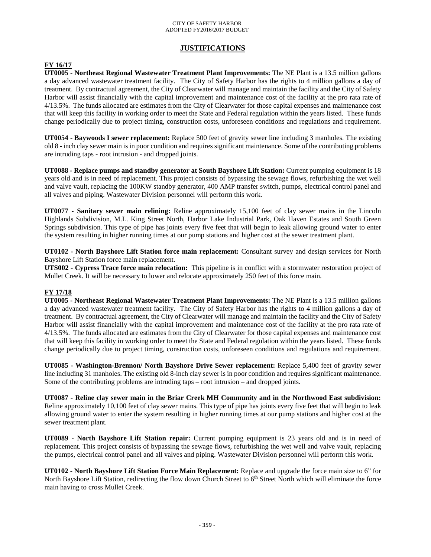### **JUSTIFICATIONS**

### **FY 16/17**

**UT0005 - Northeast Regional Wastewater Treatment Plant Improvements:** The NE Plant is a 13.5 million gallons a day advanced wastewater treatment facility. The City of Safety Harbor has the rights to 4 million gallons a day of treatment. By contractual agreement, the City of Clearwater will manage and maintain the facility and the City of Safety Harbor will assist financially with the capital improvement and maintenance cost of the facility at the pro rata rate of 4/13.5%. The funds allocated are estimates from the City of Clearwater for those capital expenses and maintenance cost that will keep this facility in working order to meet the State and Federal regulation within the years listed. These funds change periodically due to project timing, construction costs, unforeseen conditions and regulations and requirement.

**UT0054 - Baywoods I sewer replacement:** Replace 500 feet of gravity sewer line including 3 manholes. The existing old 8 - inch clay sewer main is in poor condition and requires significant maintenance. Some of the contributing problems are intruding taps - root intrusion - and dropped joints.

**UT0088 - Replace pumps and standby generator at South Bayshore Lift Station:** Current pumping equipment is 18 years old and is in need of replacement. This project consists of bypassing the sewage flows, refurbishing the wet well and valve vault, replacing the 100KW standby generator, 400 AMP transfer switch, pumps, electrical control panel and all valves and piping. Wastewater Division personnel will perform this work.

**UT0077 - Sanitary sewer main relining:** Reline approximately 15,100 feet of clay sewer mains in the Lincoln Highlands Subdivision, M.L. King Street North, Harbor Lake Industrial Park, Oak Haven Estates and South Green Springs subdivision. This type of pipe has joints every five feet that will begin to leak allowing ground water to enter the system resulting in higher running times at our pump stations and higher cost at the sewer treatment plant.

**UT0102 - North Bayshore Lift Station force main replacement:** Consultant survey and design services for North Bayshore Lift Station force main replacement.

**UTS002 - Cypress Trace force main relocation:** This pipeline is in conflict with a stormwater restoration project of Mullet Creek. It will be necessary to lower and relocate approximately 250 feet of this force main.

### **FY 17/18**

**UT0005 - Northeast Regional Wastewater Treatment Plant Improvements:** The NE Plant is a 13.5 million gallons a day advanced wastewater treatment facility. The City of Safety Harbor has the rights to 4 million gallons a day of treatment. By contractual agreement, the City of Clearwater will manage and maintain the facility and the City of Safety Harbor will assist financially with the capital improvement and maintenance cost of the facility at the pro rata rate of 4/13.5%. The funds allocated are estimates from the City of Clearwater for those capital expenses and maintenance cost that will keep this facility in working order to meet the State and Federal regulation within the years listed. These funds change periodically due to project timing, construction costs, unforeseen conditions and regulations and requirement.

**UT0085 - Washington-Brennon/ North Bayshore Drive Sewer replacement:** Replace 5,400 feet of gravity sewer line including 31 manholes. The existing old 8-inch clay sewer is in poor condition and requires significant maintenance. Some of the contributing problems are intruding taps – root intrusion – and dropped joints.

**UT0087 - Reline clay sewer main in the Briar Creek MH Community and in the Northwood East subdivision:** Reline approximately 10,100 feet of clay sewer mains. This type of pipe has joints every five feet that will begin to leak allowing ground water to enter the system resulting in higher running times at our pump stations and higher cost at the sewer treatment plant.

**UT0089 - North Bayshore Lift Station repair:** Current pumping equipment is 23 years old and is in need of replacement. This project consists of bypassing the sewage flows, refurbishing the wet well and valve vault, replacing the pumps, electrical control panel and all valves and piping. Wastewater Division personnel will perform this work.

**UT0102 - North Bayshore Lift Station Force Main Replacement:** Replace and upgrade the force main size to 6" for North Bayshore Lift Station, redirecting the flow down Church Street to  $6<sup>th</sup>$  Street North which will eliminate the force main having to cross Mullet Creek.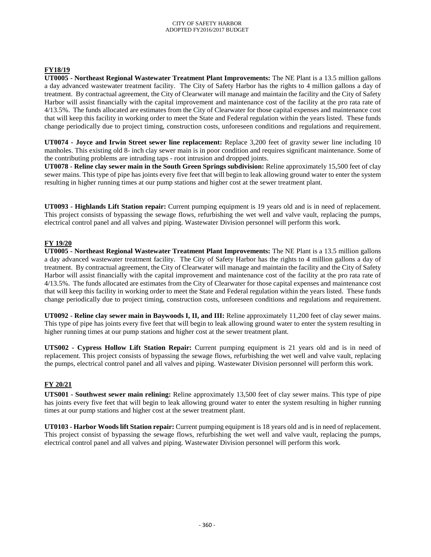### **FY18/19**

**UT0005 - Northeast Regional Wastewater Treatment Plant Improvements:** The NE Plant is a 13.5 million gallons a day advanced wastewater treatment facility. The City of Safety Harbor has the rights to 4 million gallons a day of treatment. By contractual agreement, the City of Clearwater will manage and maintain the facility and the City of Safety Harbor will assist financially with the capital improvement and maintenance cost of the facility at the pro rata rate of 4/13.5%. The funds allocated are estimates from the City of Clearwater for those capital expenses and maintenance cost that will keep this facility in working order to meet the State and Federal regulation within the years listed. These funds change periodically due to project timing, construction costs, unforeseen conditions and regulations and requirement.

**UT0074 - Joyce and Irwin Street sewer line replacement:** Replace 3,200 feet of gravity sewer line including 10 manholes. This existing old 8- inch clay sewer main is in poor condition and requires significant maintenance. Some of the contributing problems are intruding taps - root intrusion and dropped joints.

**UT0078 - Reline clay sewer main in the South Green Springs subdivision:** Reline approximately 15,500 feet of clay sewer mains. This type of pipe has joints every five feet that will begin to leak allowing ground water to enter the system resulting in higher running times at our pump stations and higher cost at the sewer treatment plant.

**UT0093 - Highlands Lift Station repair:** Current pumping equipment is 19 years old and is in need of replacement. This project consists of bypassing the sewage flows, refurbishing the wet well and valve vault, replacing the pumps, electrical control panel and all valves and piping. Wastewater Division personnel will perform this work.

### **FY 19/20**

**UT0005 - Northeast Regional Wastewater Treatment Plant Improvements:** The NE Plant is a 13.5 million gallons a day advanced wastewater treatment facility. The City of Safety Harbor has the rights to 4 million gallons a day of treatment. By contractual agreement, the City of Clearwater will manage and maintain the facility and the City of Safety Harbor will assist financially with the capital improvement and maintenance cost of the facility at the pro rata rate of 4/13.5%. The funds allocated are estimates from the City of Clearwater for those capital expenses and maintenance cost that will keep this facility in working order to meet the State and Federal regulation within the years listed. These funds change periodically due to project timing, construction costs, unforeseen conditions and regulations and requirement.

**UT0092 - Reline clay sewer main in Baywoods I, II, and III:** Reline approximately 11,200 feet of clay sewer mains. This type of pipe has joints every five feet that will begin to leak allowing ground water to enter the system resulting in higher running times at our pump stations and higher cost at the sewer treatment plant.

**UTS002 - Cypress Hollow Lift Station Repair:** Current pumping equipment is 21 years old and is in need of replacement. This project consists of bypassing the sewage flows, refurbishing the wet well and valve vault, replacing the pumps, electrical control panel and all valves and piping. Wastewater Division personnel will perform this work.

### **FY 20/21**

**UTS001 - Southwest sewer main relining:** Reline approximately 13,500 feet of clay sewer mains. This type of pipe has joints every five feet that will begin to leak allowing ground water to enter the system resulting in higher running times at our pump stations and higher cost at the sewer treatment plant.

**UT0103 - Harbor Woods lift Station repair:** Current pumping equipment is 18 years old and is in need of replacement. This project consist of bypassing the sewage flows, refurbishing the wet well and valve vault, replacing the pumps, electrical control panel and all valves and piping. Wastewater Division personnel will perform this work.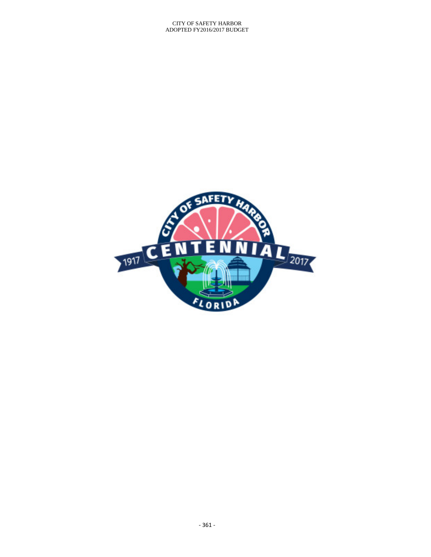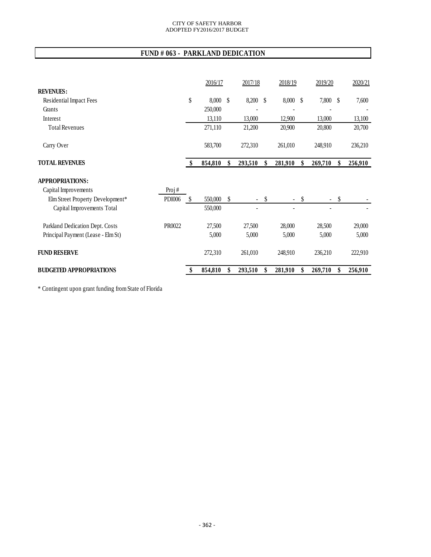#### CITY OF SAFETY HARBOR ADOPTED FY2016/2017 BUDGET

## **FUND # 063 - PARKLAND DEDICATION**

|                                    |               |      | 2016/17    | 2017/18        |    | 2018/19  |      | 2019/20  |      | 2020/21 |
|------------------------------------|---------------|------|------------|----------------|----|----------|------|----------|------|---------|
| <b>REVENUES:</b>                   |               |      |            |                |    |          |      |          |      |         |
| Residential Impact Fees            |               | \$   | $8,000$ \$ | 8,200          | -S | 8,000 \$ |      | 7,800 \$ |      | 7,600   |
| Grants                             |               |      | 250,000    |                |    |          |      |          |      |         |
| Interest                           |               |      | 13,110     | 13,000         |    | 12,900   |      | 13,000   |      | 13,100  |
| <b>Total Revenues</b>              |               |      | 271,110    | 21,200         |    | 20,900   |      | 20,800   |      | 20,700  |
| Carry Over                         |               |      | 583,700    | 272,310        |    | 261,010  |      | 248,910  |      | 236,210 |
| <b>TOTAL REVENUES</b>              |               | \$   | 854,810    | \$<br>293,510  | \$ | 281,910  | \$   | 269,710  | \$   | 256,910 |
| <b>APPROPRIATIONS:</b>             |               |      |            |                |    |          |      |          |      |         |
| Capital Improvements               | Proj#         |      |            |                |    |          |      |          |      |         |
| Elm Street Property Development*   | <b>PDI006</b> | - \$ | 550,000 \$ | $\blacksquare$ | \$ |          | - \$ |          | - \$ |         |
| Capital Improvements Total         |               |      | 550,000    |                |    |          |      |          |      |         |
| Parkland Dedication Dept. Costs    | PR0022        |      | 27,500     | 27,500         |    | 28,000   |      | 28,500   |      | 29,000  |
| Principal Payment (Lease - Elm St) |               |      | 5,000      | 5,000          |    | 5,000    |      | 5,000    |      | 5,000   |
| <b>FUND RESERVE</b>                |               |      | 272,310    | 261,010        |    | 248,910  |      | 236,210  |      | 222,910 |
| <b>BUDGETED APPROPRIATIONS</b>     |               | S    | 854,810    | 293,510        | \$ | 281,910  | \$   | 269,710  | \$   | 256,910 |

\* Contingent upon grant funding from State of Florida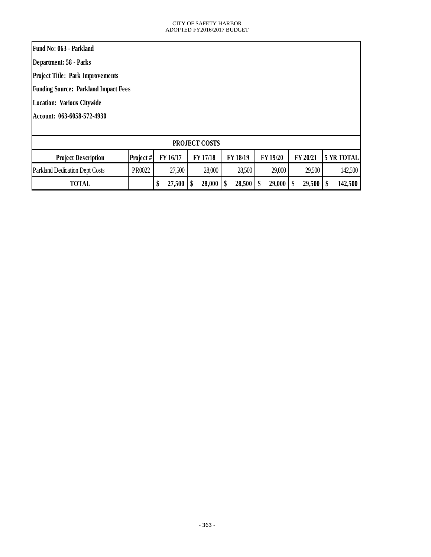**Fund No: 063 - Parkland**

**Department: 58 - Parks**

**Project Title: Park Improvements**

**Funding Source: Parkland Impact Fees**

**Location: Various Citywide**

**Account: 063-6058-572-4930**

| <b>PROJECT COSTS</b>                  |             |               |          |          |                 |          |                   |  |  |
|---------------------------------------|-------------|---------------|----------|----------|-----------------|----------|-------------------|--|--|
| <b>Project Description</b>            | Project $#$ | FY 16/17      | FY 17/18 | FY 18/19 | <b>FY 19/20</b> | FY 20/21 | <b>5 YR TOTAL</b> |  |  |
| <b>Parkland Dedication Dept Costs</b> | PR0022      | 27,500        | 28,000   | 28,500   | 29,000          | 29,500   | 142,500           |  |  |
| <b>TOTAL</b>                          |             | $27,500$   \$ | 28,000   |          | 29,000          | 29,500   | 142,500           |  |  |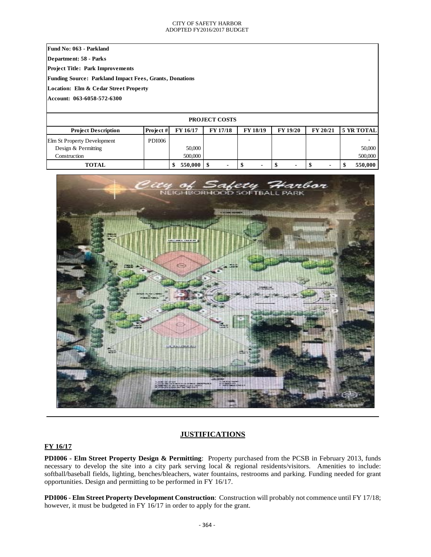#### CITY OF SAFETY HARBOR ADOPTED FY2016/2017 BUDGET

**Fund No: 063 - Parkland**

**Department: 58 - Parks** 

**Project Title: Park Improvements**

**Funding Source: Parkland Impact Fees, Grants, Donations**

**Location: Elm & Cedar Street Property**

**Account: 063-6058-572-6300**

| <b>PROJECT COSTS</b>        |           |          |                 |                 |                 |                 |            |  |
|-----------------------------|-----------|----------|-----------------|-----------------|-----------------|-----------------|------------|--|
| <b>Project Description</b>  | Project # | FY 16/17 | <b>FY 17/18</b> | <b>FY 18/19</b> | <b>FY 19/20</b> | <b>FY 20/21</b> | 5 YR TOTAL |  |
| Elm St Property Development | PDI006    |          |                 |                 |                 |                 | -          |  |
| Design & Permitting         |           | 50,000   |                 |                 |                 |                 | 50,000     |  |
| Construction                |           | 500,000  |                 |                 |                 |                 | 500,000    |  |
| <b>TOTAL</b>                |           | 550,000  |                 |                 |                 |                 | 550,000    |  |



### **JUSTIFICATIONS**

### **FY 16/17**

**PDI006 - Elm Street Property Design & Permitting**: Property purchased from the PCSB in February 2013, funds necessary to develop the site into a city park serving local & regional residents/visitors. Amenities to include: softball/baseball fields, lighting, benches/bleachers, water fountains, restrooms and parking. Funding needed for grant opportunities. Design and permitting to be performed in FY 16/17.

**PDI006 - Elm Street Property Development Construction**: Construction will probably not commence until FY 17/18; however, it must be budgeted in FY 16/17 in order to apply for the grant.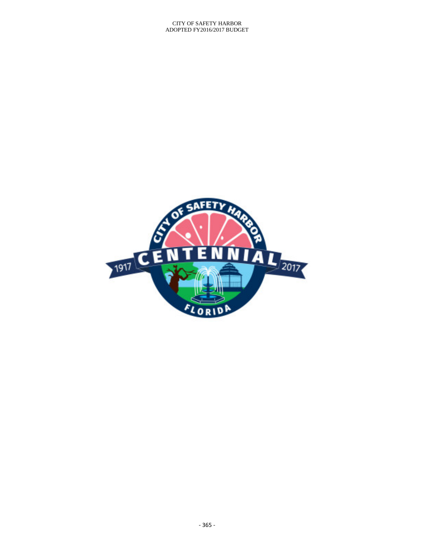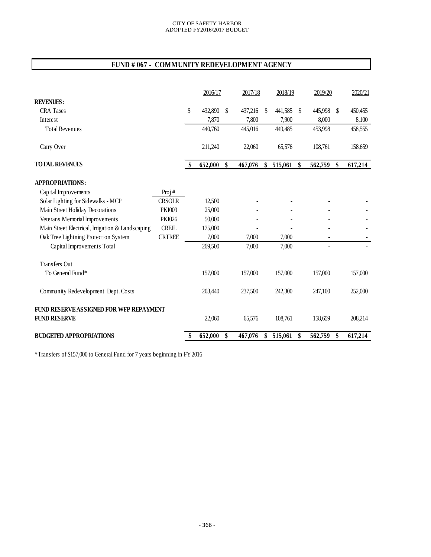## **FUND # 067 - COMMUNITY REDEVELOPMENT AGENCY**

|                                                                |               | 2016/17       |    | 2017/18 |               | 2018/19 |    | 2019/20 |     | 2020/21 |
|----------------------------------------------------------------|---------------|---------------|----|---------|---------------|---------|----|---------|-----|---------|
| <b>REVENUES:</b>                                               |               |               |    |         |               |         |    |         |     |         |
| <b>CRA</b> Taxes                                               |               | \$<br>432,890 | -S | 437,216 | <sup>\$</sup> | 441,585 | -S | 445,998 | -\$ | 450,455 |
| Interest                                                       |               | 7,870         |    | 7,800   |               | 7,900   |    | 8.000   |     | 8,100   |
| <b>Total Revenues</b>                                          |               | 440,760       |    | 445,016 |               | 449,485 |    | 453,998 |     | 458,555 |
| Carry Over                                                     |               | 211,240       |    | 22,060  |               | 65,576  |    | 108,761 |     | 158,659 |
| <b>TOTAL REVENUES</b>                                          |               | \$<br>652,000 | \$ | 467,076 | \$            | 515,061 | \$ | 562,759 | \$  | 617,214 |
| <b>APPROPRIATIONS:</b>                                         |               |               |    |         |               |         |    |         |     |         |
| Capital Improvements                                           | Proj#         |               |    |         |               |         |    |         |     |         |
| Solar Lighting for Sidewalks - MCP                             | <b>CRSOLR</b> | 12,500        |    |         |               |         |    |         |     |         |
| Main Street Holiday Decorations                                | <b>PKI009</b> | 25,000        |    |         |               |         |    |         |     |         |
| Veterans Memorial Improvements                                 | <b>PKI026</b> | 50,000        |    |         |               |         |    |         |     |         |
| Main Street Electrical, Irrigation & Landscaping               | <b>CREIL</b>  | 175,000       |    |         |               |         |    |         |     |         |
| Oak Tree Lightning Protection System                           | <b>CRTREE</b> | 7,000         |    | 7,000   |               | 7,000   |    |         |     |         |
| Capital Improvements Total                                     |               | 269,500       |    | 7,000   |               | 7,000   |    |         |     |         |
| Transfers Out                                                  |               |               |    |         |               |         |    |         |     |         |
| To General Fund*                                               |               | 157,000       |    | 157,000 |               | 157,000 |    | 157,000 |     | 157,000 |
| Community Redevelopment Dept. Costs                            |               | 203,440       |    | 237,500 |               | 242,300 |    | 247,100 |     | 252,000 |
| FUND RESERVE ASSIGNED FOR WFP REPAYMENT<br><b>FUND RESERVE</b> |               | 22,060        |    | 65,576  |               | 108,761 |    | 158,659 |     | 208,214 |
| <b>BUDGETED APPROPRIATIONS</b>                                 |               | \$<br>652,000 | \$ | 467,076 | \$            | 515,061 | \$ | 562,759 | \$  | 617,214 |

\*Transfers of \$157,000 to General Fund for 7 years beginning in FY 2016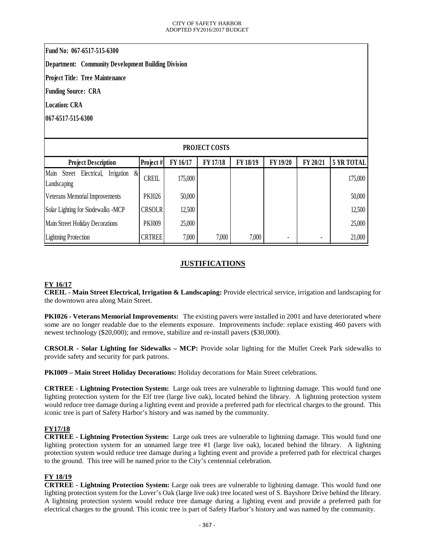**Fund No: 067-6517-515-6300** 

**Department: Community Development Building Division** 

**Project Title: Tree Maintenance** 

**Funding Source: CRA** 

**Location: CRA** 

**067-6517-515-6300**

| PROJECT COSTS                                                          |               |          |          |          |          |          |                   |  |  |  |
|------------------------------------------------------------------------|---------------|----------|----------|----------|----------|----------|-------------------|--|--|--|
| <b>Project Description</b>                                             | Project#      | FY 16/17 | FY 17/18 | FY 18/19 | FY 19/20 | FY 20/21 | <b>5 YR TOTAL</b> |  |  |  |
| Electrical,<br>Main<br>Street<br>$\alpha$<br>Irrigation<br>Landscaping | <b>CREIL</b>  | 175,000  |          |          |          |          | 175,000           |  |  |  |
| Veterans Memorial Improvements                                         | <b>PKI026</b> | 50,000   |          |          |          |          | 50,000            |  |  |  |
| Solar Lighting for Siodewalks -MCP                                     | <b>CRSOLR</b> | 12,500   |          |          |          |          | 12,500            |  |  |  |
| Main Street Holiday Decorations                                        | <b>PKI009</b> | 25,000   |          |          |          |          | 25,000            |  |  |  |
| <b>Lightning Protection</b>                                            | <b>CRTREE</b> | 7,000    | 7,000    | 7,000    | -        |          | 21,000            |  |  |  |

### **JUSTIFICATIONS**

### **FY 16/17**

**CREIL - Main Street Electrical, Irrigation & Landscaping:** Provide electrical service, irrigation and landscaping for the downtown area along Main Street.

**PKI026 - Veterans Memorial Improvements:** The existing pavers were installed in 2001 and have deteriorated where some are no longer readable due to the elements exposure. Improvements include: replace existing 460 pavers with newest technology (\$20,000); and remove, stabilize and re-install pavers (\$30,000).

**CRSOLR - Solar Lighting for Sidewalks – MCP:** Provide solar lighting for the Mullet Creek Park sidewalks to provide safety and security for park patrons.

**PKI009 – Main Street Holiday Decorations:** Holiday decorations for Main Street celebrations.

**CRTREE - Lightning Protection System:** Large oak trees are vulnerable to lightning damage. This would fund one lighting protection system for the Elf tree (large live oak), located behind the library. A lightning protection system would reduce tree damage during a lighting event and provide a preferred path for electrical charges to the ground. This iconic tree is part of Safety Harbor's history and was named by the community.

### **FY17/18**

**CRTREE - Lightning Protection System:** Large oak trees are vulnerable to lightning damage. This would fund one lighting protection system for an unnamed large tree #1 (large live oak), located behind the library. A lightning protection system would reduce tree damage during a lighting event and provide a preferred path for electrical charges to the ground. This tree will be named prior to the City's centennial celebration.

### **FY 18/19**

**CRTREE - Lightning Protection System:** Large oak trees are vulnerable to lightning damage. This would fund one lighting protection system for the Lover's Oak (large live oak) tree located west of S. Bayshore Drive behind the library. A lightning protection system would reduce tree damage during a lighting event and provide a preferred path for electrical charges to the ground. This iconic tree is part of Safety Harbor's history and was named by the community.